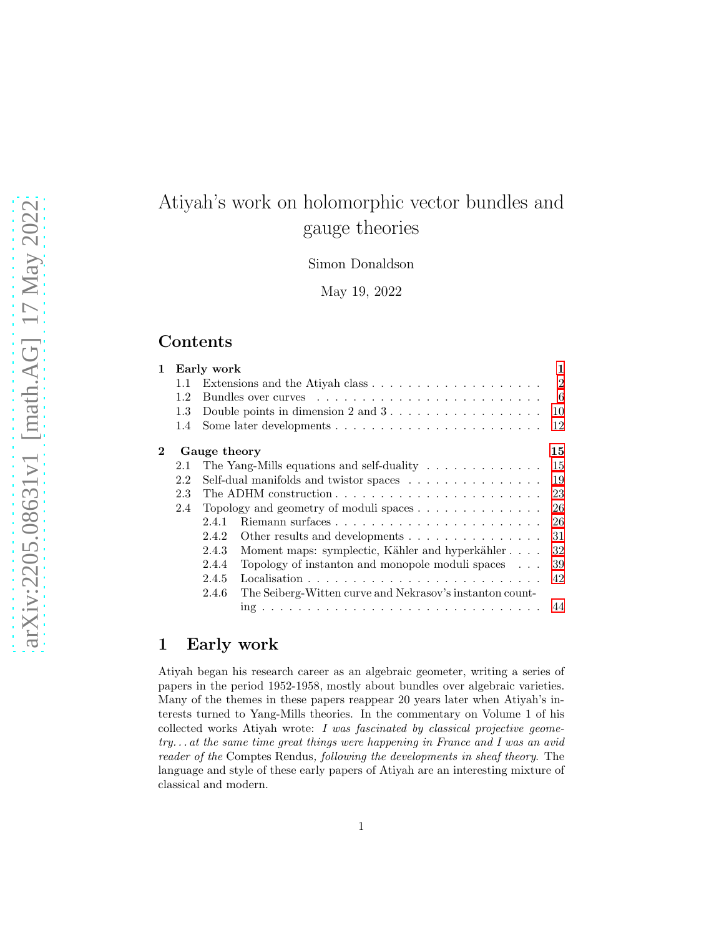# Atiyah's work on holomorphic vector bundles and gauge theories

Simon Donaldson

May 19, 2022

# Contents

| $\mathbf 1$ |     | Early work<br>1                                                                 |  |
|-------------|-----|---------------------------------------------------------------------------------|--|
|             | 1.1 | $\mathfrak{D}$                                                                  |  |
|             | 1.2 | 6                                                                               |  |
|             | 1.3 | Double points in dimension $2$ and $3 \ldots \ldots \ldots \ldots \ldots$<br>10 |  |
|             | 1.4 | 12                                                                              |  |
| $\bf{2}$    |     | 15<br>Gauge theory                                                              |  |
|             | 2.1 | 15<br>The Yang-Mills equations and self-duality $\ldots \ldots \ldots \ldots$   |  |
|             | 2.2 | Self-dual manifolds and twistor spaces<br>19                                    |  |
|             | 2.3 | 23                                                                              |  |
|             | 2.4 | Topology and geometry of moduli spaces $\ldots \ldots \ldots \ldots$<br>26      |  |
|             |     | 26<br>2.4.1                                                                     |  |
|             |     | Other results and developments<br>31<br>2.4.2                                   |  |
|             |     | 2.4.3<br>Moment maps: symplectic, Kähler and hyperkähler<br>32                  |  |
|             |     | Topology of instanton and monopole moduli spaces $\ldots$<br>2.4.4<br>39        |  |
|             |     | 2.4.5<br>42                                                                     |  |
|             |     | The Seiberg-Witten curve and Nekrasov's instanton count-<br>2.4.6               |  |
|             |     | 44                                                                              |  |
|             |     |                                                                                 |  |

# <span id="page-0-0"></span>1 Early work

Atiyah began his research career as an algebraic geometer, writing a series of papers in the period 1952-1958, mostly about bundles over algebraic varieties. Many of the themes in these papers reappear 20 years later when Atiyah's interests turned to Yang-Mills theories. In the commentary on Volume 1 of his collected works Atiyah wrote: I was fascinated by classical projective geometry. . . at the same time great things were happening in France and I was an avid reader of the Comptes Rendus, following the developments in sheaf theory. The language and style of these early papers of Atiyah are an interesting mixture of classical and modern.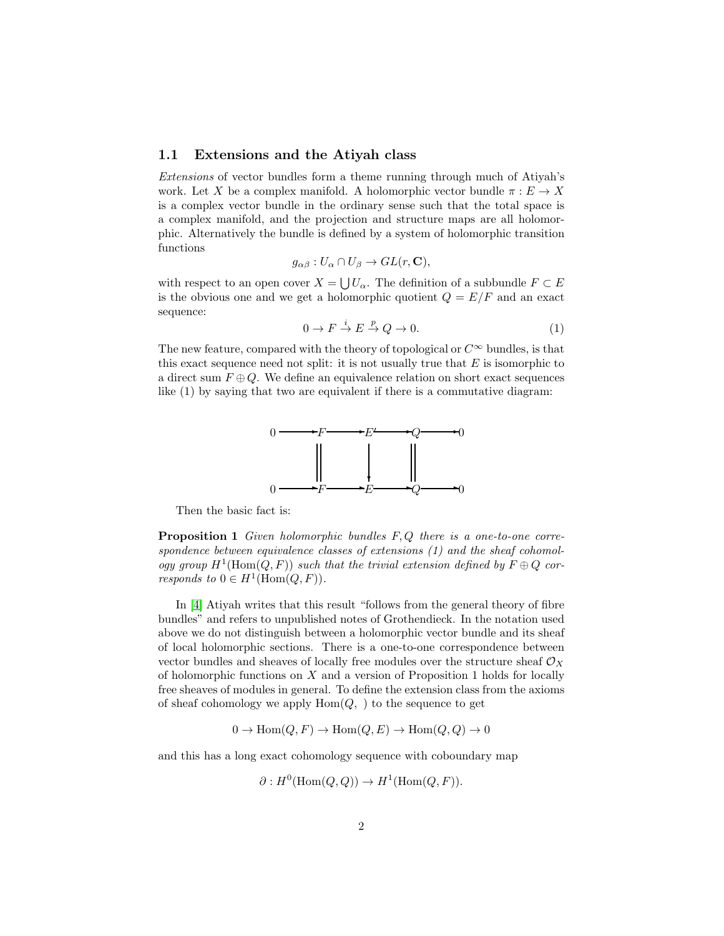## <span id="page-1-0"></span>1.1 Extensions and the Atiyah class

Extensions of vector bundles form a theme running through much of Atiyah's work. Let X be a complex manifold. A holomorphic vector bundle  $\pi : E \to X$ is a complex vector bundle in the ordinary sense such that the total space is a complex manifold, and the projection and structure maps are all holomorphic. Alternatively the bundle is defined by a system of holomorphic transition functions

$$
g_{\alpha\beta}: U_{\alpha}\cap U_{\beta}\to GL(r,\mathbf{C}),
$$

with respect to an open cover  $X = \bigcup U_{\alpha}$ . The definition of a subbundle  $F \subset E$ is the obvious one and we get a holomorphic quotient  $Q = E/F$  and an exact sequence:

$$
0 \to F \stackrel{i}{\to} E \stackrel{p}{\to} Q \to 0. \tag{1}
$$

The new feature, compared with the theory of topological or  $C^{\infty}$  bundles, is that this exact sequence need not split: it is not usually true that  $E$  is isomorphic to a direct sum  $F \oplus Q$ . We define an equivalence relation on short exact sequences like (1) by saying that two are equivalent if there is a commutative diagram:



Then the basic fact is:

**Proposition 1** Given holomorphic bundles  $F, Q$  there is a one-to-one correspondence between equivalence classes of extensions (1) and the sheaf cohomology group  $H^1(\text{Hom}(Q, F))$  such that the trivial extension defined by  $F \oplus Q$  corresponds to  $0 \in H^1(\text{Hom}(Q, F)).$ 

In [\[4\]](#page-45-0) Atiyah writes that this result "follows from the general theory of fibre bundles" and refers to unpublished notes of Grothendieck. In the notation used above we do not distinguish between a holomorphic vector bundle and its sheaf of local holomorphic sections. There is a one-to-one correspondence between vector bundles and sheaves of locally free modules over the structure sheaf  $\mathcal{O}_X$ of holomorphic functions on  $X$  and a version of Proposition 1 holds for locally free sheaves of modules in general. To define the extension class from the axioms of sheaf cohomology we apply  $Hom(Q, )$  to the sequence to get

 $0 \to \text{Hom}(Q, F) \to \text{Hom}(Q, E) \to \text{Hom}(Q, Q) \to 0$ 

and this has a long exact cohomology sequence with coboundary map

$$
\partial: H^0(\text{Hom}(Q,Q)) \to H^1(\text{Hom}(Q,F)).
$$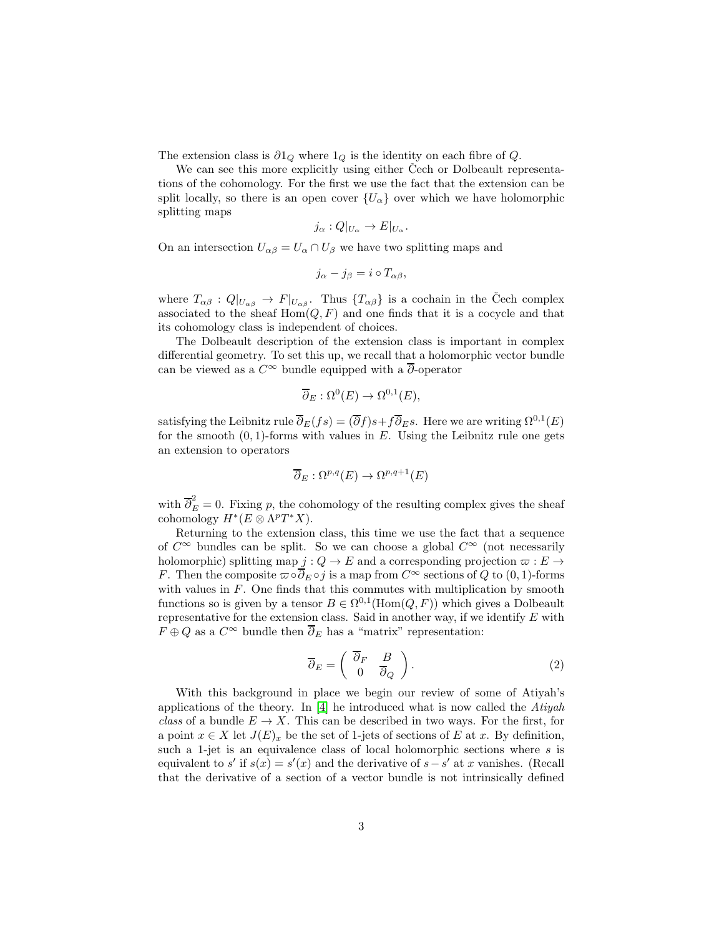The extension class is  $\partial 1_Q$  where  $1_Q$  is the identity on each fibre of  $Q$ .

We can see this more explicitly using either Cech or Dolbeault representations of the cohomology. For the first we use the fact that the extension can be split locally, so there is an open cover  ${U_\alpha}$  over which we have holomorphic splitting maps

$$
j_{\alpha}:Q|_{U_{\alpha}}\to E|_{U_{\alpha}}.
$$

On an intersection  $U_{\alpha\beta} = U_{\alpha} \cap U_{\beta}$  we have two splitting maps and

$$
j_{\alpha}-j_{\beta}=i\circ T_{\alpha\beta},
$$

where  $T_{\alpha\beta}: Q|_{U_{\alpha\beta}} \to F|_{U_{\alpha\beta}}$ . Thus  $\{T_{\alpha\beta}\}\)$  is a cochain in the Čech complex associated to the sheaf  $Hom(Q, F)$  and one finds that it is a cocycle and that its cohomology class is independent of choices.

The Dolbeault description of the extension class is important in complex differential geometry. To set this up, we recall that a holomorphic vector bundle can be viewed as a  $C^{\infty}$  bundle equipped with a  $\overline{\partial}$ -operator

$$
\overline{\partial}_E : \Omega^0(E) \to \Omega^{0,1}(E),
$$

satisfying the Leibnitz rule  $\overline{\partial}_E(fs) = (\overline{\partial}f)s + f\overline{\partial}_E s$ . Here we are writing  $\Omega^{0,1}(E)$ for the smooth  $(0, 1)$ -forms with values in E. Using the Leibnitz rule one gets an extension to operators

$$
\overline{\partial}_E : \Omega^{p,q}(E) \to \Omega^{p,q+1}(E)
$$

with  $\overline{\partial}_E^2 = 0$ . Fixing p, the cohomology of the resulting complex gives the sheaf cohomology  $H^*(E \otimes \Lambda^p T^*X)$ .

Returning to the extension class, this time we use the fact that a sequence of  $C^{\infty}$  bundles can be split. So we can choose a global  $C^{\infty}$  (not necessarily holomorphic) splitting map  $j: Q \to E$  and a corresponding projection  $\varpi: E \to$ F. Then the composite  $\varpi \circ \overline{\partial}_E \circ j$  is a map from  $C^{\infty}$  sections of Q to  $(0, 1)$ -forms with values in F. One finds that this commutes with multiplication by smooth functions so is given by a tensor  $B \in \Omega^{0,1}(\text{Hom}(Q, F))$  which gives a Dolbeault representative for the extension class. Said in another way, if we identify  $E$  with  $F \oplus Q$  as a  $C^{\infty}$  bundle then  $\overline{\partial}_E$  has a "matrix" representation:

$$
\overline{\partial}_E = \begin{pmatrix} \overline{\partial}_F & B \\ 0 & \overline{\partial}_Q \end{pmatrix} . \tag{2}
$$

With this background in place we begin our review of some of Atiyah's applications of the theory. In [\[4\]](#page-45-0) he introduced what is now called the Atiyah class of a bundle  $E \to X$ . This can be described in two ways. For the first, for a point  $x \in X$  let  $J(E)_x$  be the set of 1-jets of sections of E at x. By definition, such a 1-jet is an equivalence class of local holomorphic sections where  $s$  is equivalent to  $s'$  if  $s(x) = s'(x)$  and the derivative of  $s - s'$  at x vanishes. (Recall that the derivative of a section of a vector bundle is not intrinsically defined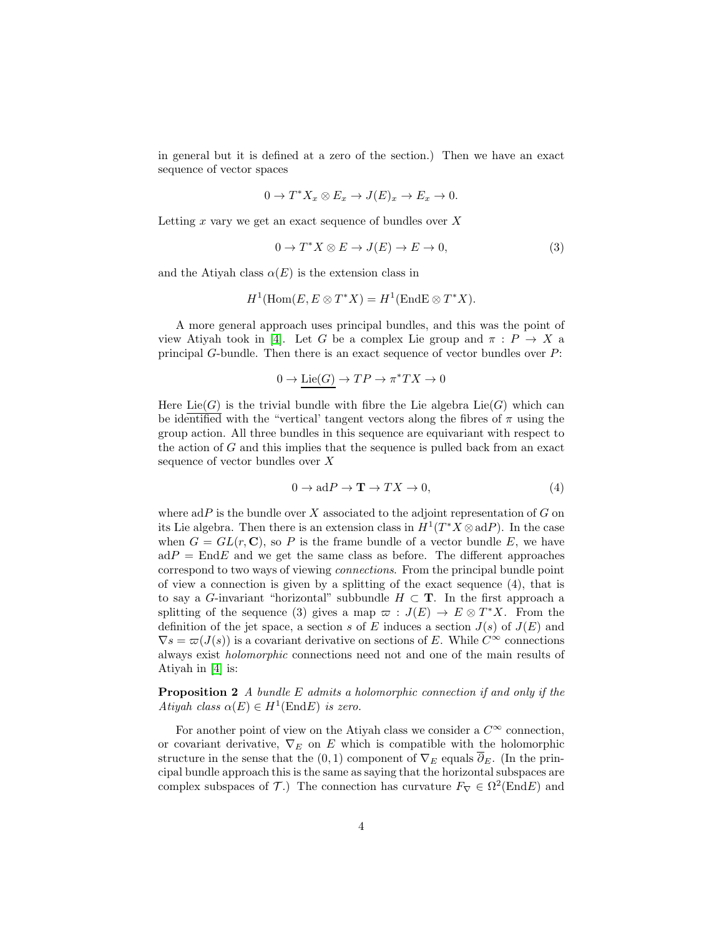in general but it is defined at a zero of the section.) Then we have an exact sequence of vector spaces

$$
0 \to T^* X_x \otimes E_x \to J(E)_x \to E_x \to 0.
$$

Letting  $x$  vary we get an exact sequence of bundles over  $X$ 

$$
0 \to T^*X \otimes E \to J(E) \to E \to 0,
$$
\n(3)

and the Atiyah class  $\alpha(E)$  is the extension class in

$$
H^1(\mathrm{Hom}(E, E \otimes T^*X) = H^1(\mathrm{End} E \otimes T^*X).
$$

A more general approach uses principal bundles, and this was the point of view Atiyah took in [\[4\]](#page-45-0). Let G be a complex Lie group and  $\pi : P \to X$  a principal G-bundle. Then there is an exact sequence of vector bundles over P:

$$
0 \to \underline{\rm Lie}(G) \to TP \to \pi^*TX \to 0
$$

Here Lie(G) is the trivial bundle with fibre the Lie algebra Lie(G) which can be identified with the "vertical' tangent vectors along the fibres of  $\pi$  using the group action. All three bundles in this sequence are equivariant with respect to the action of  $G$  and this implies that the sequence is pulled back from an exact sequence of vector bundles over X

$$
0 \to \mathrm{ad}P \to \mathbf{T} \to TX \to 0,\tag{4}
$$

where  $adP$  is the bundle over X associated to the adjoint representation of G on its Lie algebra. Then there is an extension class in  $H^1(T^*X \otimes \text{ad}P)$ . In the case when  $G = GL(r, \mathbb{C})$ , so P is the frame bundle of a vector bundle E, we have  $adP = EndE$  and we get the same class as before. The different approaches correspond to two ways of viewing connections. From the principal bundle point of view a connection is given by a splitting of the exact sequence (4), that is to say a G-invariant "horizontal" subbundle  $H \subset T$ . In the first approach a splitting of the sequence (3) gives a map  $\varpi : J(E) \to E \otimes T^*X$ . From the definition of the jet space, a section s of E induces a section  $J(s)$  of  $J(E)$  and  $\nabla s = \varpi(J(s))$  is a covariant derivative on sections of E. While  $C^{\infty}$  connections always exist holomorphic connections need not and one of the main results of Atiyah in [\[4\]](#page-45-0) is:

Proposition 2 A bundle E admits a holomorphic connection if and only if the Atiyah class  $\alpha(E) \in H^1(\text{End} E)$  is zero.

For another point of view on the Atiyah class we consider a  $C^{\infty}$  connection, or covariant derivative,  $\nabla_E$  on E which is compatible with the holomorphic structure in the sense that the  $(0, 1)$  component of  $\nabla_E$  equals  $\partial_E$ . (In the principal bundle approach this is the same as saying that the horizontal subspaces are complex subspaces of  $\mathcal{T}$ .) The connection has curvature  $F_{\nabla} \in \Omega^2(\text{End}E)$  and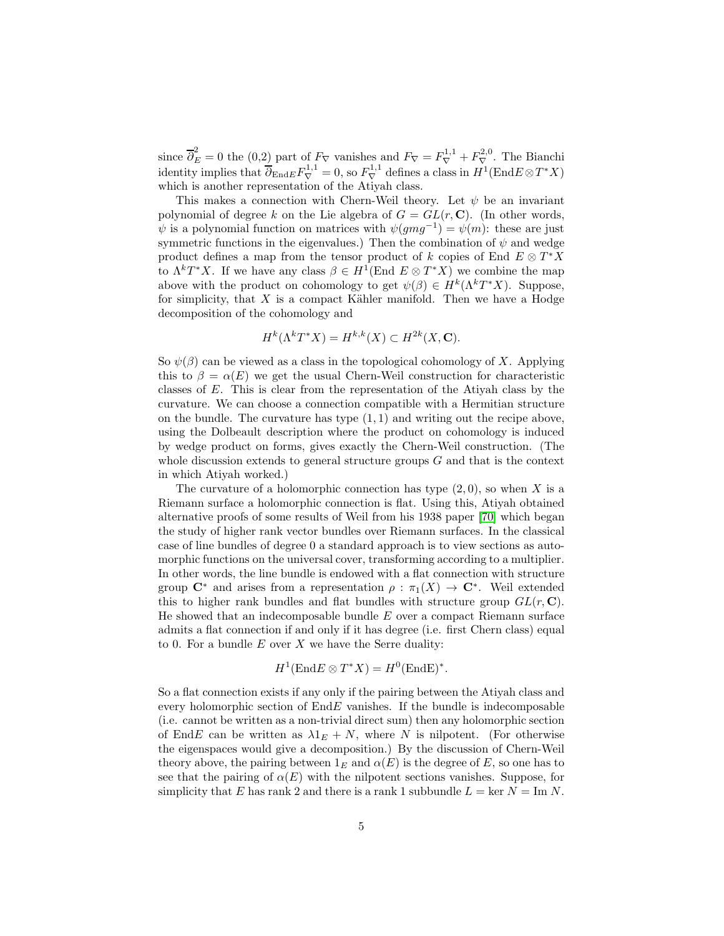since  $\overline{\partial}_E^2 = 0$  the (0,2) part of  $F_\nabla$  vanishes and  $F_\nabla = F_\nabla^{1,1} + F_\nabla^{2,0}$ . The Bianchi identity implies that  $\overline{\partial}_{\text{End}E} F_{\nabla}^{1,1} = 0$ , so  $F_{\nabla}^{1,1}$  defines a class in  $H^1(\text{End}E \otimes T^*X)$ which is another representation of the Atiyah class.

This makes a connection with Chern-Weil theory. Let  $\psi$  be an invariant polynomial of degree k on the Lie algebra of  $G = GL(r, \mathbb{C})$ . (In other words,  $\psi$  is a polynomial function on matrices with  $\psi(gmg^{-1}) = \psi(m)$ : these are just symmetric functions in the eigenvalues.) Then the combination of  $\psi$  and wedge product defines a map from the tensor product of k copies of End  $E \otimes T^*X$ to  $\Lambda^k T^* X$ . If we have any class  $\beta \in H^1(\text{End } E \otimes T^* X)$  we combine the map above with the product on cohomology to get  $\psi(\beta) \in H^k(\Lambda^kT^*X)$ . Suppose, for simplicity, that  $X$  is a compact Kähler manifold. Then we have a Hodge decomposition of the cohomology and

$$
H^k(\Lambda^k T^*X) = H^{k,k}(X) \subset H^{2k}(X, \mathbf{C}).
$$

So  $\psi(\beta)$  can be viewed as a class in the topological cohomology of X. Applying this to  $\beta = \alpha(E)$  we get the usual Chern-Weil construction for characteristic classes of E. This is clear from the representation of the Atiyah class by the curvature. We can choose a connection compatible with a Hermitian structure on the bundle. The curvature has type  $(1, 1)$  and writing out the recipe above, using the Dolbeault description where the product on cohomology is induced by wedge product on forms, gives exactly the Chern-Weil construction. (The whole discussion extends to general structure groups  $G$  and that is the context in which Atiyah worked.)

The curvature of a holomorphic connection has type  $(2, 0)$ , so when X is a Riemann surface a holomorphic connection is flat. Using this, Atiyah obtained alternative proofs of some results of Weil from his 1938 paper [\[70\]](#page-49-0) which began the study of higher rank vector bundles over Riemann surfaces. In the classical case of line bundles of degree 0 a standard approach is to view sections as automorphic functions on the universal cover, transforming according to a multiplier. In other words, the line bundle is endowed with a flat connection with structure group  $\mathbb{C}^*$  and arises from a representation  $\rho : \pi_1(X) \to \mathbb{C}^*$ . Weil extended this to higher rank bundles and flat bundles with structure group  $GL(r, \mathbb{C})$ . He showed that an indecomposable bundle  $E$  over a compact Riemann surface admits a flat connection if and only if it has degree (i.e. first Chern class) equal to 0. For a bundle  $E$  over  $X$  we have the Serre duality:

$$
H^1(\text{End}E \otimes T^*X) = H^0(\text{End}E)^*.
$$

So a flat connection exists if any only if the pairing between the Atiyah class and every holomorphic section of  $EndE$  vanishes. If the bundle is indecomposable (i.e. cannot be written as a non-trivial direct sum) then any holomorphic section of EndE can be written as  $\lambda 1_E + N$ , where N is nilpotent. (For otherwise the eigenspaces would give a decomposition.) By the discussion of Chern-Weil theory above, the pairing between  $1_E$  and  $\alpha(E)$  is the degree of E, so one has to see that the pairing of  $\alpha(E)$  with the nilpotent sections vanishes. Suppose, for simplicity that E has rank 2 and there is a rank 1 subbundle  $L = \text{ker } N = \text{Im } N$ .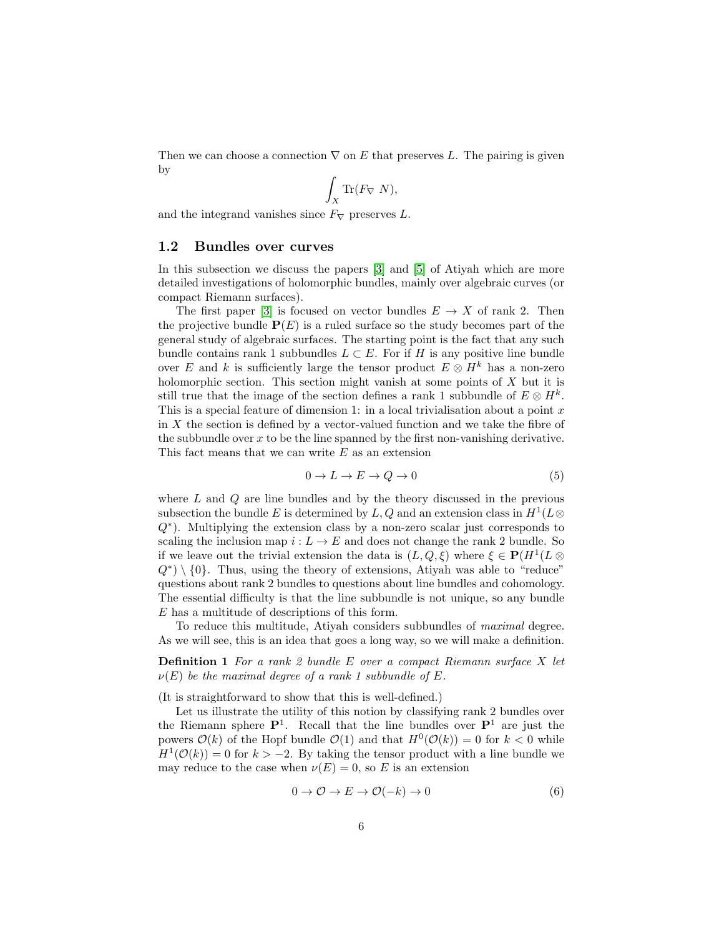Then we can choose a connection  $\nabla$  on E that preserves L. The pairing is given by

$$
\int_X \text{Tr}(F_{\nabla} N),
$$

and the integrand vanishes since  $F_{\nabla}$  preserves L.

#### <span id="page-5-0"></span>1.2 Bundles over curves

In this subsection we discuss the papers [\[3\]](#page-45-1) and [\[5\]](#page-45-2) of Atiyah which are more detailed investigations of holomorphic bundles, mainly over algebraic curves (or compact Riemann surfaces).

The first paper [\[3\]](#page-45-1) is focused on vector bundles  $E \to X$  of rank 2. Then the projective bundle  $P(E)$  is a ruled surface so the study becomes part of the general study of algebraic surfaces. The starting point is the fact that any such bundle contains rank 1 subbundles  $L \subset E$ . For if H is any positive line bundle over E and k is sufficiently large the tensor product  $E \otimes H^k$  has a non-zero holomorphic section. This section might vanish at some points of  $X$  but it is still true that the image of the section defines a rank 1 subbundle of  $E \otimes H^k$ . This is a special feature of dimension 1: in a local trivialisation about a point  $x$ in X the section is defined by a vector-valued function and we take the fibre of the subbundle over  $x$  to be the line spanned by the first non-vanishing derivative. This fact means that we can write  $E$  as an extension

$$
0 \to L \to E \to Q \to 0 \tag{5}
$$

where  $L$  and  $Q$  are line bundles and by the theory discussed in the previous subsection the bundle E is determined by L, Q and an extension class in  $H^1(L \otimes$ Q∗ ). Multiplying the extension class by a non-zero scalar just corresponds to scaling the inclusion map  $i: L \to E$  and does not change the rank 2 bundle. So if we leave out the trivial extension the data is  $(L, Q, \xi)$  where  $\xi \in \mathbf{P}(H^1(L \otimes$  $Q^{\ast})\setminus\{0\}.$  Thus, using the theory of extensions, Atiyah was able to "reduce" questions about rank 2 bundles to questions about line bundles and cohomology. The essential difficulty is that the line subbundle is not unique, so any bundle E has a multitude of descriptions of this form.

To reduce this multitude, Atiyah considers subbundles of maximal degree. As we will see, this is an idea that goes a long way, so we will make a definition.

**Definition 1** For a rank 2 bundle  $E$  over a compact Riemann surface  $X$  let  $\nu(E)$  be the maximal degree of a rank 1 subbundle of E.

(It is straightforward to show that this is well-defined.)

Let us illustrate the utility of this notion by classifying rank 2 bundles over the Riemann sphere  $\mathbf{P}^1$ . Recall that the line bundles over  $\mathbf{P}^1$  are just the powers  $\mathcal{O}(k)$  of the Hopf bundle  $\mathcal{O}(1)$  and that  $H^0(\mathcal{O}(k)) = 0$  for  $k < 0$  while  $H^1(\mathcal{O}(k)) = 0$  for  $k > -2$ . By taking the tensor product with a line bundle we may reduce to the case when  $\nu(E) = 0$ , so E is an extension

$$
0 \to \mathcal{O} \to E \to \mathcal{O}(-k) \to 0 \tag{6}
$$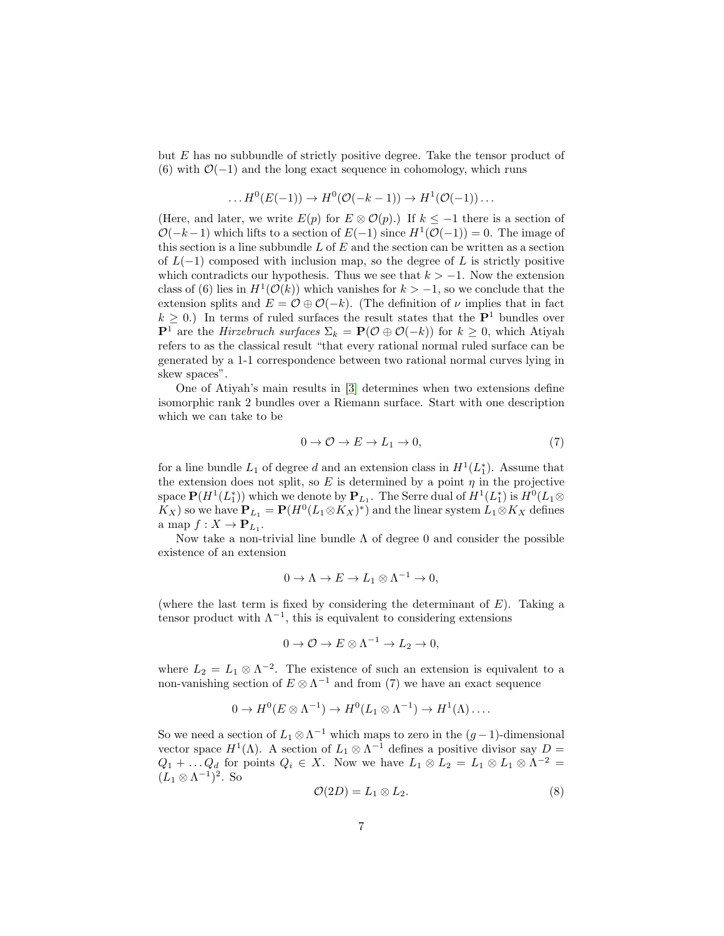but E has no subbundle of strictly positive degree. Take the tensor product of (6) with  $\mathcal{O}(-1)$  and the long exact sequence in cohomology, which runs

$$
\dots H^0(E(-1)) \to H^0(\mathcal{O}(-k-1)) \to H^1(\mathcal{O}(-1)) \dots
$$

(Here, and later, we write  $E(p)$  for  $E \otimes \mathcal{O}(p)$ .) If  $k \leq -1$  there is a section of  $\mathcal{O}(-k-1)$  which lifts to a section of  $E(-1)$  since  $H^1(\mathcal{O}(-1)) = 0$ . The image of this section is a line subbundle  $L$  of  $E$  and the section can be written as a section of  $L(-1)$  composed with inclusion map, so the degree of L is strictly positive which contradicts our hypothesis. Thus we see that  $k > -1$ . Now the extension class of (6) lies in  $H^1(\mathcal{O}(k))$  which vanishes for  $k > -1$ , so we conclude that the extension splits and  $E = \mathcal{O} \oplus \mathcal{O}(-k)$ . (The definition of  $\nu$  implies that in fact  $k \geq 0$ .) In terms of ruled surfaces the result states that the  $\mathbf{P}^1$  bundles over  ${\bf P}^1$  are the *Hirzebruch surfaces*  $\Sigma_k = {\bf P}({\cal O} \oplus {\cal O}(-k))$  for  $k \geq 0$ , which Atiyah refers to as the classical result "that every rational normal ruled surface can be generated by a 1-1 correspondence between two rational normal curves lying in skew spaces".

One of Atiyah's main results in [\[3\]](#page-45-1) determines when two extensions define isomorphic rank 2 bundles over a Riemann surface. Start with one description which we can take to be

$$
0 \to \mathcal{O} \to E \to L_1 \to 0,\tag{7}
$$

for a line bundle  $L_1$  of degree d and an extension class in  $H^1(L_1^*)$ . Assume that the extension does not split, so E is determined by a point  $\eta$  in the projective space  $\mathbf{P}(H^1(L_1^*))$  which we denote by  $\mathbf{P}_{L_1}$ . The Serre dual of  $H^1(L_1^*)$  is  $H^0(L_1 \otimes$  $K_X$ ) so we have  $\mathbf{P}_{L_1} = \mathbf{P}(H^0(L_1 \otimes K_X)^*)$  and the linear system  $L_1 \otimes K_X$  defines a map  $f: X \to \mathbf{P}_{L_1}$ .

Now take a non-trivial line bundle  $\Lambda$  of degree 0 and consider the possible existence of an extension

$$
0 \to \Lambda \to E \to L_1 \otimes \Lambda^{-1} \to 0,
$$

(where the last term is fixed by considering the determinant of  $E$ ). Taking a tensor product with  $\Lambda^{-1}$ , this is equivalent to considering extensions

$$
0 \to \mathcal{O} \to E \otimes \Lambda^{-1} \to L_2 \to 0,
$$

where  $L_2 = L_1 \otimes \Lambda^{-2}$ . The existence of such an extension is equivalent to a non-vanishing section of  $E \otimes \Lambda^{-1}$  and from (7) we have an exact sequence

$$
0 \to H^0(E \otimes \Lambda^{-1}) \to H^0(L_1 \otimes \Lambda^{-1}) \to H^1(\Lambda) \dots
$$

So we need a section of  $L_1 \otimes \Lambda^{-1}$  which maps to zero in the  $(g-1)$ -dimensional vector space  $H^1(\Lambda)$ . A section of  $L_1 \otimes \Lambda^{-1}$  defines a positive divisor say  $D =$  $Q_1 + \ldots Q_d$  for points  $Q_i \in X$ . Now we have  $L_1 \otimes L_2 = L_1 \otimes L_1 \otimes \Lambda^{-2} =$  $(L_1 \otimes \Lambda^{-1})^2$ . So

$$
\mathcal{O}(2D) = L_1 \otimes L_2. \tag{8}
$$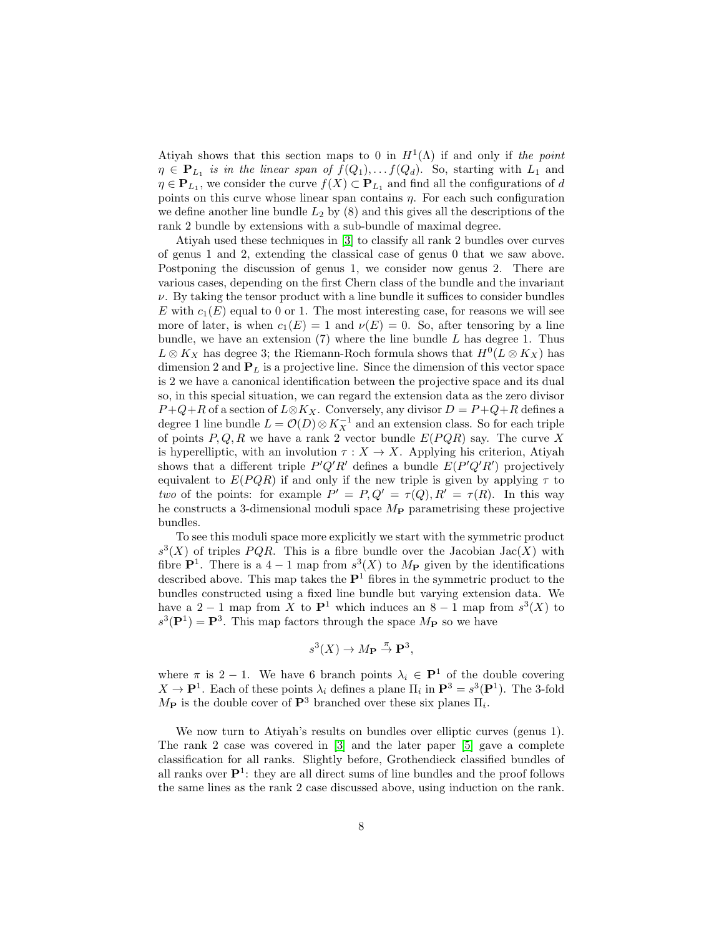Atiyah shows that this section maps to 0 in  $H^1(\Lambda)$  if and only if the point  $\eta \in \mathbf{P}_{L_1}$  is in the linear span of  $f(Q_1), \ldots, f(Q_d)$ . So, starting with  $L_1$  and  $\eta \in \mathbf{P}_{L_1}$ , we consider the curve  $f(X) \subset \mathbf{P}_{L_1}$  and find all the configurations of d points on this curve whose linear span contains  $\eta$ . For each such configuration we define another line bundle  $L_2$  by  $(8)$  and this gives all the descriptions of the rank 2 bundle by extensions with a sub-bundle of maximal degree.

Atiyah used these techniques in [\[3\]](#page-45-1) to classify all rank 2 bundles over curves of genus 1 and 2, extending the classical case of genus 0 that we saw above. Postponing the discussion of genus 1, we consider now genus 2. There are various cases, depending on the first Chern class of the bundle and the invariant  $\nu$ . By taking the tensor product with a line bundle it suffices to consider bundles E with  $c_1(E)$  equal to 0 or 1. The most interesting case, for reasons we will see more of later, is when  $c_1(E) = 1$  and  $\nu(E) = 0$ . So, after tensoring by a line bundle, we have an extension  $(7)$  where the line bundle L has degree 1. Thus  $L \otimes K_X$  has degree 3; the Riemann-Roch formula shows that  $H^0(L \otimes K_X)$  has dimension 2 and  $P_L$  is a projective line. Since the dimension of this vector space is 2 we have a canonical identification between the projective space and its dual so, in this special situation, we can regard the extension data as the zero divisor  $P+Q+R$  of a section of  $L\otimes K_X$ . Conversely, any divisor  $D=P+Q+R$  defines a degree 1 line bundle  $L = \mathcal{O}(D) \otimes K_X^{-1}$  and an extension class. So for each triple of points  $P, Q, R$  we have a rank 2 vector bundle  $E(PQR)$  say. The curve X is hyperelliptic, with an involution  $\tau : X \to X$ . Applying his criterion, Atiyah shows that a different triple  $P'Q'R'$  defines a bundle  $E(P'Q'R')$  projectively equivalent to  $E(PQR)$  if and only if the new triple is given by applying  $\tau$  to two of the points: for example  $P' = P, Q' = \tau(Q), R' = \tau(R)$ . In this way he constructs a 3-dimensional moduli space  $M_{\rm P}$  parametrising these projective bundles.

To see this moduli space more explicitly we start with the symmetric product  $s^3(X)$  of triples PQR. This is a fibre bundle over the Jacobian Jac(X) with fibre  $\mathbf{P}^1$ . There is a 4 - 1 map from  $s^3(X)$  to  $M_{\mathbf{P}}$  given by the identifications described above. This map takes the  $\mathbf{P}^1$  fibres in the symmetric product to the bundles constructed using a fixed line bundle but varying extension data. We have a 2 − 1 map from X to  $\mathbf{P}^1$  which induces an 8 − 1 map from  $s^3(X)$  to  $s^{3}(\mathbf{P}^{1}) = \mathbf{P}^{3}$ . This map factors through the space  $M_{\mathbf{P}}$  so we have

$$
s^3(X) \to M_{\mathbf{P}} \stackrel{\pi}{\to} \mathbf{P}^3,
$$

where  $\pi$  is 2 − 1. We have 6 branch points  $\lambda_i \in \mathbf{P}^1$  of the double covering  $X \to \mathbf{P}^1$ . Each of these points  $\lambda_i$  defines a plane  $\Pi_i$  in  $\mathbf{P}^3 = s^3(\mathbf{P}^1)$ . The 3-fold  $M_{\text{P}}$  is the double cover of  $\text{P}^3$  branched over these six planes  $\Pi_i$ .

We now turn to Atiyah's results on bundles over elliptic curves (genus 1). The rank 2 case was covered in [\[3\]](#page-45-1) and the later paper [\[5\]](#page-45-2) gave a complete classification for all ranks. Slightly before, Grothendieck classified bundles of all ranks over  $\mathbf{P}^1$ : they are all direct sums of line bundles and the proof follows the same lines as the rank 2 case discussed above, using induction on the rank.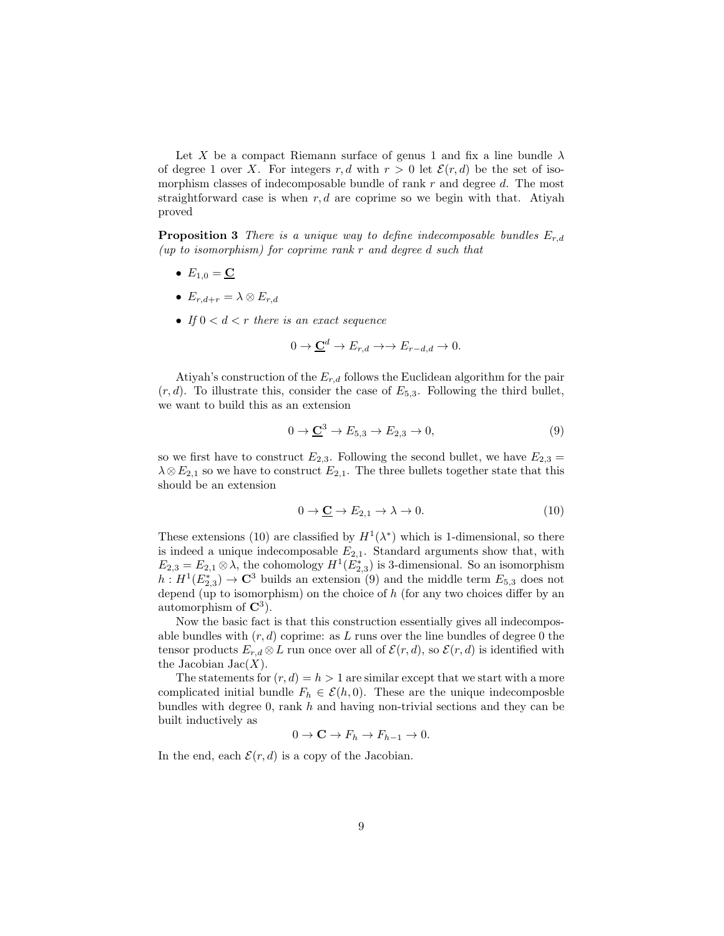Let X be a compact Riemann surface of genus 1 and fix a line bundle  $\lambda$ of degree 1 over X. For integers r, d with  $r > 0$  let  $\mathcal{E}(r, d)$  be the set of isomorphism classes of indecomposable bundle of rank r and degree d. The most straightforward case is when  $r, d$  are coprime so we begin with that. Atiyah proved

**Proposition 3** There is a unique way to define indecomposable bundles  $E_{r,d}$ (up to isomorphism) for coprime rank  $r$  and degree d such that

- $E_{1,0} = \mathbf{C}$
- $E_{r,d+r} = \lambda \otimes E_{r,d}$
- If  $0 < d < r$  there is an exact sequence

$$
0 \to \underline{\mathbf{C}}^d \to E_{r,d} \to \to E_{r-d,d} \to 0.
$$

Atiyah's construction of the  $E_{r,d}$  follows the Euclidean algorithm for the pair  $(r, d)$ . To illustrate this, consider the case of  $E_{5,3}$ . Following the third bullet, we want to build this as an extension

$$
0 \to \underline{\mathbf{C}}^3 \to E_{5,3} \to E_{2,3} \to 0,\tag{9}
$$

so we first have to construct  $E_{2,3}$ . Following the second bullet, we have  $E_{2,3}$  =  $\lambda \otimes E_{2,1}$  so we have to construct  $E_{2,1}$ . The three bullets together state that this should be an extension

$$
0 \to \underline{\mathbf{C}} \to E_{2,1} \to \lambda \to 0. \tag{10}
$$

These extensions (10) are classified by  $H^1(\lambda^*)$  which is 1-dimensional, so there is indeed a unique indecomposable  $E_{2,1}$ . Standard arguments show that, with  $E_{2,3} = E_{2,1} \otimes \lambda$ , the cohomology  $H^1(E_{2,3}^*)$  is 3-dimensional. So an isomorphism  $h: H^1(E_{2,3}^*) \to \mathbb{C}^3$  builds an extension (9) and the middle term  $E_{5,3}$  does not depend (up to isomorphism) on the choice of  $h$  (for any two choices differ by an automorphism of  $\mathbb{C}^3$ ).

Now the basic fact is that this construction essentially gives all indecomposable bundles with  $(r, d)$  coprime: as L runs over the line bundles of degree 0 the tensor products  $E_{r,d} \otimes L$  run once over all of  $\mathcal{E}(r,d)$ , so  $\mathcal{E}(r,d)$  is identified with the Jacobian  $Jac(X)$ .

The statements for  $(r, d) = h > 1$  are similar except that we start with a more complicated initial bundle  $F_h \in \mathcal{E}(h, 0)$ . These are the unique indecomposble bundles with degree 0, rank  $h$  and having non-trivial sections and they can be built inductively as

$$
0 \to \mathbf{C} \to F_h \to F_{h-1} \to 0.
$$

In the end, each  $\mathcal{E}(r, d)$  is a copy of the Jacobian.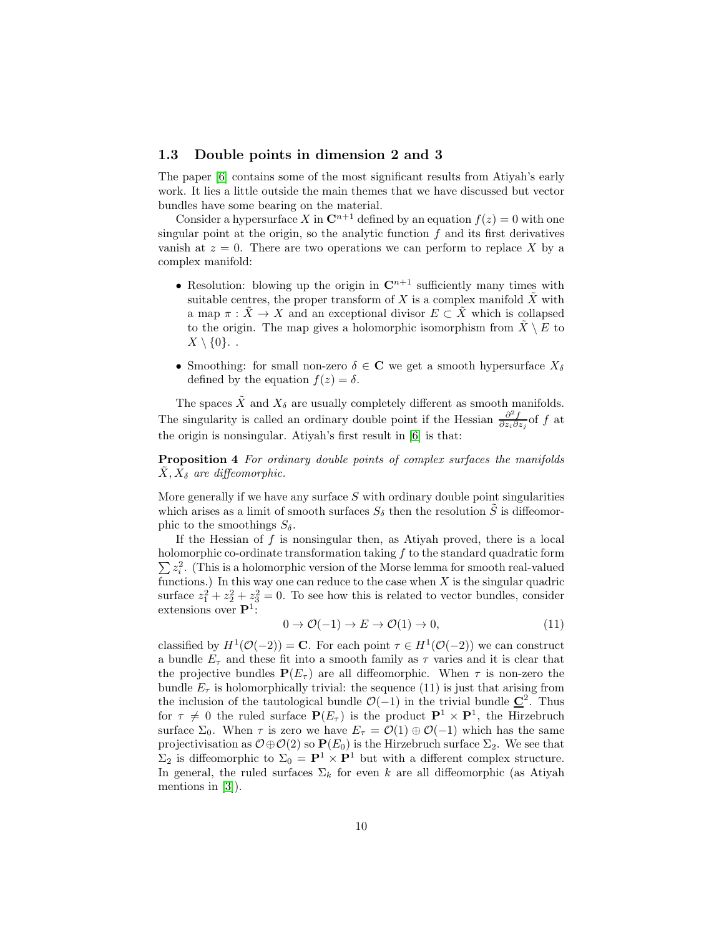#### <span id="page-9-0"></span>1.3 Double points in dimension 2 and 3

The paper [\[6\]](#page-45-3) contains some of the most significant results from Atiyah's early work. It lies a little outside the main themes that we have discussed but vector bundles have some bearing on the material.

Consider a hypersurface X in  $\mathbb{C}^{n+1}$  defined by an equation  $f(z) = 0$  with one singular point at the origin, so the analytic function  $f$  and its first derivatives vanish at  $z = 0$ . There are two operations we can perform to replace X by a complex manifold:

- Resolution: blowing up the origin in  $\mathbb{C}^{n+1}$  sufficiently many times with suitable centres, the proper transform of X is a complex manifold  $\tilde{X}$  with a map  $\pi : \tilde{X} \to X$  and an exceptional divisor  $E \subset \tilde{X}$  which is collapsed to the origin. The map gives a holomorphic isomorphism from  $\hat{X} \setminus E$  to  $X \setminus \{0\}$ .
- Smoothing: for small non-zero  $\delta \in \mathbb{C}$  we get a smooth hypersurface  $X_{\delta}$ defined by the equation  $f(z) = \delta$ .

The spaces  $\tilde{X}$  and  $X_{\delta}$  are usually completely different as smooth manifolds. The singularity is called an ordinary double point if the Hessian  $\frac{\partial^2 f}{\partial z_i \partial z_j}$  of f at the origin is nonsingular. Atiyah's first result in [\[6\]](#page-45-3) is that:

Proposition 4 For ordinary double points of complex surfaces the manifolds  $\tilde{X}, X_{\delta}$  are diffeomorphic.

More generally if we have any surface  $S$  with ordinary double point singularities which arises as a limit of smooth surfaces  $S_{\delta}$  then the resolution S is diffeomorphic to the smoothings  $S_\delta$ .

If the Hessian of  $f$  is nonsingular then, as Atiyah proved, there is a local holomorphic co-ordinate transformation taking  $f$  to the standard quadratic form  $\sum z_i^2$ . (This is a holomorphic version of the Morse lemma for smooth real-valued functions.) In this way one can reduce to the case when  $X$  is the singular quadric surface  $z_1^2 + z_2^2 + z_3^2 = 0$ . To see how this is related to vector bundles, consider extensions over  $\mathbf{P}^1$ :

$$
0 \to \mathcal{O}(-1) \to E \to \mathcal{O}(1) \to 0,\tag{11}
$$

classified by  $H^1(\mathcal{O}(-2)) = \mathbf{C}$ . For each point  $\tau \in H^1(\mathcal{O}(-2))$  we can construct a bundle  $E<sub>\tau</sub>$  and these fit into a smooth family as  $\tau$  varies and it is clear that the projective bundles  $P(E_{\tau})$  are all diffeomorphic. When  $\tau$  is non-zero the bundle  $E_{\tau}$  is holomorphically trivial: the sequence (11) is just that arising from the inclusion of the tautological bundle  $\mathcal{O}(-1)$  in the trivial bundle  $\underline{\mathbf{C}}^2$ . Thus for  $\tau \neq 0$  the ruled surface  $P(E_{\tau})$  is the product  $P^1 \times P^1$ , the Hirzebruch surface  $\Sigma_0$ . When  $\tau$  is zero we have  $E_{\tau} = \mathcal{O}(1) \oplus \mathcal{O}(-1)$  which has the same projectivisation as  $\mathcal{O} \oplus \mathcal{O}(2)$  so  $\mathbf{P}(E_0)$  is the Hirzebruch surface  $\Sigma_2$ . We see that  $\Sigma_2$  is diffeomorphic to  $\Sigma_0 = \mathbf{P}^1 \times \mathbf{P}^1$  but with a different complex structure. In general, the ruled surfaces  $\Sigma_k$  for even k are all diffeomorphic (as Atiyah mentions in [\[3\]](#page-45-1)).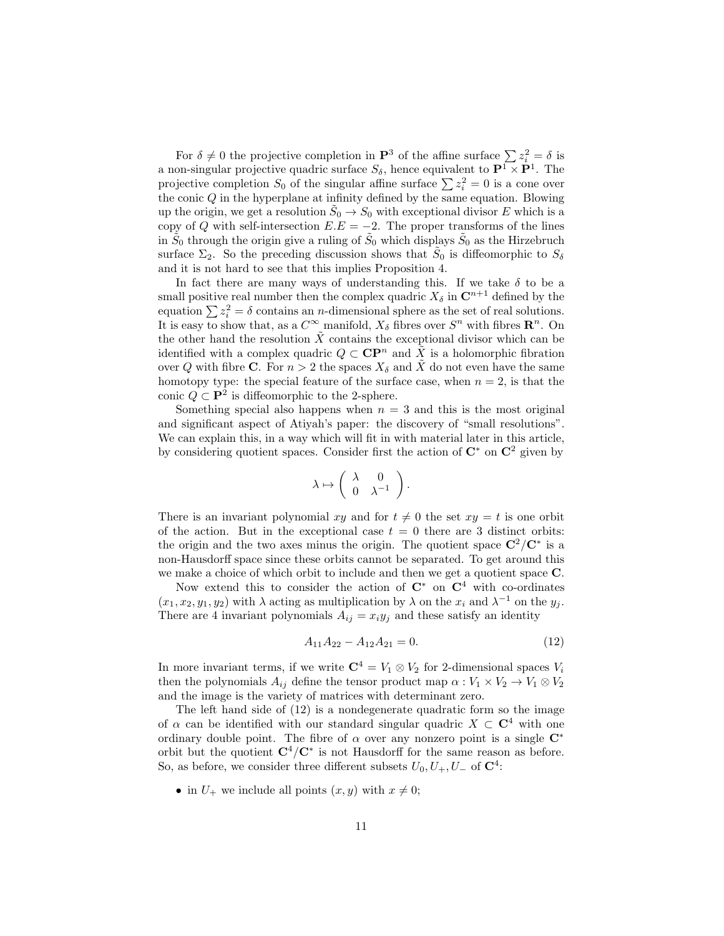For  $\delta \neq 0$  the projective completion in  $\mathbf{P}^3$  of the affine surface  $\sum_{i=1}^{n} z_i^2 = \delta$  is a non-singular projective quadric surface  $S_{\delta}$ , hence equivalent to  $\mathbf{P}^1 \times \mathbf{P}^1$ . The projective completion  $S_0$  of the singular affine surface  $\sum z_i^2 = 0$  is a cone over the conic  $Q$  in the hyperplane at infinity defined by the same equation. Blowing up the origin, we get a resolution  $\tilde{S}_0 \to S_0$  with exceptional divisor E which is a copy of Q with self-intersection  $E.E = -2$ . The proper transforms of the lines in  $\tilde{S}_0$  through the origin give a ruling of  $\tilde{S}_0$  which displays  $\tilde{S}_0$  as the Hirzebruch surface  $\Sigma_2$ . So the preceding discussion shows that  $\tilde{S}_0$  is diffeomorphic to  $S_\delta$ and it is not hard to see that this implies Proposition 4.

In fact there are many ways of understanding this. If we take  $\delta$  to be a small positive real number then the complex quadric  $X_{\delta}$  in  $\mathbb{C}^{n+1}$  defined by the equation  $\sum z_i^2 = \delta$  contains an *n*-dimensional sphere as the set of real solutions. It is easy to show that, as a  $C^{\infty}$  manifold,  $X_{\delta}$  fibres over  $S^n$  with fibres  $\mathbb{R}^n$ . On the other hand the resolution  $\tilde{X}$  contains the exceptional divisor which can be identified with a complex quadric  $Q \subset \mathbf{CP}^n$  and  $\tilde{X}$  is a holomorphic fibration over Q with fibre C. For  $n > 2$  the spaces  $X_{\delta}$  and  $\tilde{X}$  do not even have the same homotopy type: the special feature of the surface case, when  $n = 2$ , is that the conic  $Q \subset \mathbf{P}^2$  is diffeomorphic to the 2-sphere.

Something special also happens when  $n = 3$  and this is the most original and significant aspect of Atiyah's paper: the discovery of "small resolutions". We can explain this, in a way which will fit in with material later in this article, by considering quotient spaces. Consider first the action of  $\mathbb{C}^*$  on  $\mathbb{C}^2$  given by

$$
\lambda \mapsto \left( \begin{array}{cc} \lambda & 0 \\ 0 & \lambda^{-1} \end{array} \right).
$$

There is an invariant polynomial xy and for  $t \neq 0$  the set  $xy = t$  is one orbit of the action. But in the exceptional case  $t = 0$  there are 3 distinct orbits: the origin and the two axes minus the origin. The quotient space  $\mathbb{C}^2/\mathbb{C}^*$  is a non-Hausdorff space since these orbits cannot be separated. To get around this we make a choice of which orbit to include and then we get a quotient space C.

Now extend this to consider the action of  $\mathbb{C}^*$  on  $\mathbb{C}^4$  with co-ordinates  $(x_1, x_2, y_1, y_2)$  with  $\lambda$  acting as multiplication by  $\lambda$  on the  $x_i$  and  $\lambda^{-1}$  on the  $y_j$ . There are 4 invariant polynomials  $A_{ij} = x_i y_j$  and these satisfy an identity

$$
A_{11}A_{22} - A_{12}A_{21} = 0. \t\t(12)
$$

In more invariant terms, if we write  $\mathbb{C}^4 = V_1 \otimes V_2$  for 2-dimensional spaces  $V_i$ then the polynomials  $A_{ij}$  define the tensor product map  $\alpha: V_1 \times V_2 \to V_1 \otimes V_2$ and the image is the variety of matrices with determinant zero.

The left hand side of (12) is a nondegenerate quadratic form so the image of  $\alpha$  can be identified with our standard singular quadric  $X \subset \mathbb{C}^4$  with one ordinary double point. The fibre of  $\alpha$  over any nonzero point is a single  $\mathbb{C}^*$ orbit but the quotient  $\mathbf{C}^4/\mathbf{C}^*$  is not Hausdorff for the same reason as before. So, as before, we consider three different subsets  $U_0, U_+, U_-$  of  $\mathbb{C}^4$ :

• in  $U_+$  we include all points  $(x, y)$  with  $x \neq 0$ ;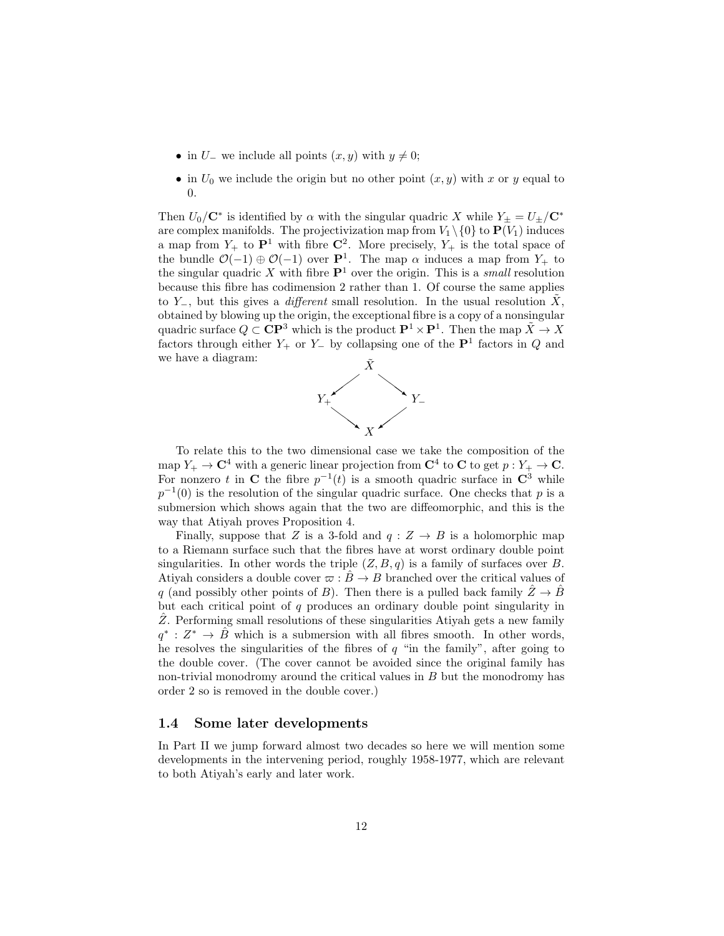- in  $U_-\,$  we include all points  $(x, y)$  with  $y \neq 0;$
- in  $U_0$  we include the origin but no other point  $(x, y)$  with x or y equal to  $\Omega$ .

Then  $U_0/C^*$  is identified by  $\alpha$  with the singular quadric X while  $Y_{\pm} = U_{\pm}/C^*$ are complex manifolds. The projectivization map from  $V_1 \setminus \{0\}$  to  $\mathbf{P}(V_1)$  induces a map from  $Y_+$  to  $\mathbf{P}^1$  with fibre  $\mathbf{C}^2$ . More precisely,  $Y_+$  is the total space of the bundle  $\mathcal{O}(-1) \oplus \mathcal{O}(-1)$  over  $\mathbf{P}^1$ . The map  $\alpha$  induces a map from  $Y_+$  to the singular quadric X with fibre  $\mathbf{P}^1$  over the origin. This is a *small* resolution because this fibre has codimension 2 rather than 1. Of course the same applies to  $Y_$ , but this gives a *different* small resolution. In the usual resolution  $\tilde{X}$ , obtained by blowing up the origin, the exceptional fibre is a copy of a nonsingular quadric surface  $Q \subset \mathbf{CP}^3$  which is the product  $\mathbf{P}^1 \times \mathbf{P}^1$ . Then the map  $\tilde{X} \to X$ factors through either  $Y_+$  or  $Y_-\,$  by collapsing one of the  $\mathbf{P}^1$  factors in  $Q$  and we have a diagram:



To relate this to the two dimensional case we take the composition of the map  $Y_+ \to \mathbf{C}^4$  with a generic linear projection from  $\mathbf{C}^4$  to  $\mathbf{C}$  to get  $p: Y_+ \to \mathbf{C}$ . For nonzero t in C the fibre  $p^{-1}(t)$  is a smooth quadric surface in  $\mathbb{C}^3$  while  $p^{-1}(0)$  is the resolution of the singular quadric surface. One checks that p is a submersion which shows again that the two are diffeomorphic, and this is the way that Atiyah proves Proposition 4.

Finally, suppose that Z is a 3-fold and  $q: Z \rightarrow B$  is a holomorphic map to a Riemann surface such that the fibres have at worst ordinary double point singularities. In other words the triple  $(Z, B, q)$  is a family of surfaces over B. Atiyah considers a double cover  $\varpi : \hat{B} \to B$  branched over the critical values of q (and possibly other points of B). Then there is a pulled back family  $\hat{Z} \rightarrow \hat{B}$ but each critical point of  $q$  produces an ordinary double point singularity in  $Z$ . Performing small resolutions of these singularities Ativah gets a new family  $q^* : Z^* \to \hat{B}$  which is a submersion with all fibres smooth. In other words, he resolves the singularities of the fibres of  $q$  "in the family", after going to the double cover. (The cover cannot be avoided since the original family has non-trivial monodromy around the critical values in  $B$  but the monodromy has order 2 so is removed in the double cover.)

#### <span id="page-11-0"></span>1.4 Some later developments

In Part II we jump forward almost two decades so here we will mention some developments in the intervening period, roughly 1958-1977, which are relevant to both Atiyah's early and later work.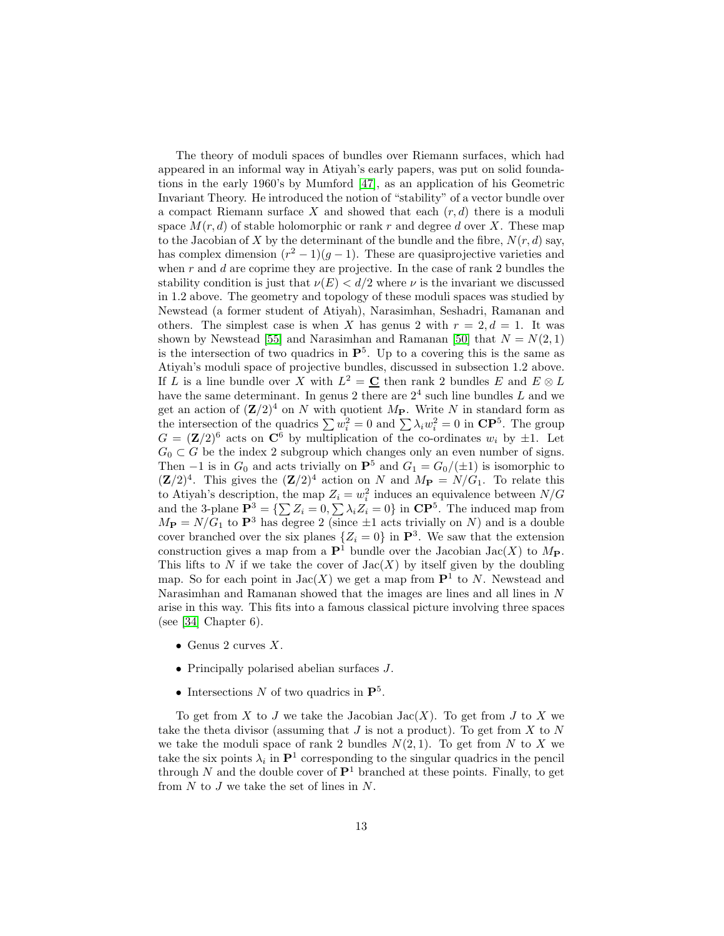The theory of moduli spaces of bundles over Riemann surfaces, which had appeared in an informal way in Atiyah's early papers, was put on solid foundations in the early 1960's by Mumford [\[47\]](#page-47-0), as an application of his Geometric Invariant Theory. He introduced the notion of "stability" of a vector bundle over a compact Riemann surface X and showed that each  $(r, d)$  there is a moduli space  $M(r, d)$  of stable holomorphic or rank r and degree d over X. These map to the Jacobian of X by the determinant of the bundle and the fibre,  $N(r, d)$  say, has complex dimension  $(r^2 - 1)(g - 1)$ . These are quasiprojective varieties and when  $r$  and  $d$  are coprime they are projective. In the case of rank 2 bundles the stability condition is just that  $\nu(E) < d/2$  where  $\nu$  is the invariant we discussed in 1.2 above. The geometry and topology of these moduli spaces was studied by Newstead (a former student of Atiyah), Narasimhan, Seshadri, Ramanan and others. The simplest case is when X has genus 2 with  $r = 2, d = 1$ . It was shown by Newstead [\[55\]](#page-48-0) and Narasimhan and Ramanan [\[50\]](#page-48-1) that  $N = N(2, 1)$ is the intersection of two quadrics in  $\mathbf{P}^5$ . Up to a covering this is the same as Atiyah's moduli space of projective bundles, discussed in subsection 1.2 above. If L is a line bundle over X with  $L^2 = \underline{C}$  then rank 2 bundles E and  $E \otimes L$ have the same determinant. In genus 2 there are  $2<sup>4</sup>$  such line bundles L and we get an action of  $(\mathbf{Z}/2)^4$  on N with quotient  $M_P$ . Write N in standard form as the intersection of the quadrics  $\sum w_i^2 = 0$  and  $\sum \lambda_i w_i^2 = 0$  in  $\mathbb{CP}^5$ . The group  $G = (\mathbf{Z}/2)^6$  acts on  $\mathbf{C}^6$  by multiplication of the co-ordinates  $w_i$  by  $\pm 1$ . Let  $G_0 \subset G$  be the index 2 subgroup which changes only an even number of signs. Then −1 is in  $G_0$  and acts trivially on  $\mathbf{P}^5$  and  $G_1 = G_0/(\pm 1)$  is isomorphic to  $({\bf Z}/2)^4$ . This gives the  $({\bf Z}/2)^4$  action on N and  $M_{\bf P} = N/G_1$ . To relate this to Atiyah's description, the map  $Z_i = w_i^2$  induces an equivalence between  $N/G$ and the 3-plane  $\mathbf{P}^3 = \{\sum Z_i = 0, \sum \lambda_i Z_i = 0\}$  in  $\mathbf{CP}^5$ . The induced map from  $M_{\rm P} = N/G_1$  to  $\rm P^3$  has degree 2 (since  $\pm 1$  acts trivially on N) and is a double cover branched over the six planes  $\{Z_i = 0\}$  in  $\mathbf{P}^3$ . We saw that the extension construction gives a map from a  $\mathbf{P}^1$  bundle over the Jacobian Jac(X) to  $M_{\mathbf{P}}$ . This lifts to N if we take the cover of  $Jac(X)$  by itself given by the doubling map. So for each point in  $Jac(X)$  we get a map from  $\mathbf{P}^1$  to N. Newstead and Narasimhan and Ramanan showed that the images are lines and all lines in N arise in this way. This fits into a famous classical picture involving three spaces (see [\[34\]](#page-47-1) Chapter  $6$ ).

- Genus 2 curves  $X$ .
- Principally polarised abelian surfaces J.
- Intersections N of two quadrics in  $\mathbf{P}^5$ .

To get from X to J we take the Jacobian Jac $(X)$ . To get from J to X we take the theta divisor (assuming that  $J$  is not a product). To get from  $X$  to  $N$ we take the moduli space of rank 2 bundles  $N(2, 1)$ . To get from N to X we take the six points  $\lambda_i$  in  $\mathbf{P}^1$  corresponding to the singular quadrics in the pencil through N and the double cover of  $\mathbf{P}^1$  branched at these points. Finally, to get from  $N$  to  $J$  we take the set of lines in  $N$ .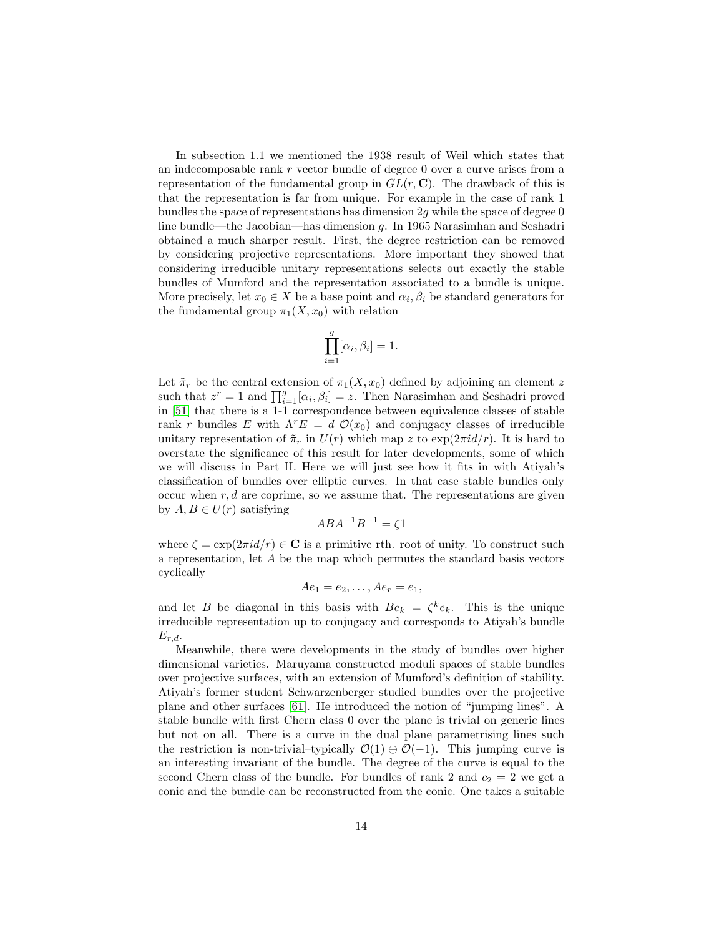In subsection 1.1 we mentioned the 1938 result of Weil which states that an indecomposable rank r vector bundle of degree 0 over a curve arises from a representation of the fundamental group in  $GL(r, \mathbb{C})$ . The drawback of this is that the representation is far from unique. For example in the case of rank 1 bundles the space of representations has dimension  $2q$  while the space of degree 0 line bundle—the Jacobian—has dimension g. In 1965 Narasimhan and Seshadri obtained a much sharper result. First, the degree restriction can be removed by considering projective representations. More important they showed that considering irreducible unitary representations selects out exactly the stable bundles of Mumford and the representation associated to a bundle is unique. More precisely, let  $x_0 \in X$  be a base point and  $\alpha_i, \beta_i$  be standard generators for the fundamental group  $\pi_1(X, x_0)$  with relation

$$
\prod_{i=1}^{g} [\alpha_i, \beta_i] = 1.
$$

Let  $\tilde{\pi}_r$  be the central extension of  $\pi_1(X, x_0)$  defined by adjoining an element z such that  $z^r = 1$  and  $\prod_{i=1}^g [\alpha_i, \beta_i] = z$ . Then Narasimhan and Seshadri proved in [\[51\]](#page-48-2) that there is a 1-1 correspondence between equivalence classes of stable rank r bundles E with  $\Lambda^r E = d \mathcal{O}(x_0)$  and conjugacy classes of irreducible unitary representation of  $\tilde{\pi}_r$  in  $U(r)$  which map z to  $\exp(2\pi i d/r)$ . It is hard to overstate the significance of this result for later developments, some of which we will discuss in Part II. Here we will just see how it fits in with Atiyah's classification of bundles over elliptic curves. In that case stable bundles only occur when  $r, d$  are coprime, so we assume that. The representations are given by  $A, B \in U(r)$  satisfying

$$
ABA^{-1}B^{-1} = \zeta 1
$$

where  $\zeta = \exp(2\pi i d/r) \in \mathbb{C}$  is a primitive rth. root of unity. To construct such a representation, let A be the map which permutes the standard basis vectors cyclically

$$
Ae_1=e_2,\ldots,Ae_r=e_1,
$$

and let B be diagonal in this basis with  $Be_k = \zeta^k e_k$ . This is the unique irreducible representation up to conjugacy and corresponds to Atiyah's bundle  $E_{r,d}.$ 

Meanwhile, there were developments in the study of bundles over higher dimensional varieties. Maruyama constructed moduli spaces of stable bundles over projective surfaces, with an extension of Mumford's definition of stability. Atiyah's former student Schwarzenberger studied bundles over the projective plane and other surfaces [\[61\]](#page-48-3). He introduced the notion of "jumping lines". A stable bundle with first Chern class 0 over the plane is trivial on generic lines but not on all. There is a curve in the dual plane parametrising lines such the restriction is non-trivial–typically  $\mathcal{O}(1) \oplus \mathcal{O}(-1)$ . This jumping curve is an interesting invariant of the bundle. The degree of the curve is equal to the second Chern class of the bundle. For bundles of rank 2 and  $c_2 = 2$  we get a conic and the bundle can be reconstructed from the conic. One takes a suitable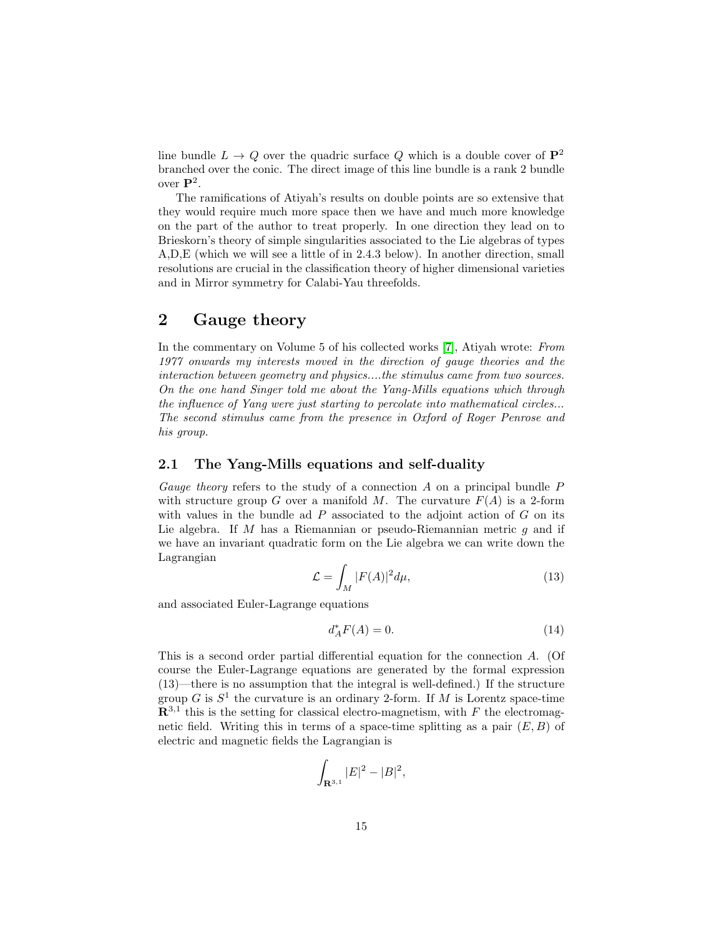line bundle  $L \to Q$  over the quadric surface Q which is a double cover of  $\mathbf{P}^2$ branched over the conic. The direct image of this line bundle is a rank 2 bundle over  $\mathbf{P}^2$ .

The ramifications of Atiyah's results on double points are so extensive that they would require much more space then we have and much more knowledge on the part of the author to treat properly. In one direction they lead on to Brieskorn's theory of simple singularities associated to the Lie algebras of types A,D,E (which we will see a little of in 2.4.3 below). In another direction, small resolutions are crucial in the classification theory of higher dimensional varieties and in Mirror symmetry for Calabi-Yau threefolds.

# <span id="page-14-0"></span>2 Gauge theory

In the commentary on Volume 5 of his collected works [\[7\]](#page-45-4), Atiyah wrote: From 1977 onwards my interests moved in the direction of gauge theories and the interaction between geometry and physics....the stimulus came from two sources. On the one hand Singer told me about the Yang-Mills equations which through the influence of Yang were just starting to percolate into mathematical circles... The second stimulus came from the presence in Oxford of Roger Penrose and his group.

# <span id="page-14-1"></span>2.1 The Yang-Mills equations and self-duality

Gauge theory refers to the study of a connection  $A$  on a principal bundle  $P$ with structure group G over a manifold M. The curvature  $F(A)$  is a 2-form with values in the bundle ad  $P$  associated to the adjoint action of  $G$  on its Lie algebra. If M has a Riemannian or pseudo-Riemannian metric q and if we have an invariant quadratic form on the Lie algebra we can write down the Lagrangian

$$
\mathcal{L} = \int_{M} |F(A)|^2 d\mu,
$$
\n(13)

and associated Euler-Lagrange equations

$$
d_A^*F(A) = 0.\t\t(14)
$$

This is a second order partial differential equation for the connection A. (Of course the Euler-Lagrange equations are generated by the formal expression (13)—there is no assumption that the integral is well-defined.) If the structure group G is  $S^1$  the curvature is an ordinary 2-form. If M is Lorentz space-time  $\mathbb{R}^{3,1}$  this is the setting for classical electro-magnetism, with F the electromagnetic field. Writing this in terms of a space-time splitting as a pair  $(E, B)$  of electric and magnetic fields the Lagrangian is

$$
\int_{\mathbf{R}^{3,1}}|E|^2-|B|^2,
$$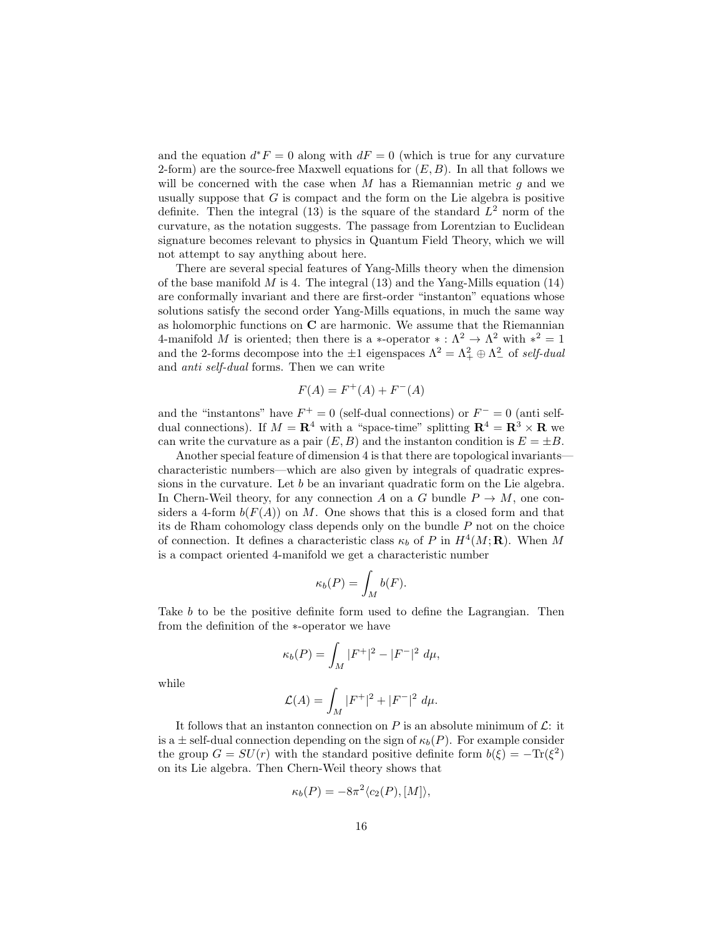and the equation  $d^*F = 0$  along with  $dF = 0$  (which is true for any curvature 2-form) are the source-free Maxwell equations for  $(E, B)$ . In all that follows we will be concerned with the case when M has a Riemannian metric  $q$  and we usually suppose that  $G$  is compact and the form on the Lie algebra is positive definite. Then the integral (13) is the square of the standard  $L^2$  norm of the curvature, as the notation suggests. The passage from Lorentzian to Euclidean signature becomes relevant to physics in Quantum Field Theory, which we will not attempt to say anything about here.

There are several special features of Yang-Mills theory when the dimension of the base manifold  $M$  is 4. The integral (13) and the Yang-Mills equation (14) are conformally invariant and there are first-order "instanton" equations whose solutions satisfy the second order Yang-Mills equations, in much the same way as holomorphic functions on C are harmonic. We assume that the Riemannian 4-manifold M is oriented; then there is a  $*$ -operator  $* : \Lambda^2 \to \Lambda^2$  with  $*^2 = 1$ and the 2-forms decompose into the  $\pm 1$  eigenspaces  $\Lambda^2 = \Lambda^2_+ \oplus \Lambda^2_-$  of self-dual and anti self-dual forms. Then we can write

$$
F(A) = F^+(A) + F^-(A)
$$

and the "instantons" have  $F^+ = 0$  (self-dual connections) or  $F^- = 0$  (anti selfdual connections). If  $M = \mathbb{R}^4$  with a "space-time" splitting  $\mathbb{R}^4 = \mathbb{R}^3 \times \mathbb{R}$  we can write the curvature as a pair  $(E, B)$  and the instanton condition is  $E = \pm B$ .

Another special feature of dimension 4 is that there are topological invariants characteristic numbers—which are also given by integrals of quadratic expressions in the curvature. Let b be an invariant quadratic form on the Lie algebra. In Chern-Weil theory, for any connection A on a G bundle  $P \to M$ , one considers a 4-form  $b(F(A))$  on M. One shows that this is a closed form and that its de Rham cohomology class depends only on the bundle P not on the choice of connection. It defines a characteristic class  $\kappa_b$  of P in  $H^4(M; \mathbf{R})$ . When M is a compact oriented 4-manifold we get a characteristic number

$$
\kappa_b(P) = \int_M b(F).
$$

Take b to be the positive definite form used to define the Lagrangian. Then from the definition of the ∗-operator we have

$$
\kappa_b(P) = \int_M |F^+|^2 - |F^-|^2 \ d\mu,
$$

while

$$
\mathcal{L}(A) = \int_M |F^+|^2 + |F^-|^2 \, d\mu.
$$

It follows that an instanton connection on P is an absolute minimum of  $\mathcal{L}$ : it is a  $\pm$  self-dual connection depending on the sign of  $\kappa_b(P)$ . For example consider the group  $G = SU(r)$  with the standard positive definite form  $b(\xi) = -\text{Tr}(\xi^2)$ on its Lie algebra. Then Chern-Weil theory shows that

$$
\kappa_b(P) = -8\pi^2 \langle c_2(P), [M] \rangle,
$$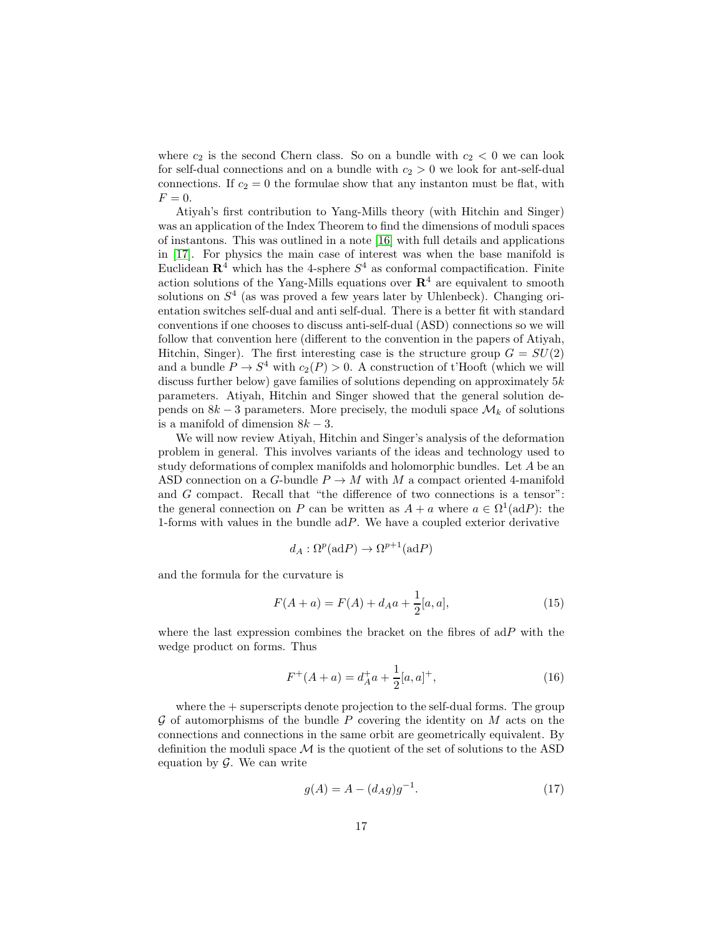where  $c_2$  is the second Chern class. So on a bundle with  $c_2 < 0$  we can look for self-dual connections and on a bundle with  $c_2 > 0$  we look for ant-self-dual connections. If  $c_2 = 0$  the formulae show that any instanton must be flat, with  $F=0.$ 

Atiyah's first contribution to Yang-Mills theory (with Hitchin and Singer) was an application of the Index Theorem to find the dimensions of moduli spaces of instantons. This was outlined in a note [\[16\]](#page-46-0) with full details and applications in [\[17\]](#page-46-1). For physics the main case of interest was when the base manifold is Euclidean  $\mathbb{R}^4$  which has the 4-sphere  $S^4$  as conformal compactification. Finite action solutions of the Yang-Mills equations over  $\mathbb{R}^4$  are equivalent to smooth solutions on  $S<sup>4</sup>$  (as was proved a few years later by Uhlenbeck). Changing orientation switches self-dual and anti self-dual. There is a better fit with standard conventions if one chooses to discuss anti-self-dual (ASD) connections so we will follow that convention here (different to the convention in the papers of Atiyah, Hitchin, Singer). The first interesting case is the structure group  $G = SU(2)$ and a bundle  $P \to S^4$  with  $c_2(P) > 0$ . A construction of t'Hooft (which we will discuss further below) gave families of solutions depending on approximately  $5k$ parameters. Atiyah, Hitchin and Singer showed that the general solution depends on  $8k-3$  parameters. More precisely, the moduli space  $\mathcal{M}_k$  of solutions is a manifold of dimension  $8k - 3$ .

We will now review Atiyah, Hitchin and Singer's analysis of the deformation problem in general. This involves variants of the ideas and technology used to study deformations of complex manifolds and holomorphic bundles. Let A be an ASD connection on a G-bundle  $P \to M$  with M a compact oriented 4-manifold and G compact. Recall that "the difference of two connections is a tensor": the general connection on P can be written as  $A + a$  where  $a \in \Omega^1(\text{ad}P)$ : the 1-forms with values in the bundle  $adP$ . We have a coupled exterior derivative

$$
d_A: \Omega^p(\mathrm{ad}P) \to \Omega^{p+1}(\mathrm{ad}P)
$$

and the formula for the curvature is

$$
F(A+a) = F(A) + d_A a + \frac{1}{2}[a, a],
$$
\n(15)

where the last expression combines the bracket on the fibres of  $adP$  with the wedge product on forms. Thus

$$
F^{+}(A+a) = d_{A}^{+}a + \frac{1}{2}[a,a]^{+},
$$
\n(16)

where the  $+$  superscripts denote projection to the self-dual forms. The group G of automorphisms of the bundle P covering the identity on  $M$  acts on the connections and connections in the same orbit are geometrically equivalent. By definition the moduli space  $\mathcal M$  is the quotient of the set of solutions to the ASD equation by  $\mathcal{G}$ . We can write

$$
g(A) = A - (d_A g)g^{-1}.
$$
 (17)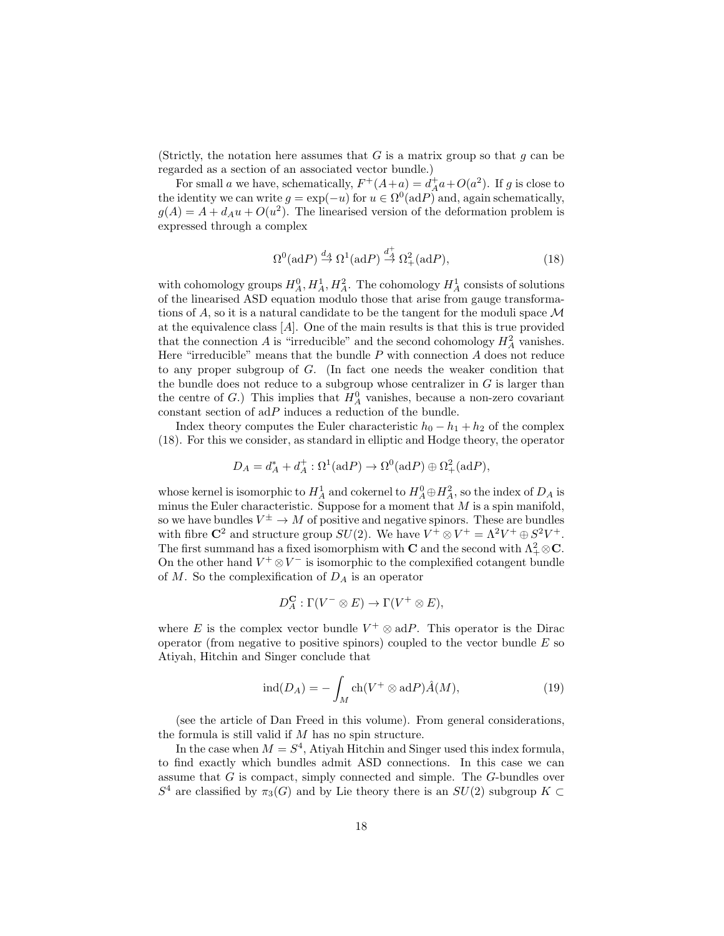(Strictly, the notation here assumes that G is a matrix group so that  $g$  can be regarded as a section of an associated vector bundle.)

For small a we have, schematically,  $F^+(A + a) = d_A^+ a + O(a^2)$ . If g is close to the identity we can write  $g = \exp(-u)$  for  $u \in \Omega^0(\text{ad}P)$  and, again schematically,  $g(A) = A + d_A u + O(u^2)$ . The linearised version of the deformation problem is expressed through a complex

$$
\Omega^0(\text{ad}P) \stackrel{d_A}{\to} \Omega^1(\text{ad}P) \stackrel{d_A^+}{\to} \Omega^2_+(\text{ad}P),\tag{18}
$$

with cohomology groups  $H_A^0, H_A^1, H_A^2$ . The cohomology  $H_A^1$  consists of solutions of the linearised ASD equation modulo those that arise from gauge transformations of A, so it is a natural candidate to be the tangent for the moduli space  $\mathcal M$ at the equivalence class [A]. One of the main results is that this is true provided that the connection A is "irreducible" and the second cohomology  $H_A^2$  vanishes. Here "irreducible" means that the bundle  $P$  with connection  $A$  does not reduce to any proper subgroup of G. (In fact one needs the weaker condition that the bundle does not reduce to a subgroup whose centralizer in  $G$  is larger than the centre of  $G$ .) This implies that  $H_A^0$  vanishes, because a non-zero covariant constant section of  $\mathrm{ad}P$  induces a reduction of the bundle.

Index theory computes the Euler characteristic  $h_0 - h_1 + h_2$  of the complex (18). For this we consider, as standard in elliptic and Hodge theory, the operator

$$
D_A = d_A^* + d_A^+ : \Omega^1(\mathrm{ad}P) \to \Omega^0(\mathrm{ad}P) \oplus \Omega^2_+(\mathrm{ad}P),
$$

whose kernel is isomorphic to  $H_A^1$  and cokernel to  $H_A^0 \oplus H_A^2$ , so the index of  $D_A$  is minus the Euler characteristic. Suppose for a moment that  $M$  is a spin manifold, so we have bundles  $V^{\pm} \to M$  of positive and negative spinors. These are bundles with fibre  $\mathbb{C}^2$  and structure group  $SU(2)$ . We have  $V^+ \otimes V^+ = \Lambda^2 V^+ \oplus S^2 V^+$ . The first summand has a fixed isomorphism with **C** and the second with  $\Lambda^2_+ \otimes \mathbf{C}$ . On the other hand  $V^+ \otimes V^-$  is isomorphic to the complexified cotangent bundle of  $M$ . So the complexification of  $D<sub>A</sub>$  is an operator

$$
D_A^{\mathbf{C}} : \Gamma(V^- \otimes E) \to \Gamma(V^+ \otimes E),
$$

where E is the complex vector bundle  $V^+ \otimes adP$ . This operator is the Dirac operator (from negative to positive spinors) coupled to the vector bundle  $E$  so Atiyah, Hitchin and Singer conclude that

$$
\operatorname{ind}(D_A) = -\int_M \operatorname{ch}(V^+ \otimes \operatorname{ad}P) \hat{A}(M),\tag{19}
$$

(see the article of Dan Freed in this volume). From general considerations, the formula is still valid if  $M$  has no spin structure.

In the case when  $M = S<sup>4</sup>$ , Atiyah Hitchin and Singer used this index formula, to find exactly which bundles admit ASD connections. In this case we can assume that G is compact, simply connected and simple. The G-bundles over  $S<sup>4</sup>$  are classified by  $\pi_3(G)$  and by Lie theory there is an  $SU(2)$  subgroup  $K \subset$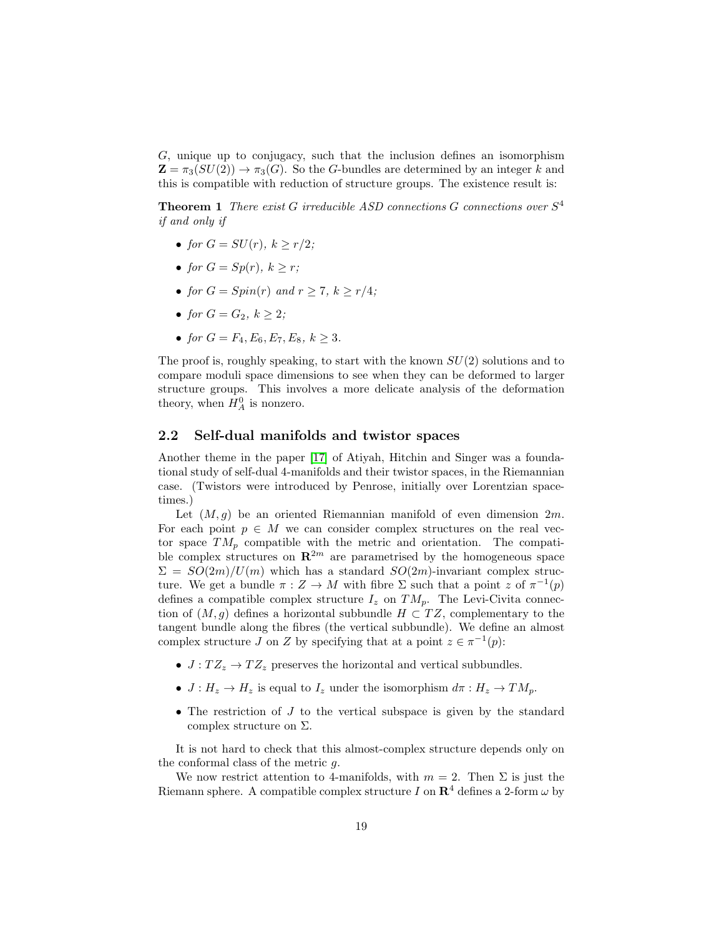G, unique up to conjugacy, such that the inclusion defines an isomorphism  $\mathbf{Z} = \pi_3(SU(2)) \to \pi_3(G)$ . So the G-bundles are determined by an integer k and this is compatible with reduction of structure groups. The existence result is:

**Theorem 1** There exist G irreducible ASD connections G connections over  $S<sup>4</sup>$ if and only if

- for  $G = SU(r)$ ,  $k > r/2$ ;
- for  $G = Sp(r)$ ,  $k > r$ ;
- for  $G = Spin(r)$  and  $r \geq 7$ ,  $k \geq r/4$ ;
- for  $G = G_2, k > 2$ ;
- for  $G = F_4, E_6, E_7, E_8, k > 3.$

The proof is, roughly speaking, to start with the known  $SU(2)$  solutions and to compare moduli space dimensions to see when they can be deformed to larger structure groups. This involves a more delicate analysis of the deformation theory, when  $H_A^0$  is nonzero.

## <span id="page-18-0"></span>2.2 Self-dual manifolds and twistor spaces

Another theme in the paper [\[17\]](#page-46-1) of Atiyah, Hitchin and Singer was a foundational study of self-dual 4-manifolds and their twistor spaces, in the Riemannian case. (Twistors were introduced by Penrose, initially over Lorentzian spacetimes.)

Let  $(M, g)$  be an oriented Riemannian manifold of even dimension  $2m$ . For each point  $p \in M$  we can consider complex structures on the real vector space  $TM_p$  compatible with the metric and orientation. The compatible complex structures on  $\mathbb{R}^{2m}$  are parametrised by the homogeneous space  $\Sigma = SO(2m)/U(m)$  which has a standard  $SO(2m)$ -invariant complex structure. We get a bundle  $\pi: Z \to M$  with fibre  $\Sigma$  such that a point z of  $\pi^{-1}(p)$ defines a compatible complex structure  $I_z$  on  $TM_p$ . The Levi-Civita connection of  $(M, g)$  defines a horizontal subbundle  $H \subset TZ$ , complementary to the tangent bundle along the fibres (the vertical subbundle). We define an almost complex structure  $J$  on  $Z$  by specifying that at a point  $z \in \pi^{-1}(p)$ :

- $J: T Z_z \rightarrow T Z_z$  preserves the horizontal and vertical subbundles.
- $J: H_z \to H_z$  is equal to  $I_z$  under the isomorphism  $d\pi: H_z \to TM_p$ .
- The restriction of  $J$  to the vertical subspace is given by the standard complex structure on  $\Sigma$ .

It is not hard to check that this almost-complex structure depends only on the conformal class of the metric  $q$ .

We now restrict attention to 4-manifolds, with  $m = 2$ . Then  $\Sigma$  is just the Riemann sphere. A compatible complex structure I on  $\mathbb{R}^4$  defines a 2-form  $\omega$  by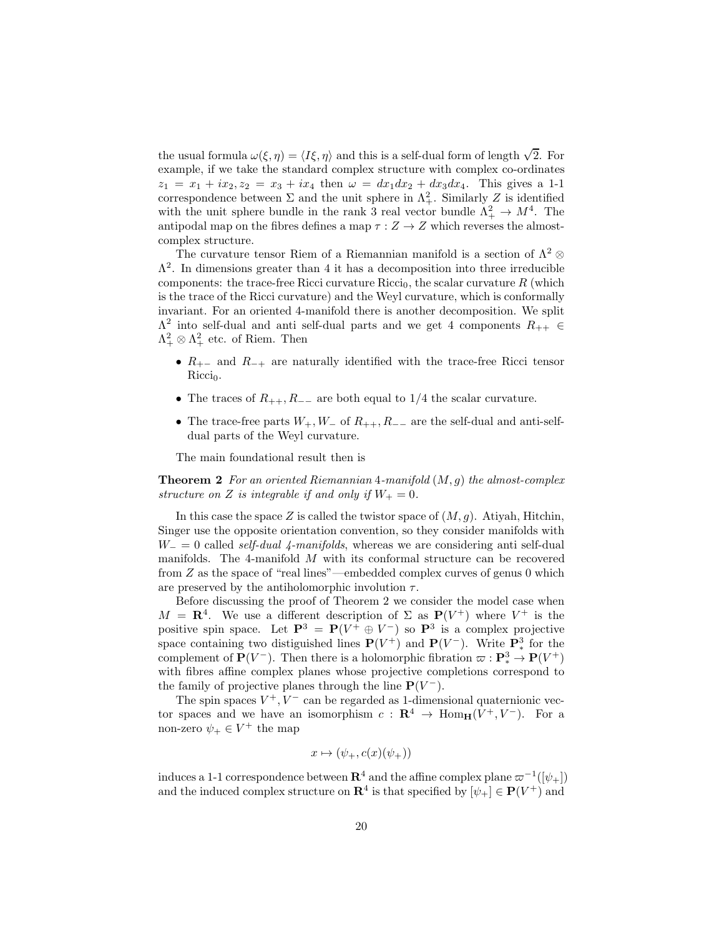the usual formula  $\omega(\xi, \eta) = \langle I\xi, \eta \rangle$  and this is a self-dual form of length  $\sqrt{2}$ . For example, if we take the standard complex structure with complex co-ordinates  $z_1 = x_1 + ix_2, z_2 = x_3 + ix_4$  then  $\omega = dx_1 dx_2 + dx_3 dx_4$ . This gives a 1-1 correspondence between  $\Sigma$  and the unit sphere in  $\Lambda^2_+$ . Similarly Z is identified with the unit sphere bundle in the rank 3 real vector bundle  $\Lambda^2_+ \to M^4$ . The antipodal map on the fibres defines a map  $\tau : Z \to Z$  which reverses the almostcomplex structure.

The curvature tensor Riem of a Riemannian manifold is a section of  $\Lambda^2$  ⊗  $\Lambda^2$ . In dimensions greater than 4 it has a decomposition into three irreducible components: the trace-free Ricci curvature Ricci<sub>0</sub>, the scalar curvature  $R$  (which is the trace of the Ricci curvature) and the Weyl curvature, which is conformally invariant. For an oriented 4-manifold there is another decomposition. We split  $\Lambda^2$  into self-dual and anti self-dual parts and we get 4 components  $R_{++} \in$  $\Lambda^2_+ \otimes \Lambda^2_+$  etc. of Riem. Then

- $R_{+-}$  and  $R_{-+}$  are naturally identified with the trace-free Ricci tensor  $Ricci<sub>0</sub>$ .
- The traces of  $R_{++}$ ,  $R_{--}$  are both equal to 1/4 the scalar curvature.
- The trace-free parts  $W_+, W_-\$  of  $R_{++}, R_{--}$  are the self-dual and anti-selfdual parts of the Weyl curvature.

The main foundational result then is

**Theorem 2** For an oriented Riemannian 4-manifold  $(M, g)$  the almost-complex structure on Z is integrable if and only if  $W_+ = 0$ .

In this case the space Z is called the twistor space of  $(M, q)$ . Atiyah, Hitchin, Singer use the opposite orientation convention, so they consider manifolds with  $W_$  = 0 called *self-dual 4-manifolds*, whereas we are considering anti self-dual manifolds. The 4-manifold  $M$  with its conformal structure can be recovered from Z as the space of "real lines"—embedded complex curves of genus 0 which are preserved by the antiholomorphic involution  $\tau$ .

Before discussing the proof of Theorem 2 we consider the model case when  $M = \mathbf{R}^{4}$ . We use a different description of  $\Sigma$  as  $\mathbf{P}(V^{+})$  where  $V^{+}$  is the positive spin space. Let  $\mathbf{P}^3 = \mathbf{P}(V^+ \oplus V^-)$  so  $\mathbf{P}^3$  is a complex projective space containing two distiguished lines  $P(V^+)$  and  $P(V^-)$ . Write  $\mathbf{P}^3_*$  for the complement of  $\mathbf{P}(V^-)$ . Then there is a holomorphic fibration  $\varpi : \mathbf{P}^3_* \to \mathbf{P}(V^+)$ with fibres affine complex planes whose projective completions correspond to the family of projective planes through the line  $P(V^-)$ .

The spin spaces  $V^+, V^-$  can be regarded as 1-dimensional quaternionic vector spaces and we have an isomorphism  $c : \mathbf{R}^4 \to \text{Hom}_{\mathbf{H}}(V^+, V^-)$ . For a non-zero  $\psi_+ \in V^+$  the map

$$
x \mapsto (\psi_+, c(x)(\psi_+))
$$

induces a 1-1 correspondence between  ${\bf R}^4$  and the affine complex plane  $\varpi^{-1}([\psi_+])$ and the induced complex structure on  $\mathbb{R}^4$  is that specified by  $[\psi_+] \in \mathbb{P}(V^+)$  and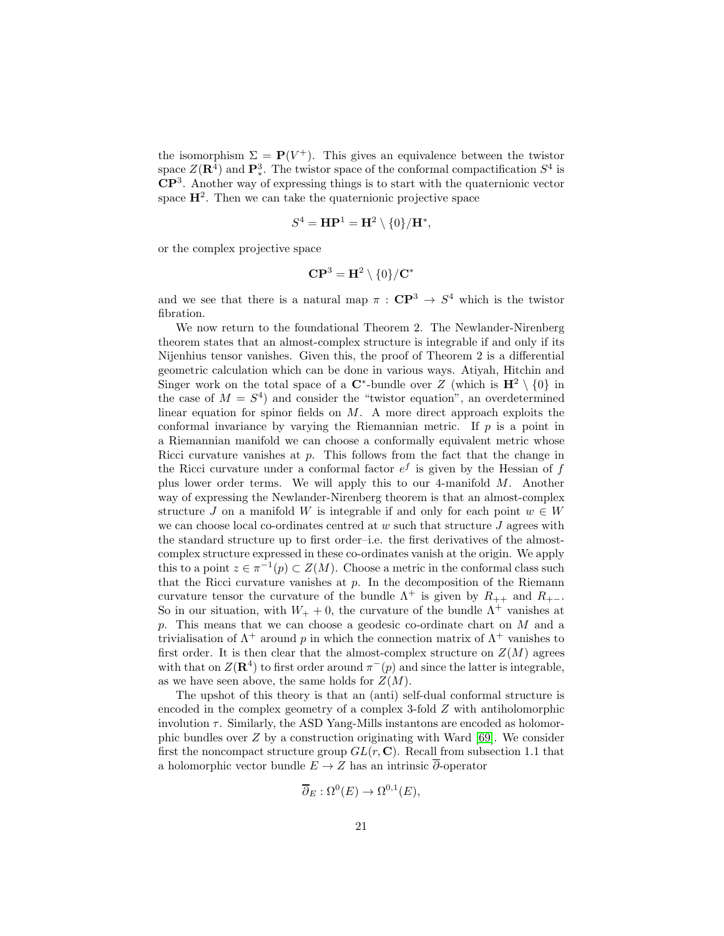the isomorphism  $\Sigma = P(V^+)$ . This gives an equivalence between the twistor space  $Z(\mathbf{R}^4)$  and  $\mathbf{P}^3_*$ . The twistor space of the conformal compactification  $S^4$  is CP<sup>3</sup> . Another way of expressing things is to start with the quaternionic vector space  $H^2$ . Then we can take the quaternionic projective space

$$
S^4 = \mathbf{HP}^1 = \mathbf{H}^2 \setminus \{0\} / \mathbf{H}^*,
$$

or the complex projective space

$$
\mathbf{CP}^3=\mathbf{H}^2\setminus\{0\}/\mathbf{C}^*
$$

and we see that there is a natural map  $\pi : \mathbb{CP}^3 \to S^4$  which is the twistor fibration.

We now return to the foundational Theorem 2. The Newlander-Nirenberg theorem states that an almost-complex structure is integrable if and only if its Nijenhius tensor vanishes. Given this, the proof of Theorem 2 is a differential geometric calculation which can be done in various ways. Atiyah, Hitchin and Singer work on the total space of a  $\mathbb{C}^*$ -bundle over Z (which is  $\mathbf{H}^2 \setminus \{0\}$  in the case of  $M = S<sup>4</sup>$  and consider the "twistor equation", an overdetermined linear equation for spinor fields on  $M$ . A more direct approach exploits the conformal invariance by varying the Riemannian metric. If  $p$  is a point in a Riemannian manifold we can choose a conformally equivalent metric whose Ricci curvature vanishes at  $p$ . This follows from the fact that the change in the Ricci curvature under a conformal factor  $e^f$  is given by the Hessian of  $f$ plus lower order terms. We will apply this to our 4-manifold M. Another way of expressing the Newlander-Nirenberg theorem is that an almost-complex structure J on a manifold W is integrable if and only for each point  $w \in W$ we can choose local co-ordinates centred at  $w$  such that structure  $J$  agrees with the standard structure up to first order–i.e. the first derivatives of the almostcomplex structure expressed in these co-ordinates vanish at the origin. We apply this to a point  $z \in \pi^{-1}(p) \subset Z(M)$ . Choose a metric in the conformal class such that the Ricci curvature vanishes at  $p$ . In the decomposition of the Riemann curvature tensor the curvature of the bundle  $\Lambda^+$  is given by  $R_{++}$  and  $R_{+-}$ . So in our situation, with  $W_+ + 0$ , the curvature of the bundle  $\Lambda^+$  vanishes at p. This means that we can choose a geodesic co-ordinate chart on M and a trivialisation of  $\Lambda^+$  around p in which the connection matrix of  $\Lambda^+$  vanishes to first order. It is then clear that the almost-complex structure on  $Z(M)$  agrees with that on  $Z(\mathbf{R}^4)$  to first order around  $\pi^-(p)$  and since the latter is integrable, as we have seen above, the same holds for  $Z(M)$ .

The upshot of this theory is that an (anti) self-dual conformal structure is encoded in the complex geometry of a complex 3-fold Z with antiholomorphic involution  $\tau$ . Similarly, the ASD Yang-Mills instantons are encoded as holomorphic bundles over Z by a construction originating with Ward [\[69\]](#page-49-1). We consider first the noncompact structure group  $GL(r, \mathbb{C})$ . Recall from subsection 1.1 that a holomorphic vector bundle  $E \to Z$  has an intrinsic  $\overline{\partial}$ -operator

$$
\overline{\partial}_E : \Omega^0(E) \to \Omega^{0,1}(E),
$$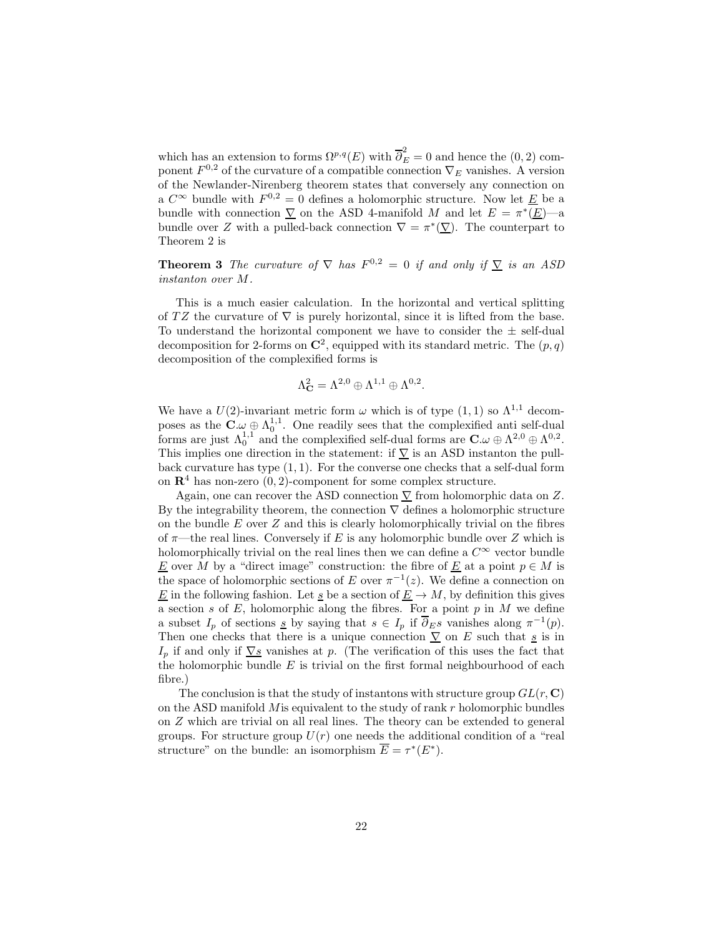which has an extension to forms  $\Omega^{p,q}(E)$  with  $\overline{\partial}_E^2 = 0$  and hence the  $(0, 2)$  component  $F^{0,2}$  of the curvature of a compatible connection  $\nabla_E$  vanishes. A version of the Newlander-Nirenberg theorem states that conversely any connection on a  $C^{\infty}$  bundle with  $F^{0,2} = 0$  defines a holomorphic structure. Now let  $\underline{E}$  be a bundle with connection  $\sum_{n=1}^{\infty}$  on the ASD 4-manifold M and let  $E = \pi^*(\underline{E})$ —a bundle over Z with a pulled-back connection  $\nabla = \pi^*(\nabla)$ . The counterpart to Theorem 2 is

**Theorem 3** The curvature of  $\nabla$  has  $F^{0,2} = 0$  if and only if  $\underline{\nabla}$  is an ASD instanton over M.

This is a much easier calculation. In the horizontal and vertical splitting of TZ the curvature of  $\nabla$  is purely horizontal, since it is lifted from the base. To understand the horizontal component we have to consider the  $\pm$  self-dual decomposition for 2-forms on  $\mathbb{C}^2$ , equipped with its standard metric. The  $(p, q)$ decomposition of the complexified forms is

$$
\Lambda^2_{\mathbf{C}} = \Lambda^{2,0} \oplus \Lambda^{1,1} \oplus \Lambda^{0,2}.
$$

We have a  $U(2)$ -invariant metric form  $\omega$  which is of type  $(1, 1)$  so  $\Lambda^{1,1}$  decomposes as the  $\mathbf{C} \omega \oplus \Lambda_0^{1,1}$ . One readily sees that the complexified anti-dual forms are just  $\Lambda_0^{1,1}$  and the complexified self-dual forms are  $\mathbf{C}.\omega \oplus \Lambda^{2,0} \oplus \Lambda^{0,2}$ . This implies one direction in the statement: if  $\nabla$  is an ASD instanton the pullback curvature has type  $(1, 1)$ . For the converse one checks that a self-dual form on  $\mathbb{R}^4$  has non-zero  $(0, 2)$ -component for some complex structure.

Again, one can recover the ASD connection  $\nabla$  from holomorphic data on Z. By the integrability theorem, the connection  $\nabla$  defines a holomorphic structure on the bundle  $E$  over  $Z$  and this is clearly holomorphically trivial on the fibres of  $\pi$ —the real lines. Conversely if E is any holomorphic bundle over Z which is holomorphically trivial on the real lines then we can define a  $C^{\infty}$  vector bundle E over M by a "direct image" construction: the fibre of  $\underline{E}$  at a point  $p \in M$  is the space of holomorphic sections of E over  $\pi^{-1}(z)$ . We define a connection on E in the following fashion. Let s be a section of  $\underline{E} \to M$ , by definition this gives a section  $s$  of  $E$ , holomorphic along the fibres. For a point  $p$  in  $M$  we define a subset  $I_p$  of sections <u>s</u> by saying that  $s \in I_p$  if  $\overline{\partial}_E s$  vanishes along  $\pi^{-1}(p)$ . Then one checks that there is a unique connection  $\sum$  on E such that s is in  $I_p$  if and only if  $\nabla s$  vanishes at p. (The verification of this uses the fact that the holomorphic bundle  $E$  is trivial on the first formal neighbourhood of each fibre.)

The conclusion is that the study of instantons with structure group  $GL(r, \mathbb{C})$ on the ASD manifold  $M$  is equivalent to the study of rank  $r$  holomorphic bundles on Z which are trivial on all real lines. The theory can be extended to general groups. For structure group  $U(r)$  one needs the additional condition of a "real structure" on the bundle: an isomorphism  $\overline{E} = \tau^*(E^*)$ .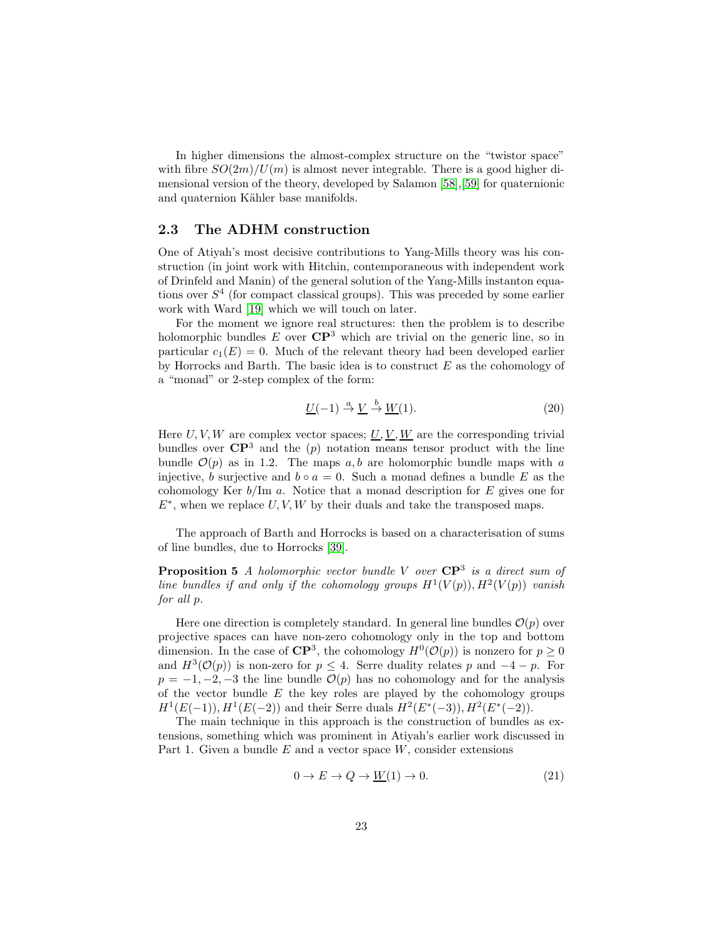In higher dimensions the almost-complex structure on the "twistor space" with fibre  $SO(2m)/U(m)$  is almost never integrable. There is a good higher dimensional version of the theory, developed by Salamon [\[58\]](#page-48-4),[\[59\]](#page-48-5) for quaternionic and quaternion Kähler base manifolds.

# <span id="page-22-0"></span>2.3 The ADHM construction

One of Atiyah's most decisive contributions to Yang-Mills theory was his construction (in joint work with Hitchin, contemporaneous with independent work of Drinfeld and Manin) of the general solution of the Yang-Mills instanton equations over  $S<sup>4</sup>$  (for compact classical groups). This was preceded by some earlier work with Ward [\[19\]](#page-46-2) which we will touch on later.

For the moment we ignore real structures: then the problem is to describe holomorphic bundles  $E$  over  $\mathbb{C}P^3$  which are trivial on the generic line, so in particular  $c_1(E) = 0$ . Much of the relevant theory had been developed earlier by Horrocks and Barth. The basic idea is to construct  $E$  as the cohomology of a "monad" or 2-step complex of the form:

$$
\underline{U}(-1) \stackrel{a}{\rightarrow} \underline{V} \stackrel{b}{\rightarrow} \underline{W}(1). \tag{20}
$$

Here U, V, W are complex vector spaces;  $\underline{U}, \underline{V}, \underline{W}$  are the corresponding trivial bundles over  $\mathbb{CP}^3$  and the (p) notation means tensor product with the line bundle  $\mathcal{O}(p)$  as in 1.2. The maps a, b are holomorphic bundle maps with a injective, b surjective and  $b \circ a = 0$ . Such a monad defines a bundle E as the cohomology Ker  $b/\text{Im } a$ . Notice that a monad description for E gives one for  $E^*$ , when we replace  $U, V, W$  by their duals and take the transposed maps.

The approach of Barth and Horrocks is based on a characterisation of sums of line bundles, due to Horrocks [\[39\]](#page-47-2).

**Proposition 5** A holomorphic vector bundle V over  $\mathbb{CP}^3$  is a direct sum of line bundles if and only if the cohomology groups  $H^1(V(p)), H^2(V(p))$  vanish for all p.

Here one direction is completely standard. In general line bundles  $\mathcal{O}(p)$  over projective spaces can have non-zero cohomology only in the top and bottom dimension. In the case of  $\mathbb{C}P^3$ , the cohomology  $H^0(\mathcal{O}(p))$  is nonzero for  $p \geq 0$ and  $H^3(\mathcal{O}(p))$  is non-zero for  $p \leq 4$ . Serre duality relates p and  $-4 - p$ . For  $p = -1, -2, -3$  the line bundle  $\mathcal{O}(p)$  has no cohomology and for the analysis of the vector bundle  $E$  the key roles are played by the cohomology groups  $H^1(E(-1)), H^1(E(-2))$  and their Serre duals  $H^2(E^*(-3)), H^2(E^*(-2)).$ 

The main technique in this approach is the construction of bundles as extensions, something which was prominent in Atiyah's earlier work discussed in Part 1. Given a bundle  $E$  and a vector space  $W$ , consider extensions

$$
0 \to E \to Q \to \underline{W}(1) \to 0. \tag{21}
$$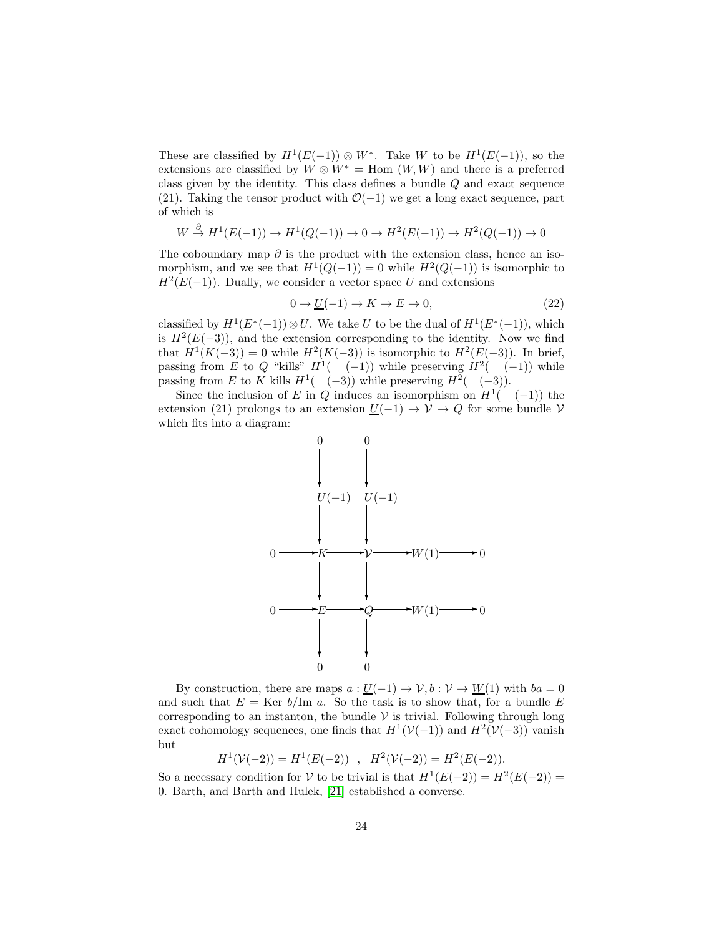These are classified by  $H^1(E(-1)) \otimes W^*$ . Take W to be  $H^1(E(-1))$ , so the extensions are classified by  $W \otimes W^* = \text{Hom}(W, W)$  and there is a preferred class given by the identity. This class defines a bundle Q and exact sequence (21). Taking the tensor product with  $\mathcal{O}(-1)$  we get a long exact sequence, part of which is

$$
W \xrightarrow{\partial} H^1(E(-1)) \to H^1(Q(-1)) \to 0 \to H^2(E(-1)) \to H^2(Q(-1)) \to 0
$$

The coboundary map  $\partial$  is the product with the extension class, hence an isomorphism, and we see that  $H^1(Q(-1)) = 0$  while  $H^2(Q(-1))$  is isomorphic to  $H^2(E(-1))$ . Dually, we consider a vector space U and extensions

$$
0 \to \underline{U}(-1) \to K \to E \to 0,\tag{22}
$$

classified by  $H^1(E^*(-1)) \otimes U$ . We take U to be the dual of  $H^1(E^*(-1))$ , which is  $H^2(E(-3))$ , and the extension corresponding to the identity. Now we find that  $H^1(K(-3)) = 0$  while  $H^2(K(-3))$  is isomorphic to  $H^2(E(-3))$ . In brief, passing from E to Q "kills"  $H^1(-(-1))$  while preserving  $H^2(-(-1))$  while passing from E to K kills  $H^1(-3)$  while preserving  $H^2(-(-3))$ .

Since the inclusion of E in Q induces an isomorphism on  $H^1(-(-1))$  the extension (21) prolongs to an extension  $\underline{U}(-1) \rightarrow V \rightarrow Q$  for some bundle V which fits into a diagram:



By construction, there are maps  $a: U(-1) \to V, b: V \to W(1)$  with  $ba = 0$ and such that  $E = \text{Ker } b/\text{Im } a$ . So the task is to show that, for a bundle E corresponding to an instanton, the bundle  $\mathcal V$  is trivial. Following through long exact cohomology sequences, one finds that  $H^1(\mathcal{V}(-1))$  and  $H^2(\mathcal{V}(-3))$  vanish but

 $H^1(\mathcal{V}(-2)) = H^1(E(-2))$ ,  $H^2(\mathcal{V}(-2)) = H^2(E(-2)).$ 

So a necessary condition for V to be trivial is that  $H^1(E(-2)) = H^2(E(-2)) =$ 0. Barth, and Barth and Hulek, [\[21\]](#page-46-3) established a converse.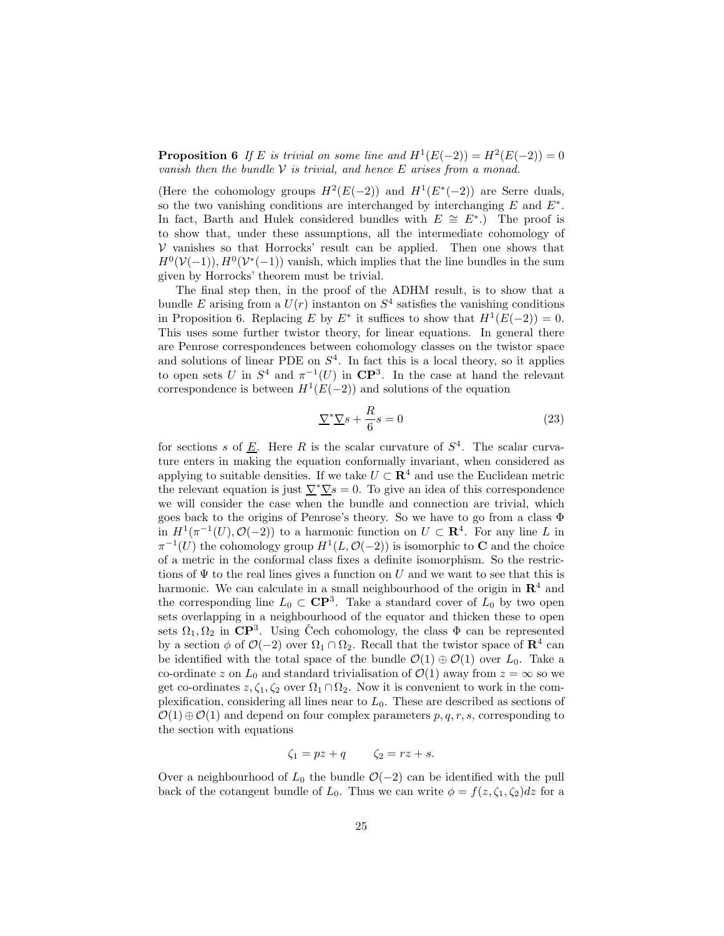**Proposition 6** If E is trivial on some line and  $H^1(E(-2)) = H^2(E(-2)) = 0$ vanish then the bundle  $V$  is trivial, and hence  $E$  arises from a monad.

(Here the cohomology groups  $H^2(E(-2))$  and  $H^1(E^*(-2))$  are Serre duals, so the two vanishing conditions are interchanged by interchanging  $E$  and  $E^*$ . In fact, Barth and Hulek considered bundles with  $E \cong E^*$ .) The proof is to show that, under these assumptions, all the intermediate cohomology of  $V$  vanishes so that Horrocks' result can be applied. Then one shows that  $H^0(\mathcal{V}(-1)), H^0(\mathcal{V}^*(-1))$  vanish, which implies that the line bundles in the sum given by Horrocks' theorem must be trivial.

The final step then, in the proof of the ADHM result, is to show that a bundle E arising from a  $U(r)$  instanton on  $S<sup>4</sup>$  satisfies the vanishing conditions in Proposition 6. Replacing E by E<sup>\*</sup> it suffices to show that  $H^1(E(-2)) = 0$ . This uses some further twistor theory, for linear equations. In general there are Penrose correspondences between cohomology classes on the twistor space and solutions of linear PDE on  $S<sup>4</sup>$ . In fact this is a local theory, so it applies to open sets U in  $S^4$  and  $\pi^{-1}(U)$  in  $\mathbb{CP}^3$ . In the case at hand the relevant correspondence is between  $H^1(E(-2))$  and solutions of the equation

$$
\underline{\nabla}^* \underline{\nabla} s + \frac{R}{6} s = 0 \tag{23}
$$

for sections s of  $\underline{E}$ . Here R is the scalar curvature of  $S<sup>4</sup>$ . The scalar curvature enters in making the equation conformally invariant, when considered as applying to suitable densities. If we take  $U \subset \mathbb{R}^4$  and use the Euclidean metric the relevant equation is just  $\underline{\nabla^*\nabla s} = 0$ . To give an idea of this correspondence we will consider the case when the bundle and connection are trivial, which goes back to the origins of Penrose's theory. So we have to go from a class Φ in  $H^1(\pi^{-1}(U), \mathcal{O}(-2))$  to a harmonic function on  $U \subset \mathbf{R}^4$ . For any line L in  $\pi^{-1}(U)$  the cohomology group  $H^1(L, \mathcal{O}(-2))$  is isomorphic to **C** and the choice of a metric in the conformal class fixes a definite isomorphism. So the restrictions of  $\Psi$  to the real lines gives a function on U and we want to see that this is harmonic. We can calculate in a small neighbourhood of the origin in  $\mathbb{R}^4$  and the corresponding line  $L_0 \subset \mathbb{C}P^3$ . Take a standard cover of  $L_0$  by two open sets overlapping in a neighbourhood of the equator and thicken these to open sets  $\Omega_1, \Omega_2$  in  $\mathbb{CP}^3$ . Using Čech cohomology, the class  $\Phi$  can be represented by a section  $\phi$  of  $\mathcal{O}(-2)$  over  $\Omega_1 \cap \Omega_2$ . Recall that the twistor space of  $\mathbb{R}^4$  can be identified with the total space of the bundle  $\mathcal{O}(1) \oplus \mathcal{O}(1)$  over  $L_0$ . Take a co-ordinate z on  $L_0$  and standard trivialisation of  $\mathcal{O}(1)$  away from  $z = \infty$  so we get co-ordinates  $z, \zeta_1, \zeta_2$  over  $\Omega_1 \cap \Omega_2$ . Now it is convenient to work in the complexification, considering all lines near to  $L_0$ . These are described as sections of  $\mathcal{O}(1) \oplus \mathcal{O}(1)$  and depend on four complex parameters p, q, r, s, corresponding to the section with equations

$$
\zeta_1 = pz + q \qquad \zeta_2 = rz + s.
$$

Over a neighbourhood of  $L_0$  the bundle  $\mathcal{O}(-2)$  can be identified with the pull back of the cotangent bundle of  $L_0$ . Thus we can write  $\phi = f(z, \zeta_1, \zeta_2)dz$  for a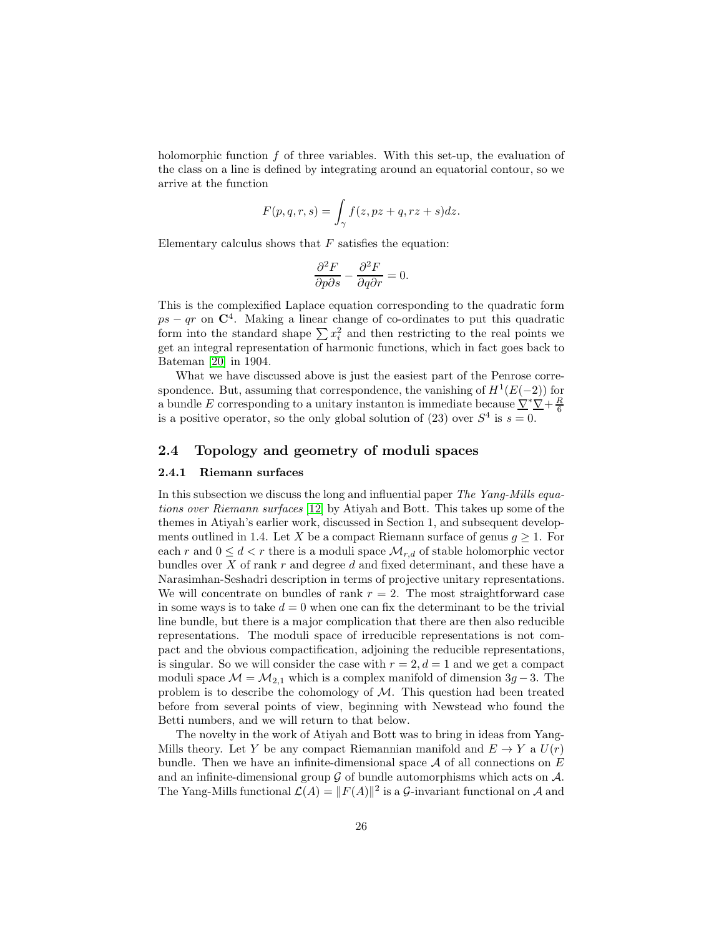holomorphic function  $f$  of three variables. With this set-up, the evaluation of the class on a line is defined by integrating around an equatorial contour, so we arrive at the function

$$
F(p,q,r,s) = \int_{\gamma} f(z, pz + q, rz + s) dz.
$$

Elementary calculus shows that  $F$  satisfies the equation:

$$
\frac{\partial^2 F}{\partial p \partial s} - \frac{\partial^2 F}{\partial q \partial r} = 0.
$$

This is the complexified Laplace equation corresponding to the quadratic form  $ps - qr$  on  $\mathbb{C}^4$ . Making a linear change of co-ordinates to put this quadratic form into the standard shape  $\sum x_i^2$  and then restricting to the real points we get an integral representation of harmonic functions, which in fact goes back to Bateman [\[20\]](#page-46-4) in 1904.

What we have discussed above is just the easiest part of the Penrose correspondence. But, assuming that correspondence, the vanishing of  $H^1(E(-2))$  for a bundle E corresponding to a unitary instanton is immediate because  $\frac{\nabla^*\nabla}{4} + \frac{R}{6}$ is a positive operator, so the only global solution of (23) over  $S<sup>4</sup>$  is  $s = 0$ .

## <span id="page-25-1"></span><span id="page-25-0"></span>2.4 Topology and geometry of moduli spaces

#### 2.4.1 Riemann surfaces

In this subsection we discuss the long and influential paper The Yang-Mills equations over Riemann surfaces [\[12\]](#page-45-5) by Atiyah and Bott. This takes up some of the themes in Atiyah's earlier work, discussed in Section 1, and subsequent developments outlined in 1.4. Let X be a compact Riemann surface of genus  $g \geq 1$ . For each r and  $0 \leq d < r$  there is a moduli space  $\mathcal{M}_{r,d}$  of stable holomorphic vector bundles over  $X$  of rank  $r$  and degree  $d$  and fixed determinant, and these have a Narasimhan-Seshadri description in terms of projective unitary representations. We will concentrate on bundles of rank  $r = 2$ . The most straightforward case in some ways is to take  $d = 0$  when one can fix the determinant to be the trivial line bundle, but there is a major complication that there are then also reducible representations. The moduli space of irreducible representations is not compact and the obvious compactification, adjoining the reducible representations, is singular. So we will consider the case with  $r = 2, d = 1$  and we get a compact moduli space  $\mathcal{M} = \mathcal{M}_{2,1}$  which is a complex manifold of dimension  $3g - 3$ . The problem is to describe the cohomology of  $\mathcal{M}$ . This question had been treated before from several points of view, beginning with Newstead who found the Betti numbers, and we will return to that below.

The novelty in the work of Atiyah and Bott was to bring in ideas from Yang-Mills theory. Let Y be any compact Riemannian manifold and  $E \to Y$  a  $U(r)$ bundle. Then we have an infinite-dimensional space  $A$  of all connections on  $E$ and an infinite-dimensional group  $\mathcal G$  of bundle automorphisms which acts on  $\mathcal A$ . The Yang-Mills functional  $\mathcal{L}(A) = ||F(A)||^2$  is a  $\mathcal{G}\text{-invariant functional on }\mathcal{A}$  and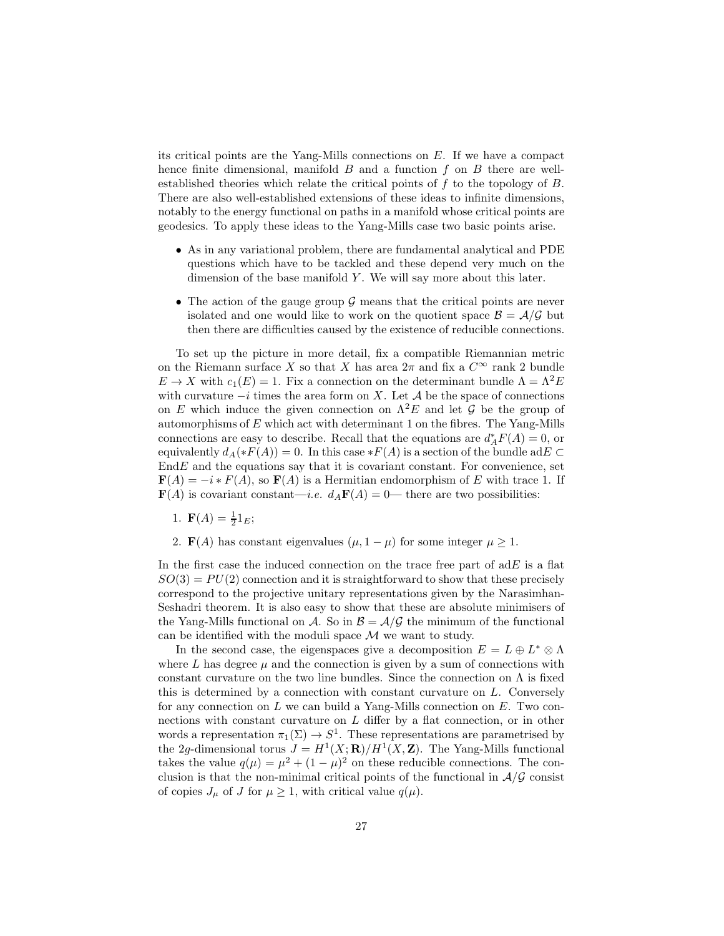its critical points are the Yang-Mills connections on E. If we have a compact hence finite dimensional, manifold  $B$  and a function  $f$  on  $B$  there are wellestablished theories which relate the critical points of f to the topology of B. There are also well-established extensions of these ideas to infinite dimensions, notably to the energy functional on paths in a manifold whose critical points are geodesics. To apply these ideas to the Yang-Mills case two basic points arise.

- As in any variational problem, there are fundamental analytical and PDE questions which have to be tackled and these depend very much on the dimension of the base manifold  $Y$ . We will say more about this later.
- The action of the gauge group  $\mathcal G$  means that the critical points are never isolated and one would like to work on the quotient space  $\mathcal{B} = \mathcal{A}/\mathcal{G}$  but then there are difficulties caused by the existence of reducible connections.

To set up the picture in more detail, fix a compatible Riemannian metric on the Riemann surface X so that X has area  $2\pi$  and fix a  $C^{\infty}$  rank 2 bundle  $E \to X$  with  $c_1(E) = 1$ . Fix a connection on the determinant bundle  $\Lambda = \Lambda^2 E$ with curvature  $-i$  times the area form on X. Let A be the space of connections on E which induce the given connection on  $\Lambda^2 E$  and let G be the group of automorphisms of  $E$  which act with determinant 1 on the fibres. The Yang-Mills connections are easy to describe. Recall that the equations are  $d_A^* F(A) = 0$ , or equivalently  $d_A(*F(A)) = 0$ . In this case  $*F(A)$  is a section of the bundle ad $E \subset$  $EndE$  and the equations say that it is covariant constant. For convenience, set  $\mathbf{F}(A) = -i * F(A)$ , so  $\mathbf{F}(A)$  is a Hermitian endomorphism of E with trace 1. If  $\mathbf{F}(A)$  is covariant constant—*i.e.*  $d_A \mathbf{F}(A) = 0$ — there are two possibilities:

- 1.  $\mathbf{F}(A) = \frac{1}{2} \mathbf{1}_E;$
- 2. **F**(A) has constant eigenvalues  $(\mu, 1 \mu)$  for some integer  $\mu \geq 1$ .

In the first case the induced connection on the trace free part of  $adE$  is a flat  $SO(3) = PU(2)$  connection and it is straightforward to show that these precisely correspond to the projective unitary representations given by the Narasimhan-Seshadri theorem. It is also easy to show that these are absolute minimisers of the Yang-Mills functional on A. So in  $\mathcal{B} = \mathcal{A}/\mathcal{G}$  the minimum of the functional can be identified with the moduli space  $\mathcal M$  we want to study.

In the second case, the eigenspaces give a decomposition  $E = L \oplus L^* \otimes \Lambda$ where L has degree  $\mu$  and the connection is given by a sum of connections with constant curvature on the two line bundles. Since the connection on  $\Lambda$  is fixed this is determined by a connection with constant curvature on L. Conversely for any connection on  $L$  we can build a Yang-Mills connection on  $E$ . Two connections with constant curvature on L differ by a flat connection, or in other words a representation  $\pi_1(\Sigma) \to S^1$ . These representations are parametrised by the 2g-dimensional torus  $J = H^1(X; \mathbf{R})/H^1(X, \mathbf{Z})$ . The Yang-Mills functional takes the value  $q(\mu) = \mu^2 + (1 - \mu)^2$  on these reducible connections. The conclusion is that the non-minimal critical points of the functional in  $\mathcal{A}/\mathcal{G}$  consist of copies  $J_{\mu}$  of J for  $\mu \geq 1$ , with critical value  $q(\mu)$ .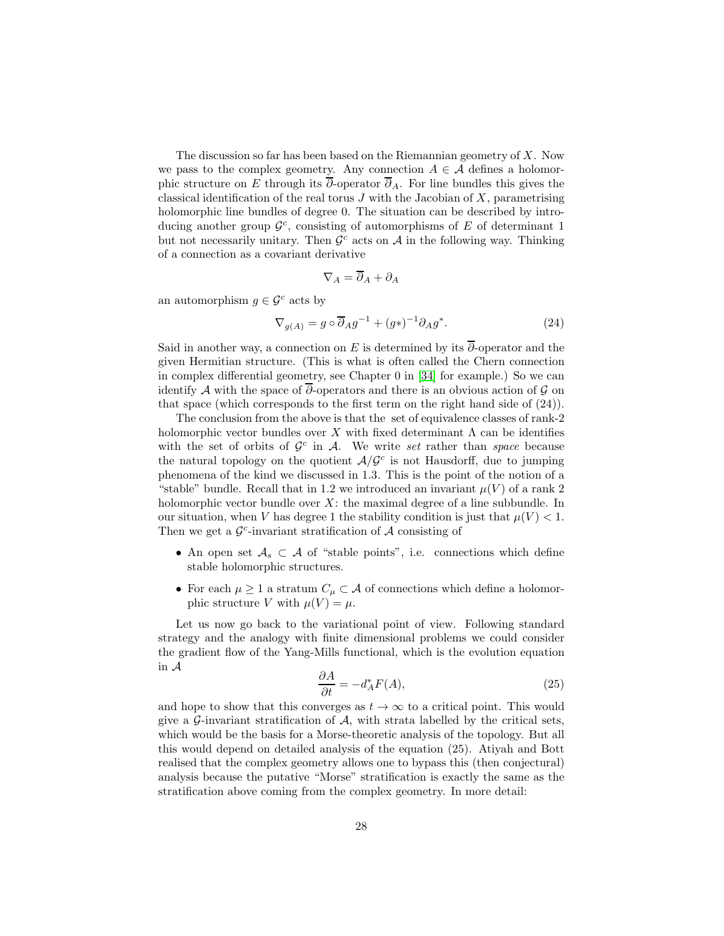The discussion so far has been based on the Riemannian geometry of  $X$ . Now we pass to the complex geometry. Any connection  $A \in \mathcal{A}$  defines a holomorphic structure on E through its  $\overline{\partial}$ -operator  $\overline{\partial}_A$ . For line bundles this gives the classical identification of the real torus  $J$  with the Jacobian of  $X$ , parametrising holomorphic line bundles of degree 0. The situation can be described by introducing another group  $\mathcal{G}^c$ , consisting of automorphisms of E of determinant 1 but not necessarily unitary. Then  $\mathcal{G}^c$  acts on  $\mathcal A$  in the following way. Thinking of a connection as a covariant derivative

$$
\nabla_A = \overline{\partial}_A + \partial_A
$$

an automorphism  $q \in \mathcal{G}^c$  acts by

$$
\nabla_{g(A)} = g \circ \overline{\partial}_A g^{-1} + (g^*)^{-1} \partial_A g^*.
$$
 (24)

Said in another way, a connection on E is determined by its  $\overline{\partial}$ -operator and the given Hermitian structure. (This is what is often called the Chern connection in complex differential geometry, see Chapter 0 in [\[34\]](#page-47-1) for example.) So we can identify A with the space of  $\bar{\partial}$ -operators and there is an obvious action of G on that space (which corresponds to the first term on the right hand side of (24)).

The conclusion from the above is that the set of equivalence classes of rank-2 holomorphic vector bundles over X with fixed determinant  $\Lambda$  can be identifies with the set of orbits of  $\mathcal{G}^c$  in A. We write set rather than space because the natural topology on the quotient  $A/G<sup>c</sup>$  is not Hausdorff, due to jumping phenomena of the kind we discussed in 1.3. This is the point of the notion of a "stable" bundle. Recall that in 1.2 we introduced an invariant  $\mu(V)$  of a rank 2 holomorphic vector bundle over  $X$ : the maximal degree of a line subbundle. In our situation, when V has degree 1 the stability condition is just that  $\mu(V) < 1$ . Then we get a  $\mathcal{G}^c$ -invariant stratification of  $\mathcal A$  consisting of

- An open set  $A_s \subset A$  of "stable points", i.e. connections which define stable holomorphic structures.
- For each  $\mu \geq 1$  a stratum  $C_{\mu} \subset \mathcal{A}$  of connections which define a holomorphic structure V with  $\mu(V) = \mu$ .

Let us now go back to the variational point of view. Following standard strategy and the analogy with finite dimensional problems we could consider the gradient flow of the Yang-Mills functional, which is the evolution equation in A

$$
\frac{\partial A}{\partial t} = -d_A^* F(A),\tag{25}
$$

and hope to show that this converges as  $t \to \infty$  to a critical point. This would give a G-invariant stratification of  $A$ , with strata labelled by the critical sets, which would be the basis for a Morse-theoretic analysis of the topology. But all this would depend on detailed analysis of the equation (25). Atiyah and Bott realised that the complex geometry allows one to bypass this (then conjectural) analysis because the putative "Morse" stratification is exactly the same as the stratification above coming from the complex geometry. In more detail: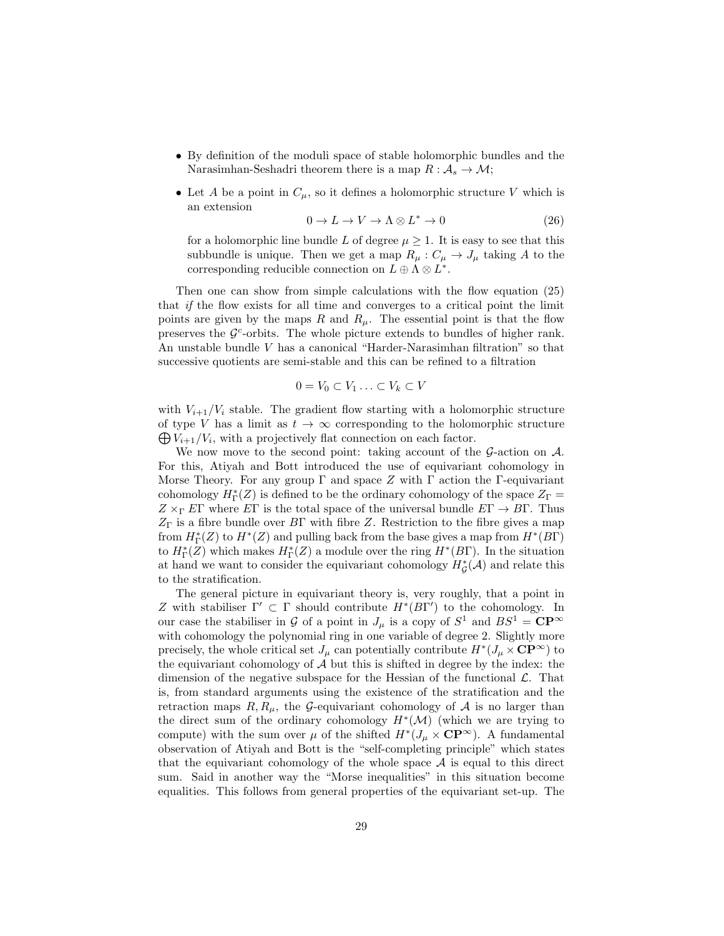- By definition of the moduli space of stable holomorphic bundles and the Narasimhan-Seshadri theorem there is a map  $R : \mathcal{A}_s \to \mathcal{M};$
- Let A be a point in  $C_{\mu}$ , so it defines a holomorphic structure V which is an extension

$$
0 \to L \to V \to \Lambda \otimes L^* \to 0 \tag{26}
$$

for a holomorphic line bundle L of degree  $\mu \geq 1$ . It is easy to see that this subbundle is unique. Then we get a map  $R_{\mu}: C_{\mu} \to J_{\mu}$  taking A to the corresponding reducible connection on  $L \oplus \Lambda \otimes L^*$ .

Then one can show from simple calculations with the flow equation (25) that if the flow exists for all time and converges to a critical point the limit points are given by the maps R and  $R_{\mu}$ . The essential point is that the flow preserves the  $\mathcal{G}^c$ -orbits. The whole picture extends to bundles of higher rank. An unstable bundle V has a canonical "Harder-Narasimhan filtration" so that successive quotients are semi-stable and this can be refined to a filtration

$$
0 = V_0 \subset V_1 \ldots \subset V_k \subset V
$$

with  $V_{i+1}/V_i$  stable. The gradient flow starting with a holomorphic structure  $\bigoplus V_{i+1}/V_i$ , with a projectively flat connection on each factor. of type V has a limit as  $t \to \infty$  corresponding to the holomorphic structure

We now move to the second point: taking account of the  $\mathcal{G}\text{-action}$  on  $\mathcal{A}$ . For this, Atiyah and Bott introduced the use of equivariant cohomology in Morse Theory. For any group  $\Gamma$  and space Z with  $\Gamma$  action the  $\Gamma$ -equivariant cohomology  $H^*_\Gamma(Z)$  is defined to be the ordinary cohomology of the space  $Z_\Gamma =$  $Z \times_{\Gamma} E\Gamma$  where  $E\Gamma$  is the total space of the universal bundle  $E\Gamma \rightarrow B\Gamma$ . Thus  $Z_{\Gamma}$  is a fibre bundle over B $\Gamma$  with fibre Z. Restriction to the fibre gives a map from  $H^*_\Gamma(Z)$  to  $H^*(Z)$  and pulling back from the base gives a map from  $H^*(B\Gamma)$ to  $H^*_\Gamma(\mathbb{Z})$  which makes  $H^*_\Gamma(\mathbb{Z})$  a module over the ring  $H^*(B\Gamma)$ . In the situation at hand we want to consider the equivariant cohomology  $H^*_{\mathcal{G}}(\mathcal{A})$  and relate this to the stratification.

The general picture in equivariant theory is, very roughly, that a point in Z with stabiliser  $\Gamma' \subset \Gamma$  should contribute  $H^*(B\Gamma')$  to the cohomology. In our case the stabiliser in G of a point in  $J_{\mu}$  is a copy of  $S^1$  and  $BS^1 = \mathbf{CP}^{\infty}$ with cohomology the polynomial ring in one variable of degree 2. Slightly more precisely, the whole critical set  $J_\mu$  can potentially contribute  $H^*(J_\mu \times \mathbf{CP}^\infty)$  to the equivariant cohomology of  $A$  but this is shifted in degree by the index: the dimension of the negative subspace for the Hessian of the functional  $\mathcal{L}$ . That is, from standard arguments using the existence of the stratification and the retraction maps  $R, R_{\mu}$ , the G-equivariant cohomology of A is no larger than the direct sum of the ordinary cohomology  $H^*(\mathcal{M})$  (which we are trying to compute) with the sum over  $\mu$  of the shifted  $H^*(J_\mu \times \mathbf{CP}^{\infty})$ . A fundamental observation of Atiyah and Bott is the "self-completing principle" which states that the equivariant cohomology of the whole space  $A$  is equal to this direct sum. Said in another way the "Morse inequalities" in this situation become equalities. This follows from general properties of the equivariant set-up. The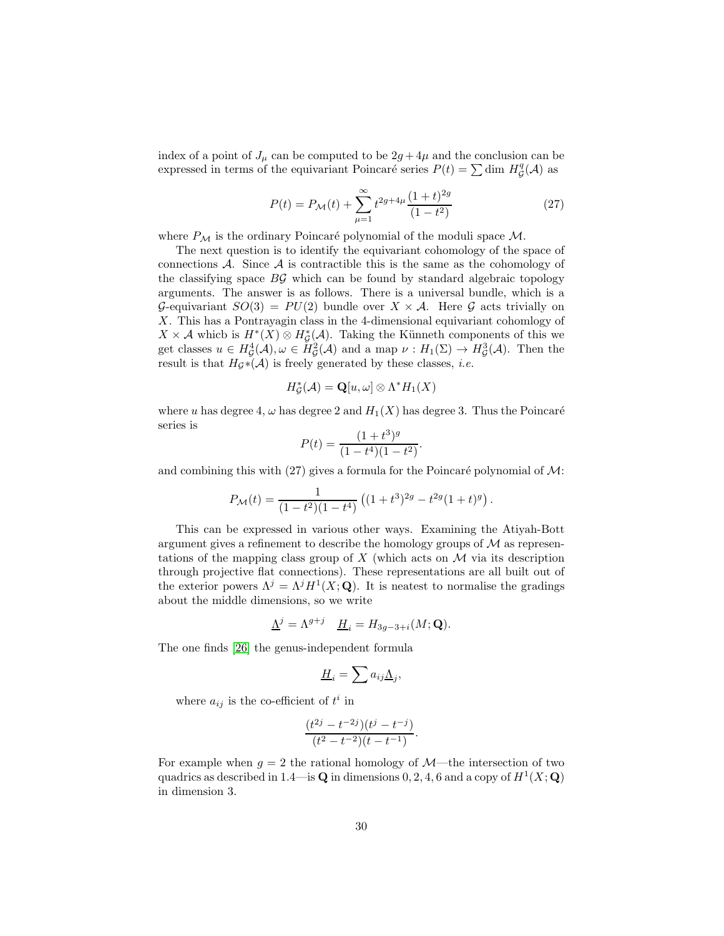index of a point of  $J_{\mu}$  can be computed to be  $2g + 4\mu$  and the conclusion can be expressed in terms of the equivariant Poincaré series  $P(t) = \sum \dim H_{\mathcal{G}}^q(\mathcal{A})$  as

$$
P(t) = P_{\mathcal{M}}(t) + \sum_{\mu=1}^{\infty} t^{2g+4\mu} \frac{(1+t)^{2g}}{(1-t^2)}
$$
(27)

.

where  $P_{\mathcal{M}}$  is the ordinary Poincaré polynomial of the moduli space M.

The next question is to identify the equivariant cohomology of the space of connections  $A$ . Since  $A$  is contractible this is the same as the cohomology of the classifying space  $\overline{B}\mathcal{G}$  which can be found by standard algebraic topology arguments. The answer is as follows. There is a universal bundle, which is a G-equivariant  $SO(3) = PU(2)$  bundle over  $X \times A$ . Here G acts trivially on X. This has a Pontrayagin class in the 4-dimensional equivariant cohomlogy of  $X \times A$  which is  $H^*(X) \otimes H^*_{\mathcal{G}}(A)$ . Taking the Künneth components of this we get classes  $u \in H^4_{\mathcal{G}}(\mathcal{A}), \omega \in H^2_{\mathcal{G}}(\mathcal{A})$  and a map  $\nu : H_1(\Sigma) \to H^3_{\mathcal{G}}(\mathcal{A}).$  Then the result is that  $H_{\mathcal{G}}*(\mathcal{A})$  is freely generated by these classes, *i.e.* 

$$
H^*_{\mathcal{G}}(\mathcal{A}) = \mathbf{Q}[u,\omega] \otimes \Lambda^* H_1(X)
$$

where u has degree 4,  $\omega$  has degree 2 and  $H_1(X)$  has degree 3. Thus the Poincaré series is

$$
P(t) = \frac{(1+t^3)^g}{(1-t^4)(1-t^2)}
$$

and combining this with (27) gives a formula for the Poincaré polynomial of  $\mathcal{M}$ :

$$
P_{\mathcal{M}}(t) = \frac{1}{(1 - t^2)(1 - t^4)} ((1 + t^3)^{2g} - t^{2g}(1 + t)^g).
$$

This can be expressed in various other ways. Examining the Atiyah-Bott argument gives a refinement to describe the homology groups of  $M$  as representations of the mapping class group of X (which acts on  $\mathcal M$  via its description through projective flat connections). These representations are all built out of the exterior powers  $\Lambda^{j} = \Lambda^{j} H^{1}(X; \mathbf{Q})$ . It is neatest to normalise the gradings about the middle dimensions, so we write

$$
\underline{\Lambda}^j = \Lambda^{g+j} \quad \underline{H}_i = H_{3g-3+i}(M; \mathbf{Q}).
$$

The one finds [\[26\]](#page-46-5) the genus-independent formula

$$
\underline{H}_i = \sum a_{ij} \underline{\Lambda}_j,
$$

where  $a_{ij}$  is the co-efficient of  $t^i$  in

$$
\frac{(t^{2j}-t^{-2j})(t^j-t^{-j})}{(t^2-t^{-2})(t-t^{-1})}.
$$

For example when  $g = 2$  the rational homology of  $\mathcal{M}$ —the intersection of two quadrics as described in 1.4—is **Q** in dimensions 0, 2, 4, 6 and a copy of  $H^1(X; \mathbf{Q})$ in dimension 3.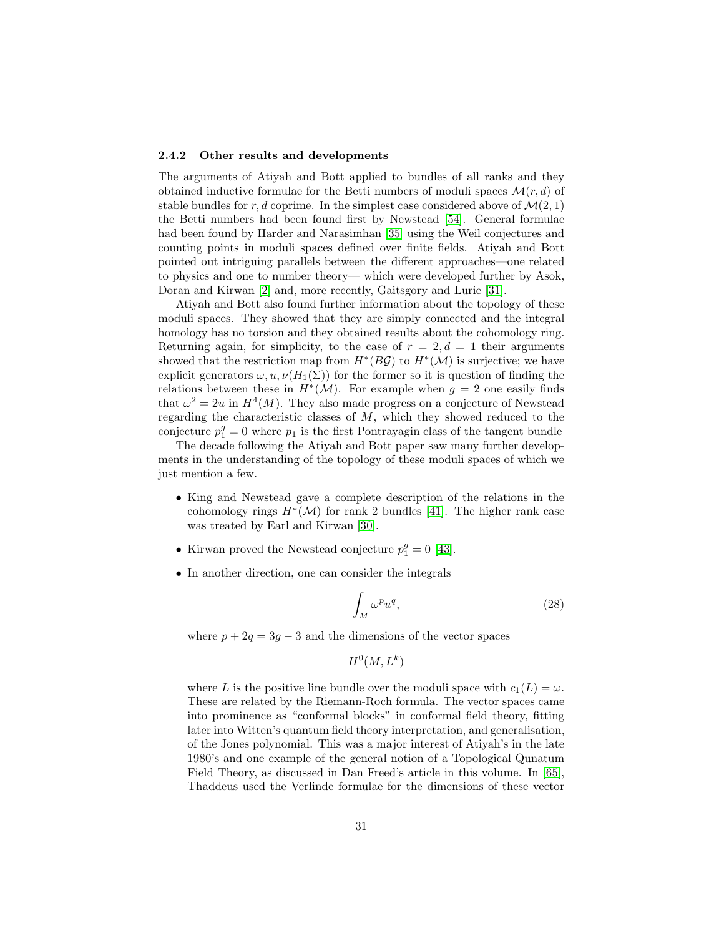#### <span id="page-30-0"></span>2.4.2 Other results and developments

The arguments of Atiyah and Bott applied to bundles of all ranks and they obtained inductive formulae for the Betti numbers of moduli spaces  $\mathcal{M}(r, d)$  of stable bundles for r, d coprime. In the simplest case considered above of  $\mathcal{M}(2,1)$ the Betti numbers had been found first by Newstead [\[54\]](#page-48-6). General formulae had been found by Harder and Narasimhan [\[35\]](#page-47-3) using the Weil conjectures and counting points in moduli spaces defined over finite fields. Atiyah and Bott pointed out intriguing parallels between the different approaches—one related to physics and one to number theory— which were developed further by Asok, Doran and Kirwan [\[2\]](#page-45-6) and, more recently, Gaitsgory and Lurie [\[31\]](#page-46-6).

Atiyah and Bott also found further information about the topology of these moduli spaces. They showed that they are simply connected and the integral homology has no torsion and they obtained results about the cohomology ring. Returning again, for simplicity, to the case of  $r = 2, d = 1$  their arguments showed that the restriction map from  $H^*(B\mathcal{G})$  to  $H^*(\mathcal{M})$  is surjective; we have explicit generators  $\omega, u, \nu(H_1(\Sigma))$  for the former so it is question of finding the relations between these in  $H^*(\mathcal{M})$ . For example when  $g = 2$  one easily finds that  $\omega^2 = 2u$  in  $H^4(M)$ . They also made progress on a conjecture of Newstead regarding the characteristic classes of  $M$ , which they showed reduced to the conjecture  $p_1^g = 0$  where  $p_1$  is the first Pontrayagin class of the tangent bundle

The decade following the Atiyah and Bott paper saw many further developments in the understanding of the topology of these moduli spaces of which we just mention a few.

- King and Newstead gave a complete description of the relations in the cohomology rings  $H^*(\mathcal{M})$  for rank 2 bundles [\[41\]](#page-47-4). The higher rank case was treated by Earl and Kirwan [\[30\]](#page-46-7).
- Kirwan proved the Newstead conjecture  $p_1^g = 0$  [\[43\]](#page-47-5).
- In another direction, one can consider the integrals

$$
\int_{M} \omega^p u^q,\tag{28}
$$

where  $p + 2q = 3g - 3$  and the dimensions of the vector spaces

$$
H^0(M,L^k)
$$

where L is the positive line bundle over the moduli space with  $c_1(L) = \omega$ . These are related by the Riemann-Roch formula. The vector spaces came into prominence as "conformal blocks" in conformal field theory, fitting later into Witten's quantum field theory interpretation, and generalisation, of the Jones polynomial. This was a major interest of Atiyah's in the late 1980's and one example of the general notion of a Topological Qunatum Field Theory, as discussed in Dan Freed's article in this volume. In [\[65\]](#page-48-7), Thaddeus used the Verlinde formulae for the dimensions of these vector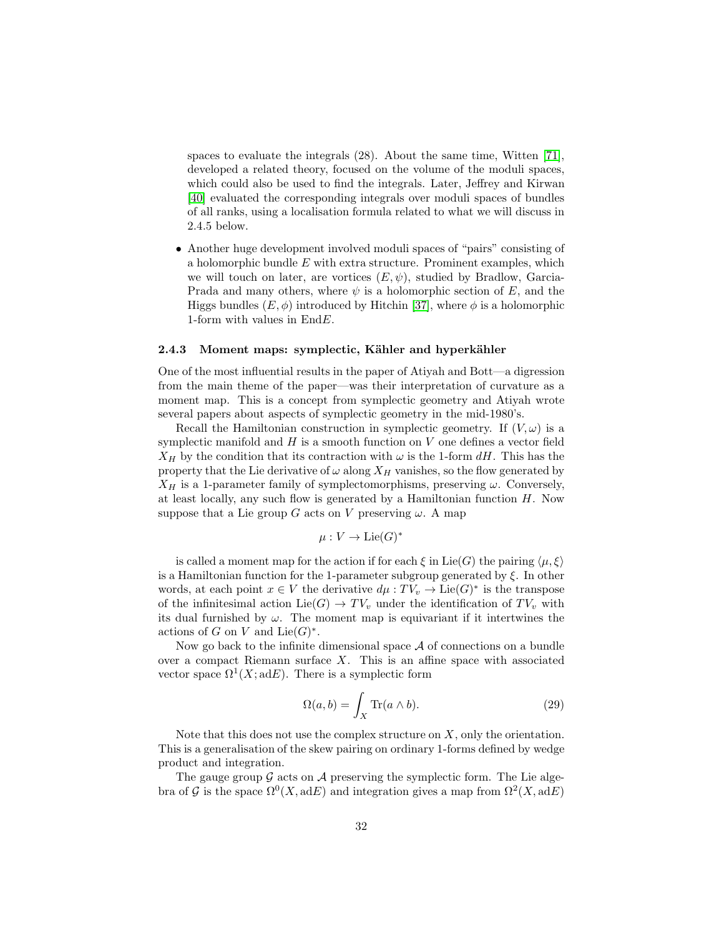spaces to evaluate the integrals (28). About the same time, Witten [\[71\]](#page-49-2), developed a related theory, focused on the volume of the moduli spaces, which could also be used to find the integrals. Later, Jeffrey and Kirwan [\[40\]](#page-47-6) evaluated the corresponding integrals over moduli spaces of bundles of all ranks, using a localisation formula related to what we will discuss in 2.4.5 below.

• Another huge development involved moduli spaces of "pairs" consisting of a holomorphic bundle  $E$  with extra structure. Prominent examples, which we will touch on later, are vortices  $(E, \psi)$ , studied by Bradlow, Garcia-Prada and many others, where  $\psi$  is a holomorphic section of E, and the Higgs bundles  $(E, \phi)$  introduced by Hitchin [\[37\]](#page-47-7), where  $\phi$  is a holomorphic 1-form with values in EndE.

# <span id="page-31-0"></span>2.4.3 Moment maps: symplectic, Kähler and hyperkähler

One of the most influential results in the paper of Atiyah and Bott—a digression from the main theme of the paper—was their interpretation of curvature as a moment map. This is a concept from symplectic geometry and Atiyah wrote several papers about aspects of symplectic geometry in the mid-1980's.

Recall the Hamiltonian construction in symplectic geometry. If  $(V, \omega)$  is a symplectic manifold and  $H$  is a smooth function on  $V$  one defines a vector field  $X_H$  by the condition that its contraction with  $\omega$  is the 1-form dH. This has the property that the Lie derivative of  $\omega$  along  $X_H$  vanishes, so the flow generated by  $X_H$  is a 1-parameter family of symplectomorphisms, preserving  $\omega$ . Conversely, at least locally, any such flow is generated by a Hamiltonian function  $H$ . Now suppose that a Lie group G acts on V preserving  $\omega$ . A map

$$
\mu: V \to \mathrm{Lie}(G)^*
$$

is called a moment map for the action if for each  $\xi$  in Lie(G) the pairing  $\langle \mu, \xi \rangle$ is a Hamiltonian function for the 1-parameter subgroup generated by  $\xi$ . In other words, at each point  $x \in V$  the derivative  $d\mu : TV_v \to \text{Lie}(G)^*$  is the transpose of the infinitesimal action  $Lie(G) \to TV_v$  under the identification of  $TV_v$  with its dual furnished by  $\omega$ . The moment map is equivariant if it intertwines the actions of G on V and  $Lie(G)^*$ .

Now go back to the infinite dimensional space  $A$  of connections on a bundle over a compact Riemann surface  $X$ . This is an affine space with associated vector space  $\Omega^1(X; \mathrm{ad} E)$ . There is a symplectic form

$$
\Omega(a, b) = \int_X \text{Tr}(a \wedge b). \tag{29}
$$

Note that this does not use the complex structure on  $X$ , only the orientation. This is a generalisation of the skew pairing on ordinary 1-forms defined by wedge product and integration.

The gauge group  $\mathcal G$  acts on  $\mathcal A$  preserving the symplectic form. The Lie algebra of G is the space  $\Omega^0(X, \text{ad}E)$  and integration gives a map from  $\Omega^2(X, \text{ad}E)$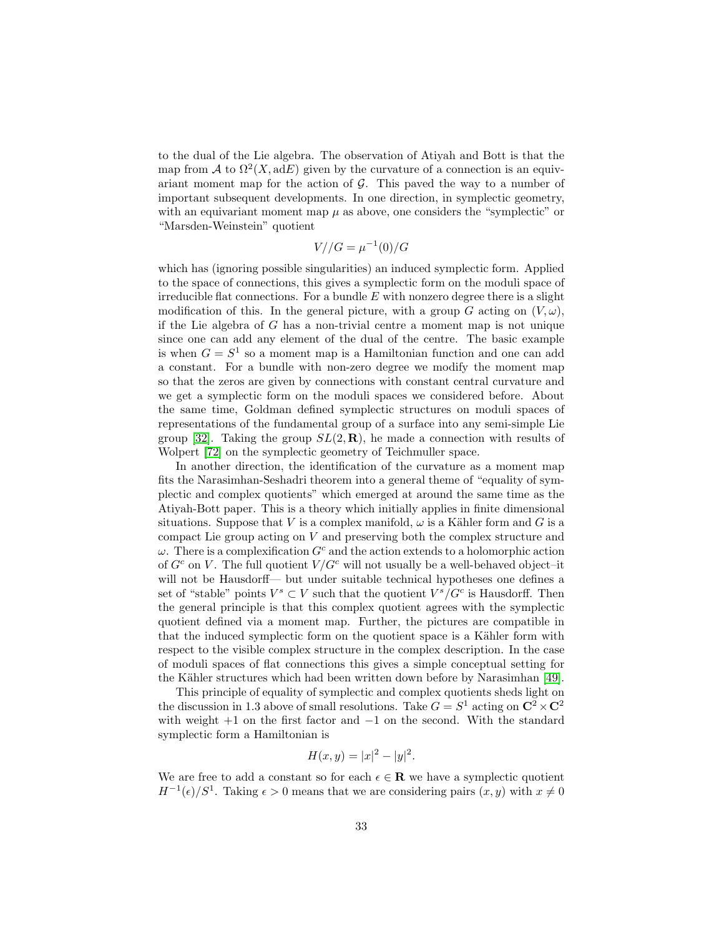to the dual of the Lie algebra. The observation of Atiyah and Bott is that the map from A to  $\Omega^2(X, \text{ad}E)$  given by the curvature of a connection is an equivariant moment map for the action of  $G$ . This paved the way to a number of important subsequent developments. In one direction, in symplectic geometry, with an equivariant moment map  $\mu$  as above, one considers the "symplectic" or "Marsden-Weinstein" quotient

$$
V//G = \mu^{-1}(0)/G
$$

which has (ignoring possible singularities) an induced symplectic form. Applied to the space of connections, this gives a symplectic form on the moduli space of irreducible flat connections. For a bundle  $E$  with nonzero degree there is a slight modification of this. In the general picture, with a group G acting on  $(V, \omega)$ , if the Lie algebra of G has a non-trivial centre a moment map is not unique since one can add any element of the dual of the centre. The basic example is when  $G = S<sup>1</sup>$  so a moment map is a Hamiltonian function and one can add a constant. For a bundle with non-zero degree we modify the moment map so that the zeros are given by connections with constant central curvature and we get a symplectic form on the moduli spaces we considered before. About the same time, Goldman defined symplectic structures on moduli spaces of representations of the fundamental group of a surface into any semi-simple Lie group [\[32\]](#page-47-8). Taking the group  $SL(2,\mathbf{R})$ , he made a connection with results of Wolpert [\[72\]](#page-49-3) on the symplectic geometry of Teichmuller space.

In another direction, the identification of the curvature as a moment map fits the Narasimhan-Seshadri theorem into a general theme of "equality of symplectic and complex quotients" which emerged at around the same time as the Atiyah-Bott paper. This is a theory which initially applies in finite dimensional situations. Suppose that V is a complex manifold,  $\omega$  is a Kähler form and G is a compact Lie group acting on  $V$  and preserving both the complex structure and  $\omega$ . There is a complexification  $G^c$  and the action extends to a holomorphic action of  $G^c$  on V. The full quotient  $V/G^c$  will not usually be a well-behaved object-it will not be Hausdorff— but under suitable technical hypotheses one defines a set of "stable" points  $V^s \subset V$  such that the quotient  $V^s/G^c$  is Hausdorff. Then the general principle is that this complex quotient agrees with the symplectic quotient defined via a moment map. Further, the pictures are compatible in that the induced symplectic form on the quotient space is a Kähler form with respect to the visible complex structure in the complex description. In the case of moduli spaces of flat connections this gives a simple conceptual setting for the Kähler structures which had been written down before by Narasimhan [\[49\]](#page-48-8).

This principle of equality of symplectic and complex quotients sheds light on the discussion in 1.3 above of small resolutions. Take  $G = S^1$  acting on  $\mathbb{C}^2 \times \mathbb{C}^2$ with weight  $+1$  on the first factor and  $-1$  on the second. With the standard symplectic form a Hamiltonian is

$$
H(x, y) = |x|^2 - |y|^2.
$$

We are free to add a constant so for each  $\epsilon \in \mathbf{R}$  we have a symplectic quotient  $H^{-1}(\epsilon)/S^1$ . Taking  $\epsilon > 0$  means that we are considering pairs  $(x, y)$  with  $x \neq 0$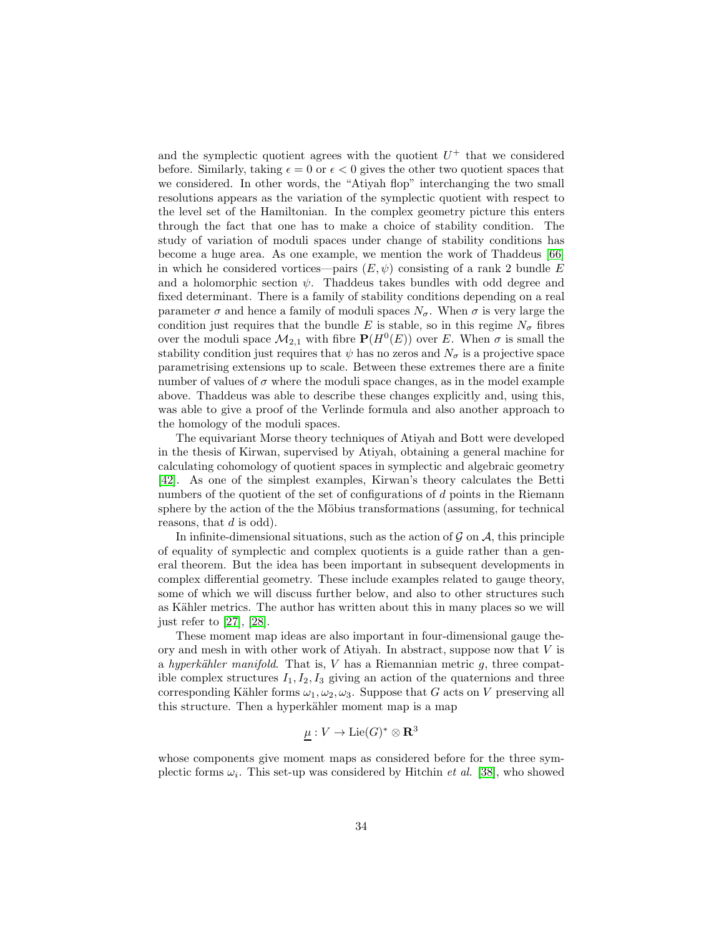and the symplectic quotient agrees with the quotient  $U^+$  that we considered before. Similarly, taking  $\epsilon = 0$  or  $\epsilon < 0$  gives the other two quotient spaces that we considered. In other words, the "Atiyah flop" interchanging the two small resolutions appears as the variation of the symplectic quotient with respect to the level set of the Hamiltonian. In the complex geometry picture this enters through the fact that one has to make a choice of stability condition. The study of variation of moduli spaces under change of stability conditions has become a huge area. As one example, we mention the work of Thaddeus [\[66\]](#page-49-4) in which he considered vortices—pairs  $(E, \psi)$  consisting of a rank 2 bundle E and a holomorphic section  $\psi$ . Thaddeus takes bundles with odd degree and fixed determinant. There is a family of stability conditions depending on a real parameter  $\sigma$  and hence a family of moduli spaces  $N_{\sigma}$ . When  $\sigma$  is very large the condition just requires that the bundle E is stable, so in this regime  $N_{\sigma}$  fibres over the moduli space  $\mathcal{M}_{2,1}$  with fibre  $P(H^0(E))$  over E. When  $\sigma$  is small the stability condition just requires that  $\psi$  has no zeros and  $N_{\sigma}$  is a projective space parametrising extensions up to scale. Between these extremes there are a finite number of values of  $\sigma$  where the moduli space changes, as in the model example above. Thaddeus was able to describe these changes explicitly and, using this, was able to give a proof of the Verlinde formula and also another approach to the homology of the moduli spaces.

The equivariant Morse theory techniques of Atiyah and Bott were developed in the thesis of Kirwan, supervised by Atiyah, obtaining a general machine for calculating cohomology of quotient spaces in symplectic and algebraic geometry [\[42\]](#page-47-9). As one of the simplest examples, Kirwan's theory calculates the Betti numbers of the quotient of the set of configurations of d points in the Riemann sphere by the action of the the Möbius transformations (assuming, for technical reasons, that d is odd).

In infinite-dimensional situations, such as the action of  $\mathcal G$  on  $\mathcal A$ , this principle of equality of symplectic and complex quotients is a guide rather than a general theorem. But the idea has been important in subsequent developments in complex differential geometry. These include examples related to gauge theory, some of which we will discuss further below, and also to other structures such as Kähler metrics. The author has written about this in many places so we will just refer to [\[27\]](#page-46-8), [\[28\]](#page-46-9).

These moment map ideas are also important in four-dimensional gauge theory and mesh in with other work of Atiyah. In abstract, suppose now that  $V$  is a hyperkähler manifold. That is, V has a Riemannian metric  $q$ , three compatible complex structures  $I_1, I_2, I_3$  giving an action of the quaternions and three corresponding Kähler forms  $\omega_1, \omega_2, \omega_3$ . Suppose that G acts on V preserving all this structure. Then a hyperkähler moment map is a map

$$
\underline{\mu}:V\to\mathrm{Lie}(G)^*\otimes\mathbf{R}^3
$$

whose components give moment maps as considered before for the three symplectic forms  $\omega_i$ . This set-up was considered by Hitchin *et al.* [\[38\]](#page-47-10), who showed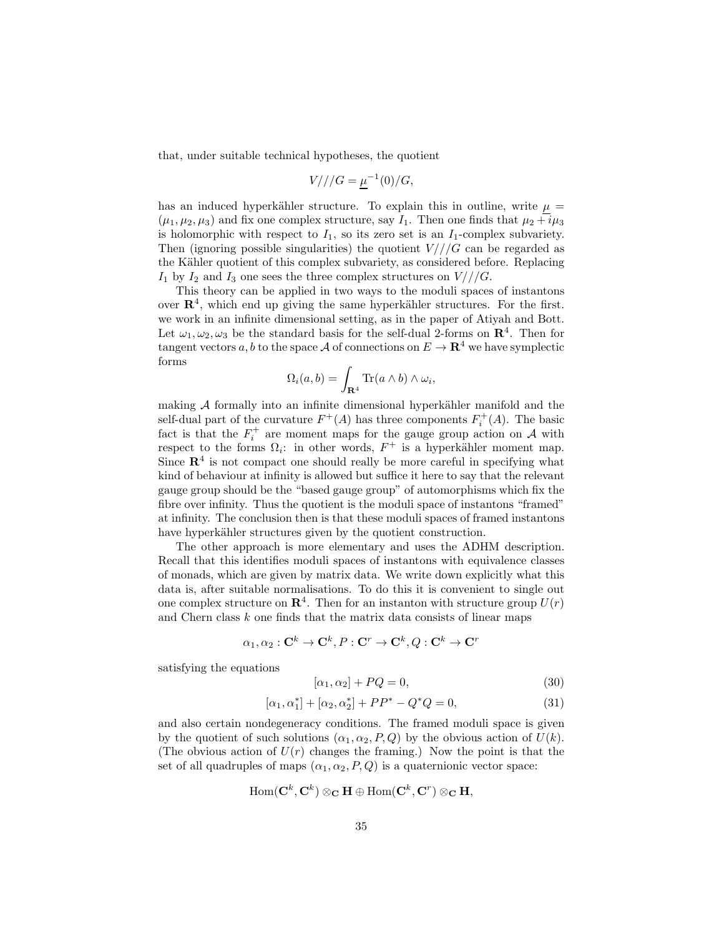that, under suitable technical hypotheses, the quotient

$$
V///G = \mu^{-1}(0)/G,
$$

has an induced hyperkähler structure. To explain this in outline, write  $\mu$  =  $(\mu_1, \mu_2, \mu_3)$  and fix one complex structure, say  $I_1$ . Then one finds that  $\mu_2 + i\mu_3$ is holomorphic with respect to  $I_1$ , so its zero set is an  $I_1$ -complex subvariety. Then (ignoring possible singularities) the quotient  $V//G$  can be regarded as the Kähler quotient of this complex subvariety, as considered before. Replacing  $I_1$  by  $I_2$  and  $I_3$  one sees the three complex structures on  $V//G$ .

This theory can be applied in two ways to the moduli spaces of instantons over  $\mathbb{R}^4$ , which end up giving the same hyperkähler structures. For the first. we work in an infinite dimensional setting, as in the paper of Atiyah and Bott. Let  $\omega_1, \omega_2, \omega_3$  be the standard basis for the self-dual 2-forms on  $\mathbb{R}^4$ . Then for tangent vectors a, b to the space A of connections on  $E \to \mathbf{R}^4$  we have symplectic forms

$$
\Omega_i(a,b) = \int_{\mathbf{R}^4} \text{Tr}(a \wedge b) \wedge \omega_i,
$$

making  $A$  formally into an infinite dimensional hyperkähler manifold and the self-dual part of the curvature  $F^+(A)$  has three components  $F_i^+(A)$ . The basic fact is that the  $F_i^+$  are moment maps for the gauge group action on A with respect to the forms  $\Omega_i$ : in other words,  $F^+$  is a hyperkähler moment map. Since  $\mathbb{R}^4$  is not compact one should really be more careful in specifying what kind of behaviour at infinity is allowed but suffice it here to say that the relevant gauge group should be the "based gauge group" of automorphisms which fix the fibre over infinity. Thus the quotient is the moduli space of instantons "framed" at infinity. The conclusion then is that these moduli spaces of framed instantons have hyperkähler structures given by the quotient construction.

The other approach is more elementary and uses the ADHM description. Recall that this identifies moduli spaces of instantons with equivalence classes of monads, which are given by matrix data. We write down explicitly what this data is, after suitable normalisations. To do this it is convenient to single out one complex structure on  $\mathbb{R}^4$ . Then for an instanton with structure group  $U(r)$ and Chern class  $k$  one finds that the matrix data consists of linear maps

$$
\alpha_1,\alpha_2:\mathbf{C}^k\to\mathbf{C}^k,P:\mathbf{C}^r\to\mathbf{C}^k,Q:\mathbf{C}^k\to\mathbf{C}^r
$$

satisfying the equations

$$
[\alpha_1, \alpha_2] + PQ = 0,\t\t(30)
$$

$$
[\alpha_1, \alpha_1^*] + [\alpha_2, \alpha_2^*] + PP^* - Q^*Q = 0,
$$
\n(31)

and also certain nondegeneracy conditions. The framed moduli space is given by the quotient of such solutions  $(\alpha_1, \alpha_2, P, Q)$  by the obvious action of  $U(k)$ . (The obvious action of  $U(r)$  changes the framing.) Now the point is that the set of all quadruples of maps  $(\alpha_1, \alpha_2, P, Q)$  is a quaternionic vector space:

$$
\mathrm{Hom}(\mathbf{C}^k,\mathbf{C}^k)\otimes_{\mathbf{C}}\mathbf{H}\oplus \mathrm{Hom}(\mathbf{C}^k,\mathbf{C}^r)\otimes_{\mathbf{C}}\mathbf{H},
$$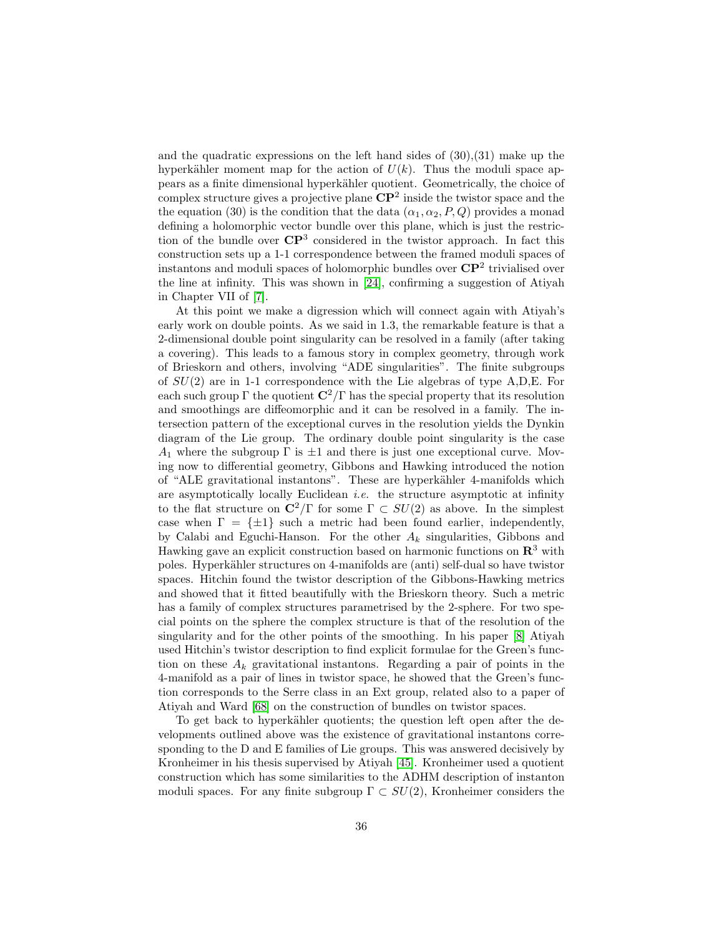and the quadratic expressions on the left hand sides of  $(30),(31)$  make up the hyperkähler moment map for the action of  $U(k)$ . Thus the moduli space appears as a finite dimensional hyperk¨ahler quotient. Geometrically, the choice of complex structure gives a projective plane  $\mathbb{CP}^2$  inside the twistor space and the the equation (30) is the condition that the data  $(\alpha_1, \alpha_2, P, Q)$  provides a monad defining a holomorphic vector bundle over this plane, which is just the restriction of the bundle over  $\mathbb{C}P^3$  considered in the twistor approach. In fact this construction sets up a 1-1 correspondence between the framed moduli spaces of instantons and moduli spaces of holomorphic bundles over  $\mathbb{C}P^2$  trivialised over the line at infinity. This was shown in [\[24\]](#page-46-10), confirming a suggestion of Atiyah in Chapter VII of [\[7\]](#page-45-4).

At this point we make a digression which will connect again with Atiyah's early work on double points. As we said in 1.3, the remarkable feature is that a 2-dimensional double point singularity can be resolved in a family (after taking a covering). This leads to a famous story in complex geometry, through work of Brieskorn and others, involving "ADE singularities". The finite subgroups of  $SU(2)$  are in 1-1 correspondence with the Lie algebras of type A,D,E. For each such group  $\Gamma$  the quotient  $\mathbb{C}^2/\Gamma$  has the special property that its resolution and smoothings are diffeomorphic and it can be resolved in a family. The intersection pattern of the exceptional curves in the resolution yields the Dynkin diagram of the Lie group. The ordinary double point singularity is the case  $A_1$  where the subgroup  $\Gamma$  is  $\pm 1$  and there is just one exceptional curve. Moving now to differential geometry, Gibbons and Hawking introduced the notion of "ALE gravitational instantons". These are hyperkähler 4-manifolds which are asymptotically locally Euclidean i.e. the structure asymptotic at infinity to the flat structure on  $\mathbb{C}^2/\Gamma$  for some  $\Gamma \subset SU(2)$  as above. In the simplest case when  $\Gamma = {\pm 1}$  such a metric had been found earlier, independently, by Calabi and Eguchi-Hanson. For the other  $A_k$  singularities, Gibbons and Hawking gave an explicit construction based on harmonic functions on  $\mathbb{R}^3$  with poles. Hyperkähler structures on 4-manifolds are (anti) self-dual so have twistor spaces. Hitchin found the twistor description of the Gibbons-Hawking metrics and showed that it fitted beautifully with the Brieskorn theory. Such a metric has a family of complex structures parametrised by the 2-sphere. For two special points on the sphere the complex structure is that of the resolution of the singularity and for the other points of the smoothing. In his paper [\[8\]](#page-45-7) Atiyah used Hitchin's twistor description to find explicit formulae for the Green's function on these  $A_k$  gravitational instantons. Regarding a pair of points in the 4-manifold as a pair of lines in twistor space, he showed that the Green's function corresponds to the Serre class in an Ext group, related also to a paper of Atiyah and Ward [\[68\]](#page-49-5) on the construction of bundles on twistor spaces.

To get back to hyperkähler quotients; the question left open after the developments outlined above was the existence of gravitational instantons corresponding to the D and E families of Lie groups. This was answered decisively by Kronheimer in his thesis supervised by Atiyah [\[45\]](#page-47-11). Kronheimer used a quotient construction which has some similarities to the ADHM description of instanton moduli spaces. For any finite subgroup  $\Gamma \subset SU(2)$ , Kronheimer considers the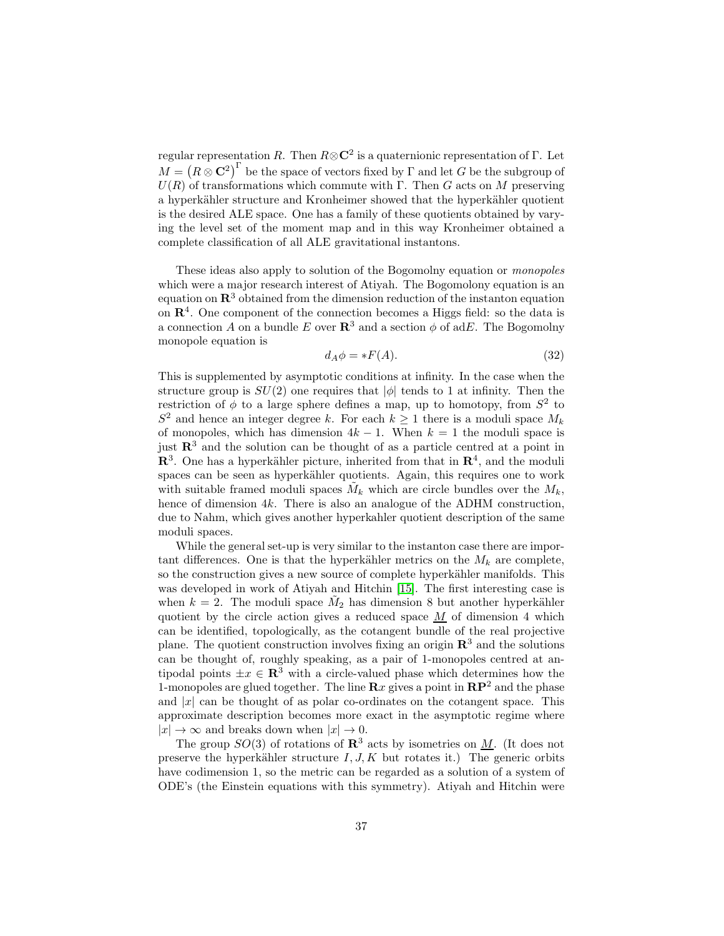regular representation R. Then  $R \otimes \mathbb{C}^2$  is a quaternionic representation of  $\Gamma$ . Let  $M = \left(R \otimes \mathbf{C}^2\right)^{\Gamma}$  be the space of vectors fixed by  $\Gamma$  and let  $G$  be the subgroup of  $U(R)$  of transformations which commute with Γ. Then G acts on M preserving a hyperkähler structure and Kronheimer showed that the hyperkähler quotient is the desired ALE space. One has a family of these quotients obtained by varying the level set of the moment map and in this way Kronheimer obtained a complete classification of all ALE gravitational instantons.

These ideas also apply to solution of the Bogomolny equation or monopoles which were a major research interest of Atiyah. The Bogomolony equation is an equation on  $\mathbb{R}^3$  obtained from the dimension reduction of the instanton equation on  $\mathbb{R}^4$ . One component of the connection becomes a Higgs field: so the data is a connection A on a bundle E over  $\mathbb{R}^3$  and a section  $\phi$  of adE. The Bogomolny monopole equation is

$$
d_A \phi = *F(A). \tag{32}
$$

This is supplemented by asymptotic conditions at infinity. In the case when the structure group is  $SU(2)$  one requires that  $|\phi|$  tends to 1 at infinity. Then the restriction of  $\phi$  to a large sphere defines a map, up to homotopy, from  $S^2$  to  $S^2$  and hence an integer degree k. For each  $k \geq 1$  there is a moduli space  $M_k$ of monopoles, which has dimension  $4k - 1$ . When  $k = 1$  the moduli space is just  $\mathbb{R}^3$  and the solution can be thought of as a particle centred at a point in  $\mathbb{R}^3$ . One has a hyperkähler picture, inherited from that in  $\mathbb{R}^4$ , and the moduli spaces can be seen as hyperkähler quotients. Again, this requires one to work with suitable framed moduli spaces  $\tilde{M}_k$  which are circle bundles over the  $M_k$ , hence of dimension 4k. There is also an analogue of the ADHM construction, due to Nahm, which gives another hyperkahler quotient description of the same moduli spaces.

While the general set-up is very similar to the instanton case there are important differences. One is that the hyperkähler metrics on the  $M_k$  are complete, so the construction gives a new source of complete hyperkähler manifolds. This was developed in work of Atiyah and Hitchin [\[15\]](#page-46-11). The first interesting case is when  $k = 2$ . The moduli space  $\tilde{M}_2$  has dimension 8 but another hyperkähler quotient by the circle action gives a reduced space  $M$  of dimension 4 which can be identified, topologically, as the cotangent bundle of the real projective plane. The quotient construction involves fixing an origin  $\mathbb{R}^3$  and the solutions can be thought of, roughly speaking, as a pair of 1-monopoles centred at antipodal points  $\pm x \in \mathbb{R}^3$  with a circle-valued phase which determines how the 1-monopoles are glued together. The line  $\mathbf{R}x$  gives a point in  $\mathbf{RP}^2$  and the phase and  $|x|$  can be thought of as polar co-ordinates on the cotangent space. This approximate description becomes more exact in the asymptotic regime where  $|x| \to \infty$  and breaks down when  $|x| \to 0$ .

The group  $SO(3)$  of rotations of  $\mathbb{R}^3$  acts by isometries on M. (It does not preserve the hyperkähler structure  $I, J, K$  but rotates it.) The generic orbits have codimension 1, so the metric can be regarded as a solution of a system of ODE's (the Einstein equations with this symmetry). Atiyah and Hitchin were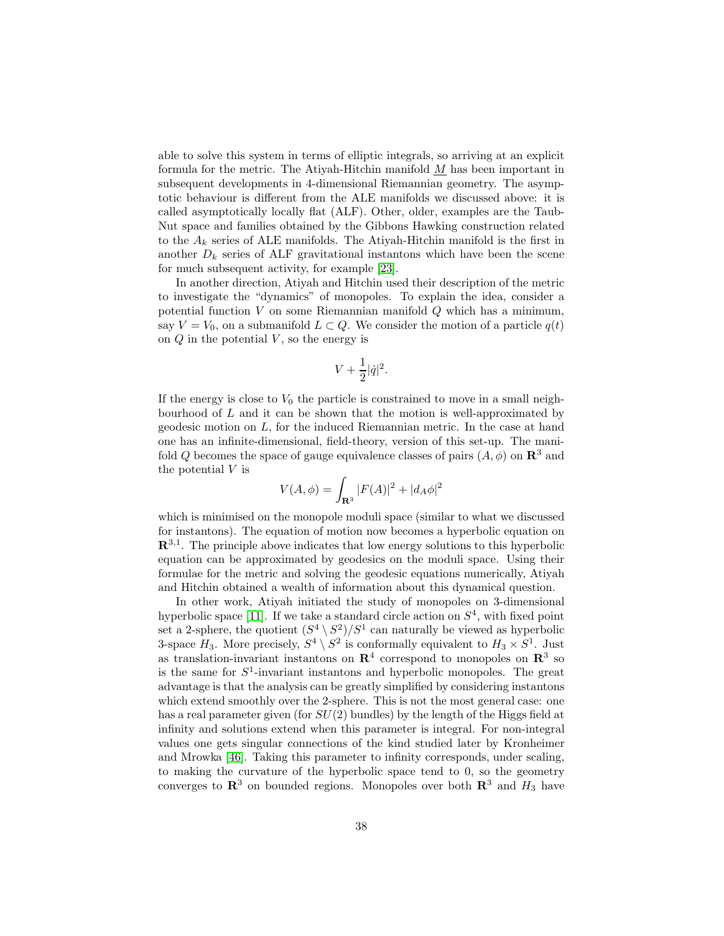able to solve this system in terms of elliptic integrals, so arriving at an explicit formula for the metric. The Atiyah-Hitchin manifold  $M$  has been important in subsequent developments in 4-dimensional Riemannian geometry. The asymptotic behaviour is different from the ALE manifolds we discussed above: it is called asymptotically locally flat (ALF). Other, older, examples are the Taub-Nut space and families obtained by the Gibbons Hawking construction related to the  $A_k$  series of ALE manifolds. The Atiyah-Hitchin manifold is the first in another  $D_k$  series of ALF gravitational instantons which have been the scene for much subsequent activity, for example [\[23\]](#page-46-12).

In another direction, Atiyah and Hitchin used their description of the metric to investigate the "dynamics" of monopoles. To explain the idea, consider a potential function  $V$  on some Riemannian manifold  $Q$  which has a minimum, say  $V = V_0$ , on a submanifold  $L \subset Q$ . We consider the motion of a particle  $q(t)$ on  $Q$  in the potential  $V$ , so the energy is

$$
V + \frac{1}{2} |\dot{q}|^2.
$$

If the energy is close to  $V_0$  the particle is constrained to move in a small neighbourhood of  $L$  and it can be shown that the motion is well-approximated by geodesic motion on L, for the induced Riemannian metric. In the case at hand one has an infinite-dimensional, field-theory, version of this set-up. The manifold Q becomes the space of gauge equivalence classes of pairs  $(A, \phi)$  on  $\mathbb{R}^3$  and the potential V is

$$
V(A, \phi) = \int_{\mathbf{R}^3} |F(A)|^2 + |d_A \phi|^2
$$

which is minimised on the monopole moduli space (similar to what we discussed for instantons). The equation of motion now becomes a hyperbolic equation on  $\mathbb{R}^{3,1}$ . The principle above indicates that low energy solutions to this hyperbolic equation can be approximated by geodesics on the moduli space. Using their formulae for the metric and solving the geodesic equations numerically, Atiyah and Hitchin obtained a wealth of information about this dynamical question.

In other work, Atiyah initiated the study of monopoles on 3-dimensional hyperbolic space [\[11\]](#page-45-8). If we take a standard circle action on  $S<sup>4</sup>$ , with fixed point set a 2-sphere, the quotient  $(S^4 \setminus S^2)/S^1$  can naturally be viewed as hyperbolic 3-space  $H_3$ . More precisely,  $S^4 \setminus S^2$  is conformally equivalent to  $H_3 \times S^1$ . Just as translation-invariant instantons on  $\mathbb{R}^4$  correspond to monopoles on  $\mathbb{R}^3$  so is the same for  $S^1$ -invariant instantons and hyperbolic monopoles. The great advantage is that the analysis can be greatly simplified by considering instantons which extend smoothly over the 2-sphere. This is not the most general case: one has a real parameter given (for  $SU(2)$  bundles) by the length of the Higgs field at infinity and solutions extend when this parameter is integral. For non-integral values one gets singular connections of the kind studied later by Kronheimer and Mrowka [\[46\]](#page-47-12). Taking this parameter to infinity corresponds, under scaling, to making the curvature of the hyperbolic space tend to 0, so the geometry converges to  $\mathbb{R}^3$  on bounded regions. Monopoles over both  $\mathbb{R}^3$  and  $H_3$  have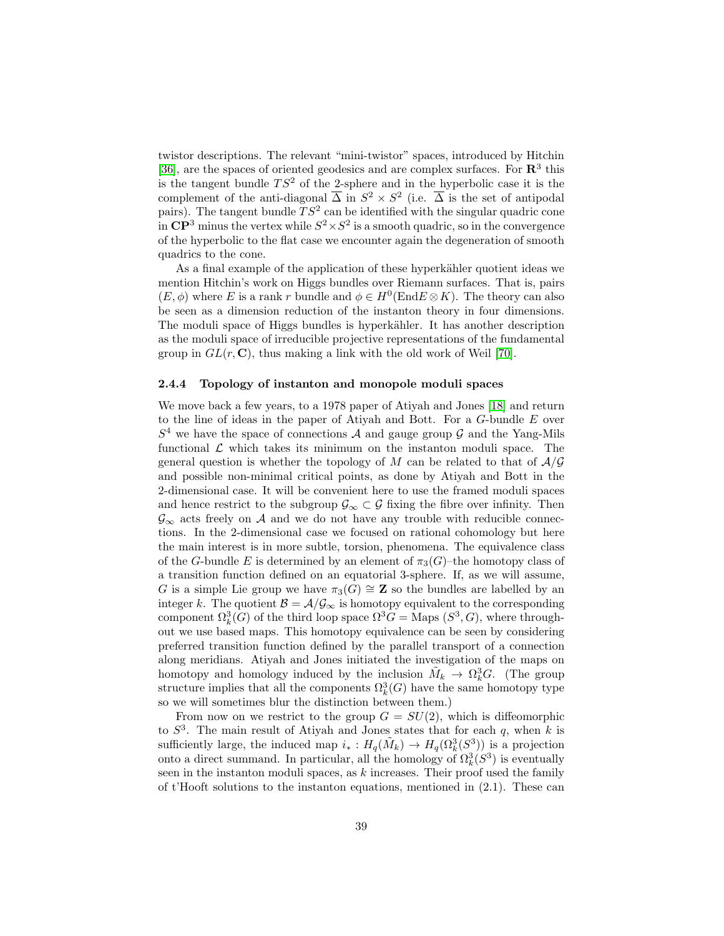twistor descriptions. The relevant "mini-twistor" spaces, introduced by Hitchin [\[36\]](#page-47-13), are the spaces of oriented geodesics and are complex surfaces. For  $\mathbb{R}^3$  this is the tangent bundle  $TS^2$  of the 2-sphere and in the hyperbolic case it is the complement of the anti-diagonal  $\overline{\Delta}$  in  $S^2 \times S^2$  (i.e.  $\overline{\Delta}$  is the set of antipodal pairs). The tangent bundle  $TS^2$  can be identified with the singular quadric cone in  $\mathbb{CP}^3$  minus the vertex while  $S^2 \times S^2$  is a smooth quadric, so in the convergence of the hyperbolic to the flat case we encounter again the degeneration of smooth quadrics to the cone.

As a final example of the application of these hyperkähler quotient ideas we mention Hitchin's work on Higgs bundles over Riemann surfaces. That is, pairs  $(E, \phi)$  where E is a rank r bundle and  $\phi \in H^0(\text{End } E \otimes K)$ . The theory can also be seen as a dimension reduction of the instanton theory in four dimensions. The moduli space of Higgs bundles is hyperkähler. It has another description as the moduli space of irreducible projective representations of the fundamental group in  $GL(r, \mathbb{C})$ , thus making a link with the old work of Weil [\[70\]](#page-49-0).

#### <span id="page-38-0"></span>2.4.4 Topology of instanton and monopole moduli spaces

We move back a few years, to a 1978 paper of Atiyah and Jones [\[18\]](#page-46-13) and return to the line of ideas in the paper of Atiyah and Bott. For a G-bundle E over  $S<sup>4</sup>$  we have the space of connections A and gauge group G and the Yang-Mils functional  $\mathcal L$  which takes its minimum on the instanton moduli space. The general question is whether the topology of M can be related to that of  $A/G$ and possible non-minimal critical points, as done by Atiyah and Bott in the 2-dimensional case. It will be convenient here to use the framed moduli spaces and hence restrict to the subgroup  $\mathcal{G}_{\infty} \subset \mathcal{G}$  fixing the fibre over infinity. Then  $\mathcal{G}_{\infty}$  acts freely on A and we do not have any trouble with reducible connections. In the 2-dimensional case we focused on rational cohomology but here the main interest is in more subtle, torsion, phenomena. The equivalence class of the G-bundle E is determined by an element of  $\pi_3(G)$ –the homotopy class of a transition function defined on an equatorial 3-sphere. If, as we will assume, G is a simple Lie group we have  $\pi_3(G) \cong \mathbb{Z}$  so the bundles are labelled by an integer k. The quotient  $\mathcal{B} = \mathcal{A}/\mathcal{G}_{\infty}$  is homotopy equivalent to the corresponding component  $\Omega_k^3(G)$  of the third loop space  $\Omega^3 G = \text{Maps } (S^3, G)$ , where throughout we use based maps. This homotopy equivalence can be seen by considering preferred transition function defined by the parallel transport of a connection along meridians. Atiyah and Jones initiated the investigation of the maps on homotopy and homology induced by the inclusion  $\tilde{M}_k \to \Omega_k^3 G$ . (The group structure implies that all the components  $\Omega_k^3(G)$  have the same homotopy type so we will sometimes blur the distinction between them.)

From now on we restrict to the group  $G = SU(2)$ , which is diffeomorphic to  $S^3$ . The main result of Atiyah and Jones states that for each q, when k is sufficiently large, the induced map  $i_* : H_q(\tilde{M}_k) \to H_q(\Omega_k^3(S^3))$  is a projection onto a direct summand. In particular, all the homology of  $\Omega_k^3(S^3)$  is eventually seen in the instanton moduli spaces, as  $k$  increases. Their proof used the family of t'Hooft solutions to the instanton equations, mentioned in (2.1). These can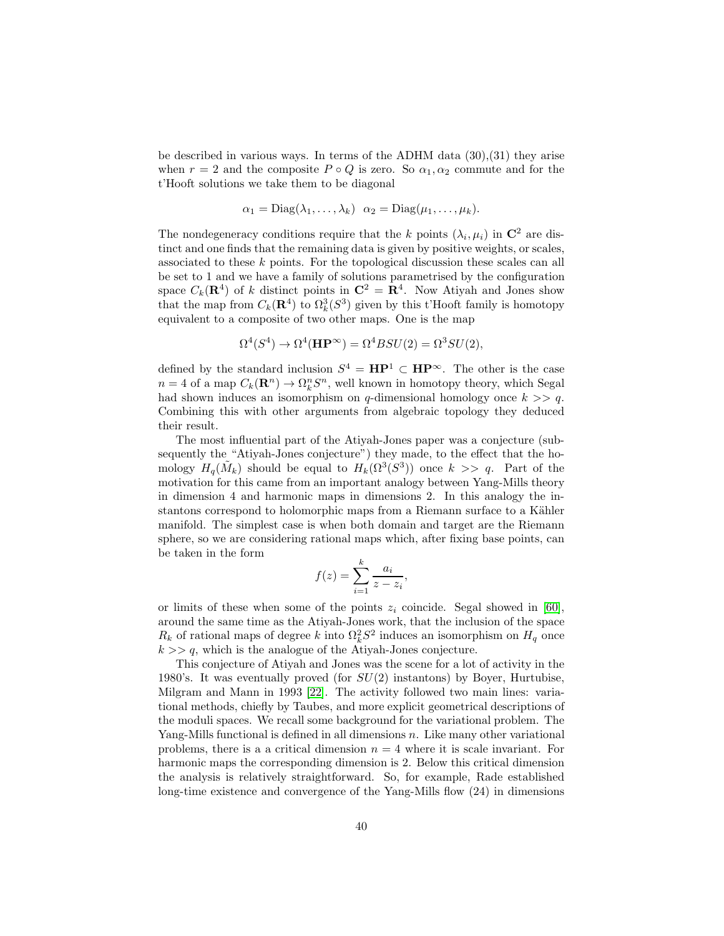be described in various ways. In terms of the ADHM data (30),(31) they arise when  $r = 2$  and the composite  $P \circ Q$  is zero. So  $\alpha_1, \alpha_2$  commute and for the t'Hooft solutions we take them to be diagonal

$$
\alpha_1 = \text{Diag}(\lambda_1, \ldots, \lambda_k) \quad \alpha_2 = \text{Diag}(\mu_1, \ldots, \mu_k).
$$

The nondegeneracy conditions require that the k points  $(\lambda_i, \mu_i)$  in  $\mathbb{C}^2$  are distinct and one finds that the remaining data is given by positive weights, or scales, associated to these k points. For the topological discussion these scales can all be set to 1 and we have a family of solutions parametrised by the configuration space  $C_k(\mathbf{R}^4)$  of k distinct points in  $\mathbf{C}^2 = \mathbf{R}^4$ . Now Atiyah and Jones show that the map from  $C_k(\mathbf{R}^4)$  to  $\Omega_k^3(S^3)$  given by this t'Hooft family is homotopy equivalent to a composite of two other maps. One is the map

$$
\Omega^4(S^4) \to \Omega^4(\mathbf{HP}^{\infty}) = \Omega^4 B SU(2) = \Omega^3 SU(2),
$$

defined by the standard inclusion  $S^4 = \mathbf{HP}^1 \subset \mathbf{HP}^{\infty}$ . The other is the case  $n = 4$  of a map  $C_k(\mathbf{R}^n) \to \Omega_k^n S^n$ , well known in homotopy theory, which Segal had shown induces an isomorphism on q-dimensional homology once  $k \geq a$ . Combining this with other arguments from algebraic topology they deduced their result.

The most influential part of the Atiyah-Jones paper was a conjecture (subsequently the "Atiyah-Jones conjecture") they made, to the effect that the homology  $H_q(\tilde{M}_k)$  should be equal to  $H_k(\Omega^3(S^3))$  once  $k \geq 9$ . Part of the motivation for this came from an important analogy between Yang-Mills theory in dimension 4 and harmonic maps in dimensions 2. In this analogy the instantons correspond to holomorphic maps from a Riemann surface to a Kähler manifold. The simplest case is when both domain and target are the Riemann sphere, so we are considering rational maps which, after fixing base points, can be taken in the form

$$
f(z) = \sum_{i=1}^{k} \frac{a_i}{z - z_i},
$$

or limits of these when some of the points  $z_i$  coincide. Segal showed in [\[60\]](#page-48-9), around the same time as the Atiyah-Jones work, that the inclusion of the space  $R_k$  of rational maps of degree k into  $\Omega_k^2 S^2$  induces an isomorphism on  $H_q$  once  $k \gg q$ , which is the analogue of the Atiyah-Jones conjecture.

This conjecture of Atiyah and Jones was the scene for a lot of activity in the 1980's. It was eventually proved (for  $SU(2)$  instantons) by Boyer, Hurtubise, Milgram and Mann in 1993 [\[22\]](#page-46-14). The activity followed two main lines: variational methods, chiefly by Taubes, and more explicit geometrical descriptions of the moduli spaces. We recall some background for the variational problem. The Yang-Mills functional is defined in all dimensions  $n$ . Like many other variational problems, there is a a critical dimension  $n = 4$  where it is scale invariant. For harmonic maps the corresponding dimension is 2. Below this critical dimension the analysis is relatively straightforward. So, for example, Rade established long-time existence and convergence of the Yang-Mills flow (24) in dimensions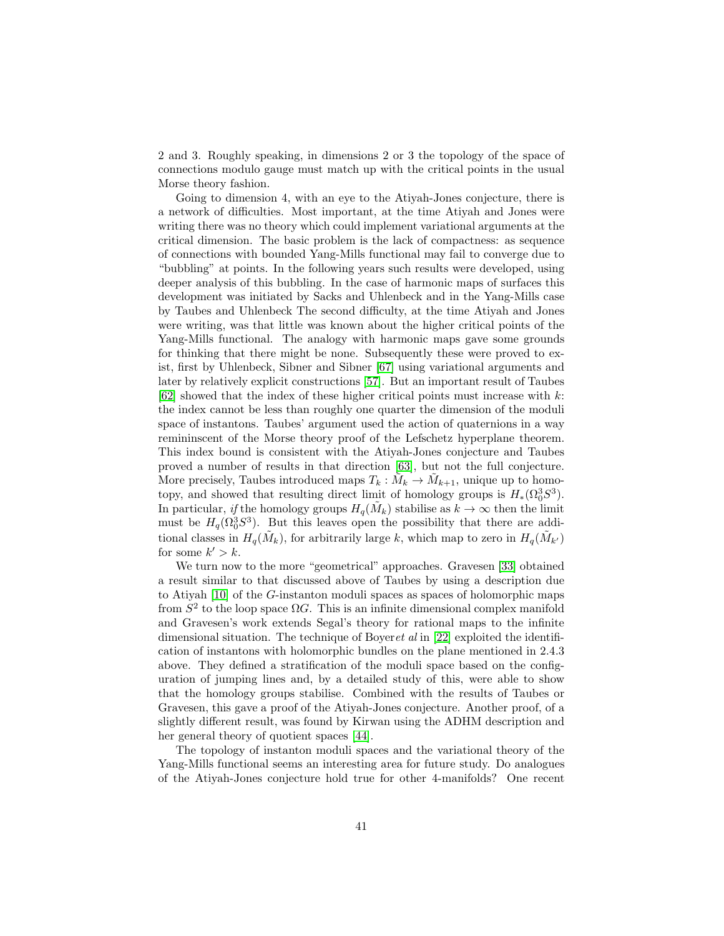2 and 3. Roughly speaking, in dimensions 2 or 3 the topology of the space of connections modulo gauge must match up with the critical points in the usual Morse theory fashion.

Going to dimension 4, with an eye to the Atiyah-Jones conjecture, there is a network of difficulties. Most important, at the time Atiyah and Jones were writing there was no theory which could implement variational arguments at the critical dimension. The basic problem is the lack of compactness: as sequence of connections with bounded Yang-Mills functional may fail to converge due to "bubbling" at points. In the following years such results were developed, using deeper analysis of this bubbling. In the case of harmonic maps of surfaces this development was initiated by Sacks and Uhlenbeck and in the Yang-Mills case by Taubes and Uhlenbeck The second difficulty, at the time Atiyah and Jones were writing, was that little was known about the higher critical points of the Yang-Mills functional. The analogy with harmonic maps gave some grounds for thinking that there might be none. Subsequently these were proved to exist, first by Uhlenbeck, Sibner and Sibner [\[67\]](#page-49-6) using variational arguments and later by relatively explicit constructions [\[57\]](#page-48-10). But an important result of Taubes  $[62]$  showed that the index of these higher critical points must increase with k: the index cannot be less than roughly one quarter the dimension of the moduli space of instantons. Taubes' argument used the action of quaternions in a way remininscent of the Morse theory proof of the Lefschetz hyperplane theorem. This index bound is consistent with the Atiyah-Jones conjecture and Taubes proved a number of results in that direction [\[63\]](#page-48-12), but not the full conjecture. More precisely, Taubes introduced maps  $T_k : \tilde{M}_k \to \tilde{M}_{k+1}$ , unique up to homotopy, and showed that resulting direct limit of homology groups is  $H_*(\Omega_0^3 S^3)$ . In particular, if the homology groups  $H_q(\tilde{M}_k)$  stabilise as  $k \to \infty$  then the limit must be  $H_q(\Omega_0^3 S^3)$ . But this leaves open the possibility that there are additional classes in  $H_q(\tilde{M}_k)$ , for arbitrarily large k, which map to zero in  $H_q(\tilde{M}_{k'})$ for some  $k' > k$ .

We turn now to the more "geometrical" approaches. Gravesen [\[33\]](#page-47-14) obtained a result similar to that discussed above of Taubes by using a description due to Atiyah [\[10\]](#page-45-9) of the G-instanton moduli spaces as spaces of holomorphic maps from  $S^2$  to the loop space  $\Omega G$ . This is an infinite dimensional complex manifold and Gravesen's work extends Segal's theory for rational maps to the infinite dimensional situation. The technique of Boyeret al in [\[22\]](#page-46-14) exploited the identification of instantons with holomorphic bundles on the plane mentioned in 2.4.3 above. They defined a stratification of the moduli space based on the configuration of jumping lines and, by a detailed study of this, were able to show that the homology groups stabilise. Combined with the results of Taubes or Gravesen, this gave a proof of the Atiyah-Jones conjecture. Another proof, of a slightly different result, was found by Kirwan using the ADHM description and her general theory of quotient spaces [\[44\]](#page-47-15).

The topology of instanton moduli spaces and the variational theory of the Yang-Mills functional seems an interesting area for future study. Do analogues of the Atiyah-Jones conjecture hold true for other 4-manifolds? One recent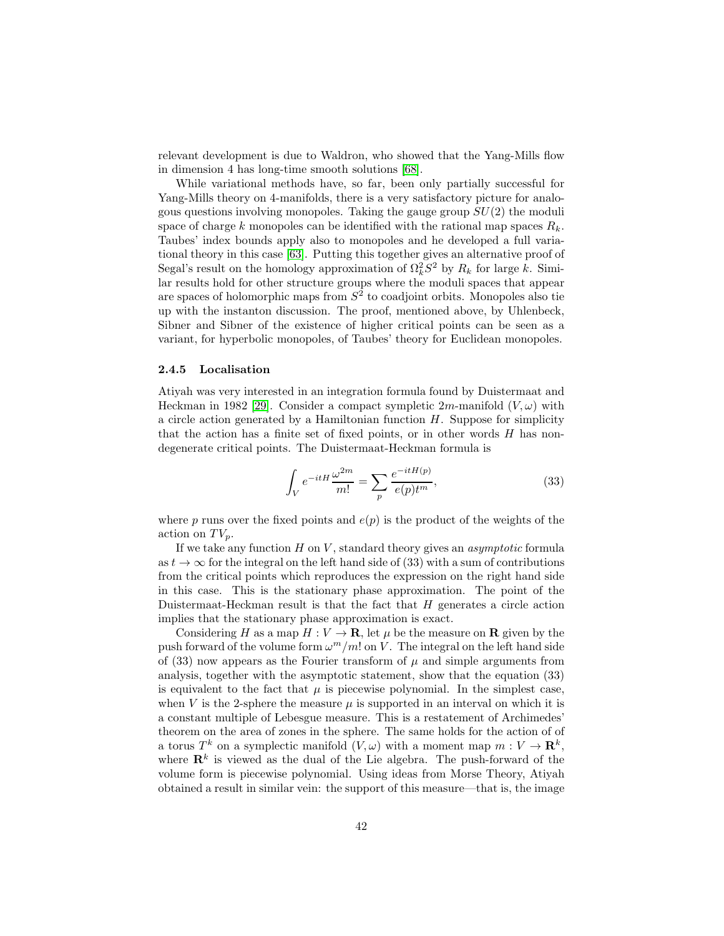relevant development is due to Waldron, who showed that the Yang-Mills flow in dimension 4 has long-time smooth solutions [\[68\]](#page-49-5).

While variational methods have, so far, been only partially successful for Yang-Mills theory on 4-manifolds, there is a very satisfactory picture for analogous questions involving monopoles. Taking the gauge group  $SU(2)$  the moduli space of charge k monopoles can be identified with the rational map spaces  $R_k$ . Taubes' index bounds apply also to monopoles and he developed a full variational theory in this case [\[63\]](#page-48-12). Putting this together gives an alternative proof of Segal's result on the homology approximation of  $\Omega_k^2 S^2$  by  $R_k$  for large k. Similar results hold for other structure groups where the moduli spaces that appear are spaces of holomorphic maps from  $S^2$  to coadjoint orbits. Monopoles also tie up with the instanton discussion. The proof, mentioned above, by Uhlenbeck, Sibner and Sibner of the existence of higher critical points can be seen as a variant, for hyperbolic monopoles, of Taubes' theory for Euclidean monopoles.

#### <span id="page-41-0"></span>2.4.5 Localisation

Atiyah was very interested in an integration formula found by Duistermaat and Heckman in 1982 [\[29\]](#page-46-15). Consider a compact sympletic  $2m$ -manifold  $(V, \omega)$  with a circle action generated by a Hamiltonian function  $H$ . Suppose for simplicity that the action has a finite set of fixed points, or in other words H has nondegenerate critical points. The Duistermaat-Heckman formula is

$$
\int_{V} e^{-itH} \frac{\omega^{2m}}{m!} = \sum_{p} \frac{e^{-itH(p)}}{e(p)t^{m}},\tag{33}
$$

where p runs over the fixed points and  $e(p)$  is the product of the weights of the action on  $TV_p$ .

If we take any function  $H$  on  $V$ , standard theory gives an *asymptotic* formula as  $t \to \infty$  for the integral on the left hand side of (33) with a sum of contributions from the critical points which reproduces the expression on the right hand side in this case. This is the stationary phase approximation. The point of the Duistermaat-Heckman result is that the fact that  $H$  generates a circle action implies that the stationary phase approximation is exact.

Considering H as a map  $H: V \to \mathbf{R}$ , let  $\mu$  be the measure on **R** given by the push forward of the volume form  $\omega^m/m!$  on V. The integral on the left hand side of (33) now appears as the Fourier transform of  $\mu$  and simple arguments from analysis, together with the asymptotic statement, show that the equation (33) is equivalent to the fact that  $\mu$  is piecewise polynomial. In the simplest case, when V is the 2-sphere the measure  $\mu$  is supported in an interval on which it is a constant multiple of Lebesgue measure. This is a restatement of Archimedes' theorem on the area of zones in the sphere. The same holds for the action of of a torus  $T^k$  on a symplectic manifold  $(V, \omega)$  with a moment map  $m: V \to \mathbf{R}^k$ , where  $\mathbf{R}^k$  is viewed as the dual of the Lie algebra. The push-forward of the volume form is piecewise polynomial. Using ideas from Morse Theory, Atiyah obtained a result in similar vein: the support of this measure—that is, the image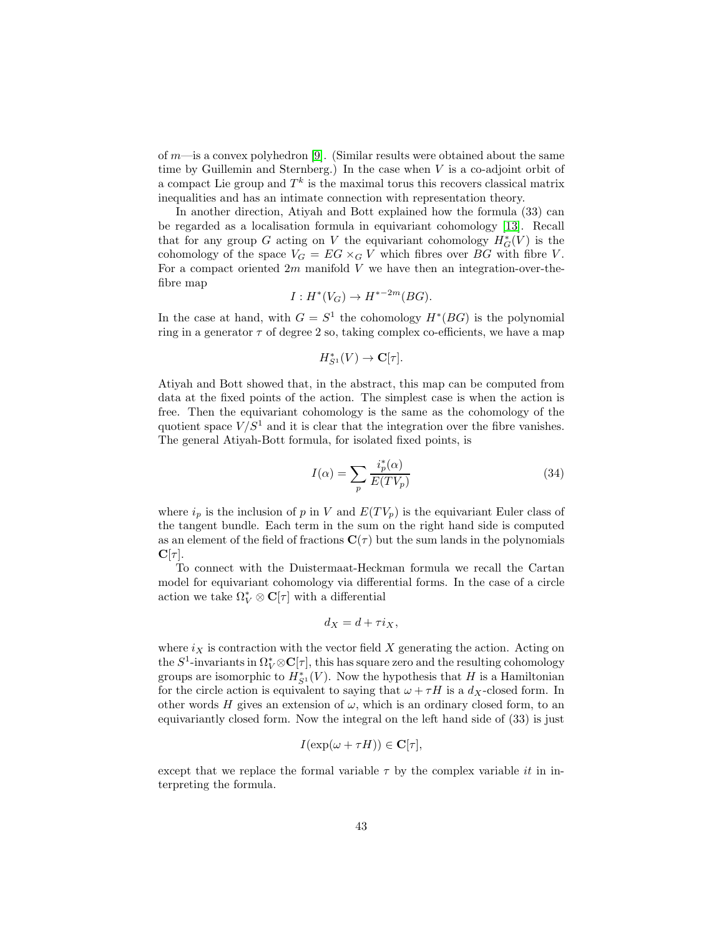of  $m$ —is a convex polyhedron [\[9\]](#page-45-10). (Similar results were obtained about the same time by Guillemin and Sternberg.) In the case when  $V$  is a co-adjoint orbit of a compact Lie group and  $T^k$  is the maximal torus this recovers classical matrix inequalities and has an intimate connection with representation theory.

In another direction, Atiyah and Bott explained how the formula (33) can be regarded as a localisation formula in equivariant cohomology [\[13\]](#page-45-11). Recall that for any group G acting on V the equivariant cohomology  $H^*_{G}(V)$  is the cohomology of the space  $V_G = EG \times_G V$  which fibres over BG with fibre V. For a compact oriented  $2m$  manifold V we have then an integration-over-thefibre map

$$
I: H^*(V_G) \to H^{*-2m}(BG).
$$

In the case at hand, with  $G = S^1$  the cohomology  $H^*(BG)$  is the polynomial ring in a generator  $\tau$  of degree 2 so, taking complex co-efficients, we have a map

$$
H_{S^1}^*(V)\to {\mathbf C}[\tau].
$$

Atiyah and Bott showed that, in the abstract, this map can be computed from data at the fixed points of the action. The simplest case is when the action is free. Then the equivariant cohomology is the same as the cohomology of the quotient space  $V/S<sup>1</sup>$  and it is clear that the integration over the fibre vanishes. The general Atiyah-Bott formula, for isolated fixed points, is

$$
I(\alpha) = \sum_{p} \frac{i_p^*(\alpha)}{E(TV_p)}
$$
(34)

where  $i_p$  is the inclusion of p in V and  $E(TV_p)$  is the equivariant Euler class of the tangent bundle. Each term in the sum on the right hand side is computed as an element of the field of fractions  $C(\tau)$  but the sum lands in the polynomials  $\mathbf{C}[\tau]$ .

To connect with the Duistermaat-Heckman formula we recall the Cartan model for equivariant cohomology via differential forms. In the case of a circle action we take  $\Omega^*_V \otimes \mathbf{C}[\tau]$  with a differential

$$
d_X = d + \tau i_X,
$$

where  $i_X$  is contraction with the vector field X generating the action. Acting on the  $S^1$ -invariants in  $\Omega_V^* \otimes \mathbf{C}[\tau]$ , this has square zero and the resulting cohomology groups are isomorphic to  $H_{S^1}^*(V)$ . Now the hypothesis that H is a Hamiltonian for the circle action is equivalent to saying that  $\omega + \tau H$  is a  $d_X$ -closed form. In other words H gives an extension of  $\omega$ , which is an ordinary closed form, to an equivariantly closed form. Now the integral on the left hand side of (33) is just

$$
I(\exp(\omega + \tau H)) \in \mathbf{C}[\tau],
$$

except that we replace the formal variable  $\tau$  by the complex variable it in interpreting the formula.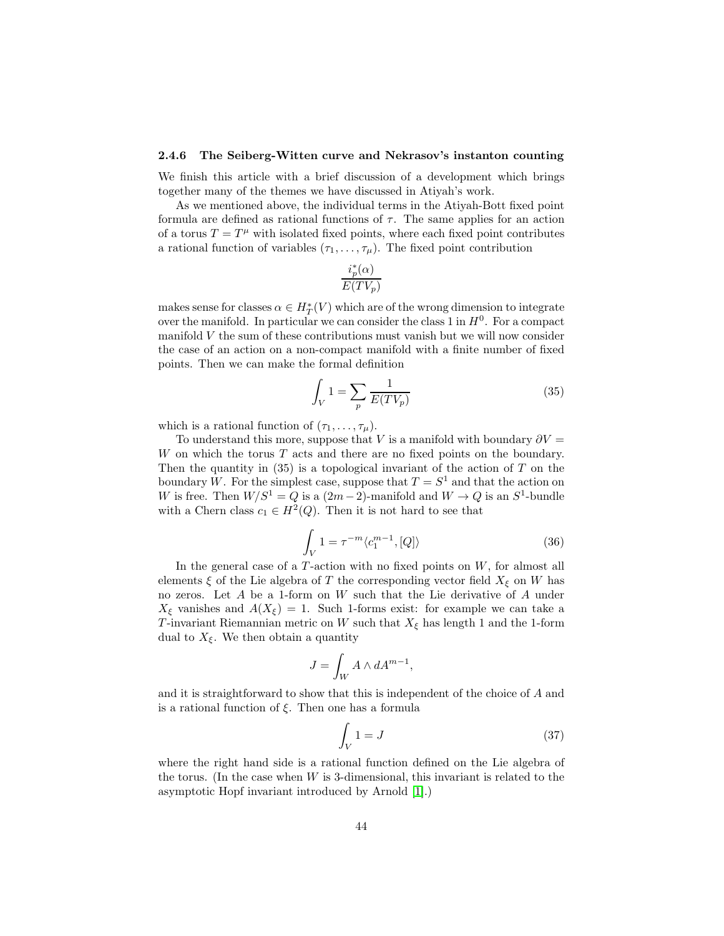#### <span id="page-43-0"></span>2.4.6 The Seiberg-Witten curve and Nekrasov's instanton counting

We finish this article with a brief discussion of a development which brings together many of the themes we have discussed in Atiyah's work.

As we mentioned above, the individual terms in the Atiyah-Bott fixed point formula are defined as rational functions of  $\tau$ . The same applies for an action of a torus  $T = T^{\mu}$  with isolated fixed points, where each fixed point contributes a rational function of variables  $(\tau_1, \ldots, \tau_\mu)$ . The fixed point contribution

$$
\frac{i_p^*(\alpha)}{E(TV_p)}
$$

makes sense for classes  $\alpha \in H^*_T(V)$  which are of the wrong dimension to integrate over the manifold. In particular we can consider the class 1 in  $H^0$ . For a compact manifold V the sum of these contributions must vanish but we will now consider the case of an action on a non-compact manifold with a finite number of fixed points. Then we can make the formal definition

$$
\int_{V} 1 = \sum_{p} \frac{1}{E(TV_p)}\tag{35}
$$

which is a rational function of  $(\tau_1, \ldots, \tau_\mu)$ .

To understand this more, suppose that V is a manifold with boundary  $\partial V =$  $W$  on which the torus  $T$  acts and there are no fixed points on the boundary. Then the quantity in  $(35)$  is a topological invariant of the action of T on the boundary W. For the simplest case, suppose that  $T = S<sup>1</sup>$  and that the action on W is free. Then  $W/S^1 = Q$  is a  $(2m-2)$ -manifold and  $W \to Q$  is an  $S^1$ -bundle with a Chern class  $c_1 \in H^2(Q)$ . Then it is not hard to see that

$$
\int_{V} 1 = \tau^{-m} \langle c_1^{m-1}, [Q] \rangle \tag{36}
$$

In the general case of a  $T$ -action with no fixed points on  $W$ , for almost all elements  $\xi$  of the Lie algebra of T the corresponding vector field  $X_{\xi}$  on W has no zeros. Let A be a 1-form on W such that the Lie derivative of A under  $X_{\xi}$  vanishes and  $A(X_{\xi}) = 1$ . Such 1-forms exist: for example we can take a T-invariant Riemannian metric on W such that  $X_{\xi}$  has length 1 and the 1-form dual to  $X_{\xi}$ . We then obtain a quantity

$$
J = \int_W A \wedge dA^{m-1},
$$

and it is straightforward to show that this is independent of the choice of A and is a rational function of  $\xi$ . Then one has a formula

$$
\int_{V} 1 = J \tag{37}
$$

where the right hand side is a rational function defined on the Lie algebra of the torus. (In the case when  $W$  is 3-dimensional, this invariant is related to the asymptotic Hopf invariant introduced by Arnold [\[1\]](#page-45-12).)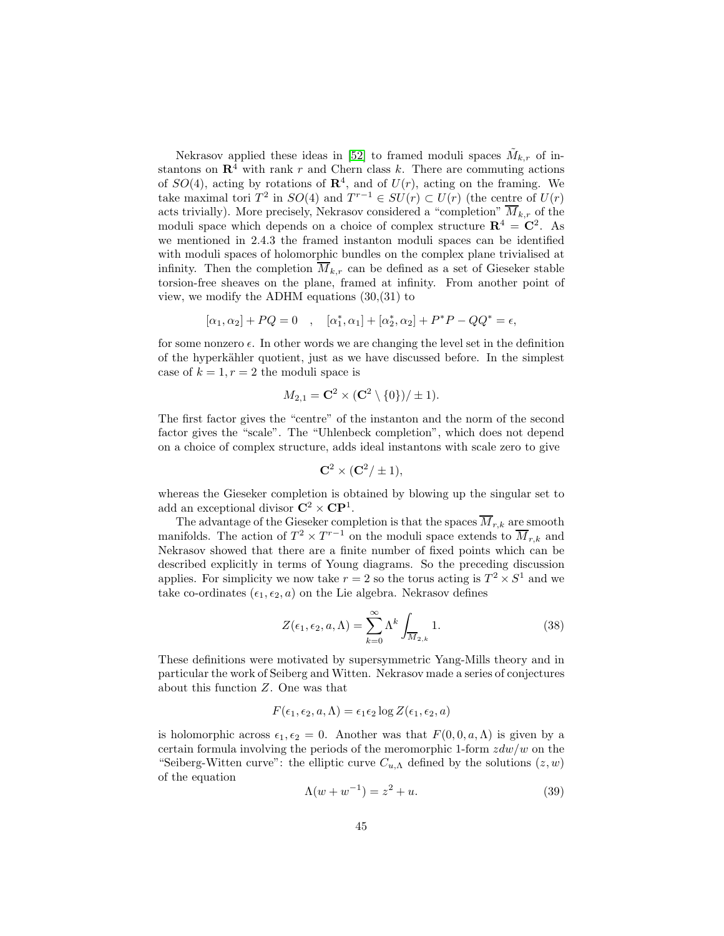Nekrasov applied these ideas in [\[52\]](#page-48-13) to framed moduli spaces  $\tilde{M}_{k,r}$  of instantons on  $\mathbb{R}^4$  with rank r and Chern class k. There are commuting actions of  $SO(4)$ , acting by rotations of  $\mathbb{R}^4$ , and of  $U(r)$ , acting on the framing. We take maximal tori  $T^2$  in  $SO(4)$  and  $T^{r-1} \in SU(r) \subset U(r)$  (the centre of  $U(r)$ ) acts trivially). More precisely, Nekrasov considered a "completion"  $\overline{M}_{k,r}$  of the moduli space which depends on a choice of complex structure  $\mathbb{R}^4 = \mathbb{C}^2$ . As we mentioned in 2.4.3 the framed instanton moduli spaces can be identified with moduli spaces of holomorphic bundles on the complex plane trivialised at infinity. Then the completion  $\overline{M}_{k,r}$  can be defined as a set of Gieseker stable torsion-free sheaves on the plane, framed at infinity. From another point of view, we modify the ADHM equations (30,(31) to

$$
[\alpha_1, \alpha_2] + PQ = 0 \quad , \quad [\alpha_1^*, \alpha_1] + [\alpha_2^*, \alpha_2] + P^*P - QQ^* = \epsilon,
$$

for some nonzero  $\epsilon$ . In other words we are changing the level set in the definition of the hyperkähler quotient, just as we have discussed before. In the simplest case of  $k = 1, r = 2$  the moduli space is

$$
M_{2,1}=\mathbf{C}^2\times(\mathbf{C}^2\setminus\{0\})/\pm 1).
$$

The first factor gives the "centre" of the instanton and the norm of the second factor gives the "scale". The "Uhlenbeck completion", which does not depend on a choice of complex structure, adds ideal instantons with scale zero to give

$$
\mathbf{C}^2 \times (\mathbf{C}^2/\pm 1),
$$

whereas the Gieseker completion is obtained by blowing up the singular set to add an exceptional divisor  $\mathbb{C}^2 \times \mathbb{CP}^1$ .

The advantage of the Gieseker completion is that the spaces  $M_{r,k}$  are smooth manifolds. The action of  $T^2 \times T^{r-1}$  on the moduli space extends to  $\overline{M}_{r,k}$  and Nekrasov showed that there are a finite number of fixed points which can be described explicitly in terms of Young diagrams. So the preceding discussion applies. For simplicity we now take  $r = 2$  so the torus acting is  $T^2 \times S^1$  and we take co-ordinates  $(\epsilon_1, \epsilon_2, a)$  on the Lie algebra. Nekrasov defines

$$
Z(\epsilon_1, \epsilon_2, a, \Lambda) = \sum_{k=0}^{\infty} \Lambda^k \int_{\overline{M}_{2,k}} 1.
$$
 (38)

These definitions were motivated by supersymmetric Yang-Mills theory and in particular the work of Seiberg and Witten. Nekrasov made a series of conjectures about this function Z. One was that

$$
F(\epsilon_1, \epsilon_2, a, \Lambda) = \epsilon_1 \epsilon_2 \log Z(\epsilon_1, \epsilon_2, a)
$$

is holomorphic across  $\epsilon_1, \epsilon_2 = 0$ . Another was that  $F(0, 0, a, \Lambda)$  is given by a certain formula involving the periods of the meromorphic 1-form  $zdw/w$  on the "Seiberg-Witten curve": the elliptic curve  $C_{u,\Lambda}$  defined by the solutions  $(z, w)$ of the equation

$$
\Lambda(w + w^{-1}) = z^2 + u.
$$
\n(39)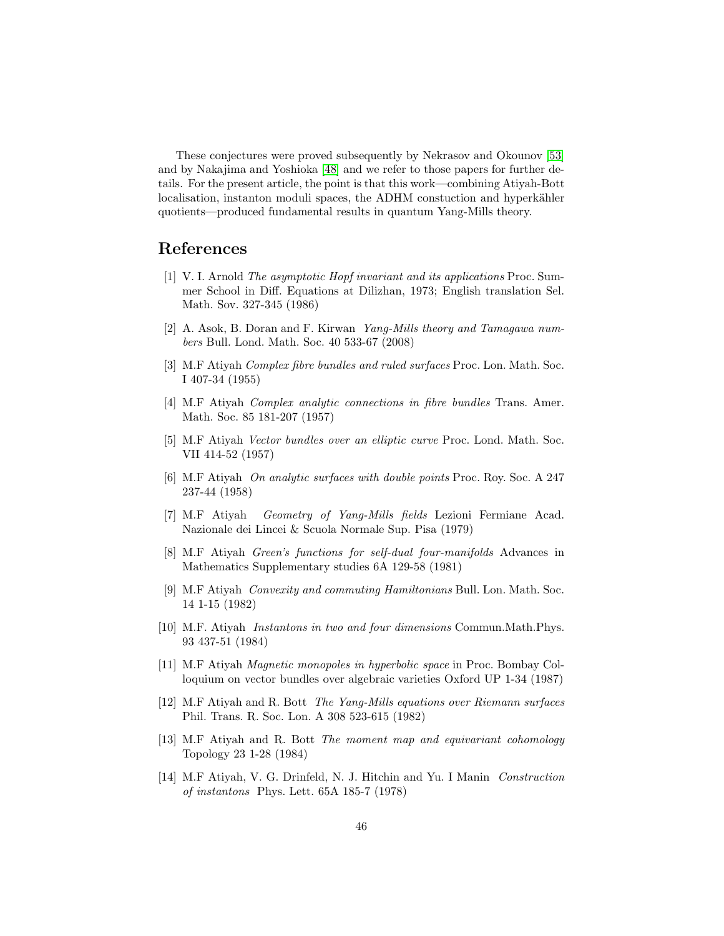These conjectures were proved subsequently by Nekrasov and Okounov [\[53\]](#page-48-14) and by Nakajima and Yoshioka [\[48\]](#page-47-16) and we refer to those papers for further details. For the present article, the point is that this work—combining Atiyah-Bott localisation, instanton moduli spaces, the ADHM constuction and hyperkähler quotients—produced fundamental results in quantum Yang-Mills theory.

# <span id="page-45-12"></span>References

- [1] V. I. Arnold The asymptotic Hopf invariant and its applications Proc. Summer School in Diff. Equations at Dilizhan, 1973; English translation Sel. Math. Sov. 327-345 (1986)
- <span id="page-45-6"></span>[2] A. Asok, B. Doran and F. Kirwan Yang-Mills theory and Tamagawa numbers Bull. Lond. Math. Soc. 40 533-67 (2008)
- <span id="page-45-1"></span>[3] M.F Atiyah Complex fibre bundles and ruled surfaces Proc. Lon. Math. Soc. I 407-34 (1955)
- <span id="page-45-0"></span>[4] M.F Atiyah Complex analytic connections in fibre bundles Trans. Amer. Math. Soc. 85 181-207 (1957)
- <span id="page-45-2"></span>[5] M.F Atiyah Vector bundles over an elliptic curve Proc. Lond. Math. Soc. VII 414-52 (1957)
- <span id="page-45-3"></span>[6] M.F Atiyah On analytic surfaces with double points Proc. Roy. Soc. A 247 237-44 (1958)
- <span id="page-45-4"></span>[7] M.F Atiyah Geometry of Yang-Mills fields Lezioni Fermiane Acad. Nazionale dei Lincei & Scuola Normale Sup. Pisa (1979)
- <span id="page-45-7"></span>[8] M.F Atiyah Green's functions for self-dual four-manifolds Advances in Mathematics Supplementary studies 6A 129-58 (1981)
- <span id="page-45-10"></span>[9] M.F Atiyah Convexity and commuting Hamiltonians Bull. Lon. Math. Soc. 14 1-15 (1982)
- <span id="page-45-9"></span>[10] M.F. Atiyah Instantons in two and four dimensions Commun.Math.Phys. 93 437-51 (1984)
- <span id="page-45-8"></span>[11] M.F Atiyah Magnetic monopoles in hyperbolic space in Proc. Bombay Colloquium on vector bundles over algebraic varieties Oxford UP 1-34 (1987)
- <span id="page-45-5"></span>[12] M.F Atiyah and R. Bott The Yang-Mills equations over Riemann surfaces Phil. Trans. R. Soc. Lon. A 308 523-615 (1982)
- <span id="page-45-11"></span>[13] M.F Atiyah and R. Bott The moment map and equivariant cohomology Topology 23 1-28 (1984)
- [14] M.F Atiyah, V. G. Drinfeld, N. J. Hitchin and Yu. I Manin Construction of instantons Phys. Lett. 65A 185-7 (1978)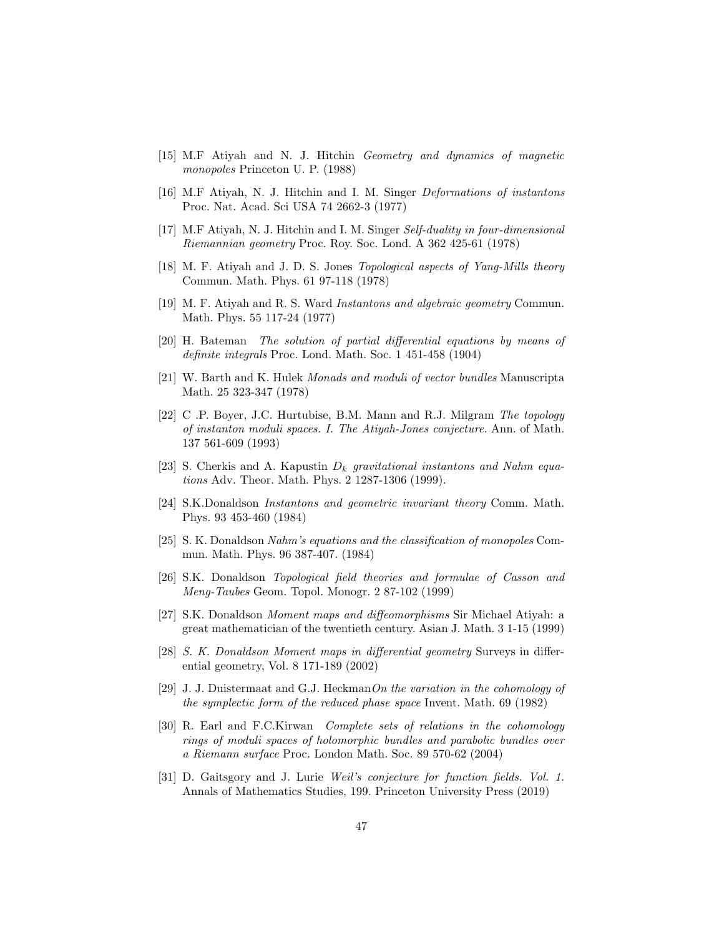- <span id="page-46-11"></span><span id="page-46-0"></span>[15] M.F Atiyah and N. J. Hitchin Geometry and dynamics of magnetic monopoles Princeton U. P. (1988)
- [16] M.F Atiyah, N. J. Hitchin and I. M. Singer Deformations of instantons Proc. Nat. Acad. Sci USA 74 2662-3 (1977)
- <span id="page-46-1"></span>[17] M.F Atiyah, N. J. Hitchin and I. M. Singer Self-duality in four-dimensional Riemannian geometry Proc. Roy. Soc. Lond. A 362 425-61 (1978)
- <span id="page-46-13"></span>[18] M. F. Atiyah and J. D. S. Jones Topological aspects of Yang-Mills theory Commun. Math. Phys. 61 97-118 (1978)
- <span id="page-46-2"></span>[19] M. F. Atiyah and R. S. Ward *Instantons and algebraic geometry* Commun. Math. Phys. 55 117-24 (1977)
- <span id="page-46-4"></span>[20] H. Bateman The solution of partial differential equations by means of definite integrals Proc. Lond. Math. Soc. 1 451-458 (1904)
- <span id="page-46-3"></span>[21] W. Barth and K. Hulek Monads and moduli of vector bundles Manuscripta Math. 25 323-347 (1978)
- <span id="page-46-14"></span>[22] C .P. Boyer, J.C. Hurtubise, B.M. Mann and R.J. Milgram The topology of instanton moduli spaces. I. The Atiyah-Jones conjecture. Ann. of Math. 137 561-609 (1993)
- <span id="page-46-12"></span>[23] S. Cherkis and A. Kapustin  $D_k$  gravitational instantons and Nahm equations Adv. Theor. Math. Phys. 2 1287-1306 (1999).
- <span id="page-46-10"></span>[24] S.K.Donaldson Instantons and geometric invariant theory Comm. Math. Phys. 93 453-460 (1984)
- [25] S. K. Donaldson Nahm's equations and the classification of monopoles Commun. Math. Phys. 96 387-407. (1984)
- <span id="page-46-5"></span>[26] S.K. Donaldson Topological field theories and formulae of Casson and Meng-Taubes Geom. Topol. Monogr. 2 87-102 (1999)
- <span id="page-46-8"></span>[27] S.K. Donaldson Moment maps and diffeomorphisms Sir Michael Atiyah: a great mathematician of the twentieth century. Asian J. Math. 3 1-15 (1999)
- <span id="page-46-9"></span>[28] S. K. Donaldson Moment maps in differential geometry Surveys in differential geometry, Vol. 8 171-189 (2002)
- <span id="page-46-15"></span>[29] J. J. Duistermaat and G.J. HeckmanOn the variation in the cohomology of the symplectic form of the reduced phase space Invent. Math. 69 (1982)
- <span id="page-46-7"></span>[30] R. Earl and F.C.Kirwan Complete sets of relations in the cohomology rings of moduli spaces of holomorphic bundles and parabolic bundles over a Riemann surface Proc. London Math. Soc. 89 570-62 (2004)
- <span id="page-46-6"></span>[31] D. Gaitsgory and J. Lurie Weil's conjecture for function fields. Vol. 1. Annals of Mathematics Studies, 199. Princeton University Press (2019)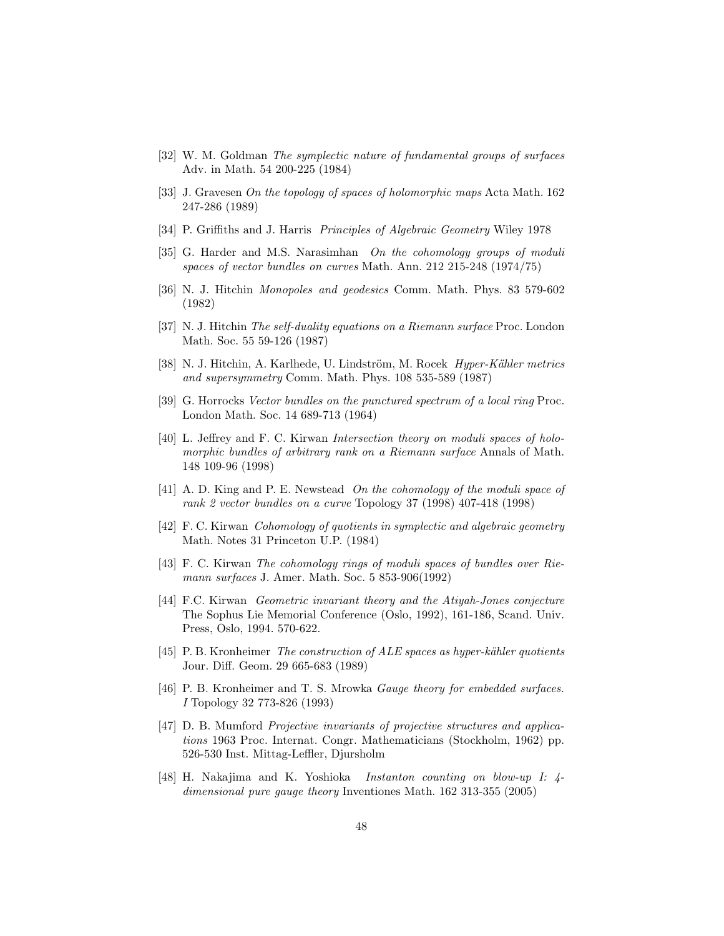- <span id="page-47-14"></span><span id="page-47-8"></span>[32] W. M. Goldman The symplectic nature of fundamental groups of surfaces Adv. in Math. 54 200-225 (1984)
- [33] J. Gravesen On the topology of spaces of holomorphic maps Acta Math. 162 247-286 (1989)
- <span id="page-47-3"></span><span id="page-47-1"></span>[34] P. Griffiths and J. Harris Principles of Algebraic Geometry Wiley 1978
- [35] G. Harder and M.S. Narasimhan On the cohomology groups of moduli spaces of vector bundles on curves Math. Ann. 212 215-248 (1974/75)
- <span id="page-47-13"></span><span id="page-47-7"></span>[36] N. J. Hitchin Monopoles and geodesics Comm. Math. Phys. 83 579-602 (1982)
- [37] N. J. Hitchin The self-duality equations on a Riemann surface Proc. London Math. Soc. 55 59-126 (1987)
- <span id="page-47-10"></span>[38] N. J. Hitchin, A. Karlhede, U. Lindström, M. Rocek Hyper-Kähler metrics and supersymmetry Comm. Math. Phys. 108 535-589 (1987)
- <span id="page-47-2"></span>[39] G. Horrocks Vector bundles on the punctured spectrum of a local ring Proc. London Math. Soc. 14 689-713 (1964)
- <span id="page-47-6"></span>[40] L. Jeffrey and F. C. Kirwan Intersection theory on moduli spaces of holomorphic bundles of arbitrary rank on a Riemann surface Annals of Math. 148 109-96 (1998)
- <span id="page-47-4"></span>[41] A. D. King and P. E. Newstead On the cohomology of the moduli space of rank 2 vector bundles on a curve Topology 37 (1998) 407-418 (1998)
- <span id="page-47-9"></span>[42] F. C. Kirwan Cohomology of quotients in symplectic and algebraic geometry Math. Notes 31 Princeton U.P. (1984)
- <span id="page-47-5"></span>[43] F. C. Kirwan The cohomology rings of moduli spaces of bundles over Riemann surfaces J. Amer. Math. Soc. 5 853-906(1992)
- <span id="page-47-15"></span>[44] F.C. Kirwan Geometric invariant theory and the Atiyah-Jones conjecture The Sophus Lie Memorial Conference (Oslo, 1992), 161-186, Scand. Univ. Press, Oslo, 1994. 570-622.
- <span id="page-47-11"></span>[45] P. B. Kronheimer The construction of  $ALE$  spaces as hyper-kähler quotients Jour. Diff. Geom. 29 665-683 (1989)
- <span id="page-47-12"></span>[46] P. B. Kronheimer and T. S. Mrowka *Gauge theory for embedded surfaces*. I Topology 32 773-826 (1993)
- <span id="page-47-0"></span>[47] D. B. Mumford Projective invariants of projective structures and applications 1963 Proc. Internat. Congr. Mathematicians (Stockholm, 1962) pp. 526-530 Inst. Mittag-Leffler, Djursholm
- <span id="page-47-16"></span>[48] H. Nakajima and K. Yoshioka Instanton counting on blow-up I: 4 dimensional pure gauge theory Inventiones Math. 162 313-355 (2005)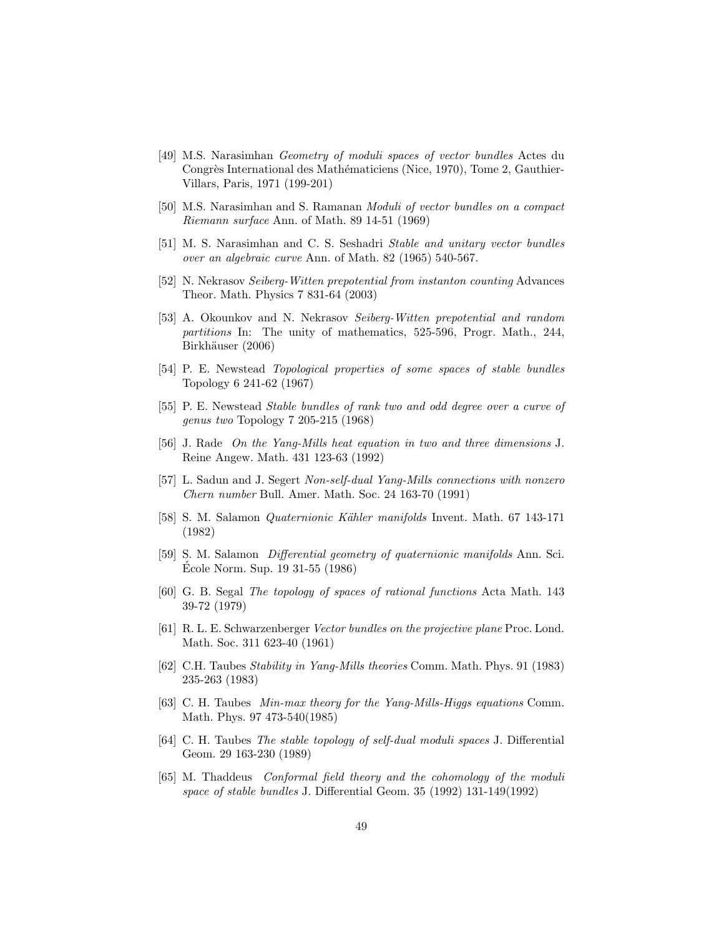- <span id="page-48-8"></span>[49] M.S. Narasimhan Geometry of moduli spaces of vector bundles Actes du Congrès International des Mathématiciens (Nice, 1970), Tome 2, Gauthier-Villars, Paris, 1971 (199-201)
- <span id="page-48-1"></span>[50] M.S. Narasimhan and S. Ramanan Moduli of vector bundles on a compact Riemann surface Ann. of Math. 89 14-51 (1969)
- <span id="page-48-2"></span>[51] M. S. Narasimhan and C. S. Seshadri Stable and unitary vector bundles over an algebraic curve Ann. of Math. 82 (1965) 540-567.
- <span id="page-48-13"></span>[52] N. Nekrasov Seiberg-Witten prepotential from instanton counting Advances Theor. Math. Physics 7 831-64 (2003)
- <span id="page-48-14"></span>[53] A. Okounkov and N. Nekrasov Seiberg-Witten prepotential and random partitions In: The unity of mathematics, 525-596, Progr. Math., 244, Birkhäuser (2006)
- <span id="page-48-6"></span>[54] P. E. Newstead Topological properties of some spaces of stable bundles Topology 6 241-62 (1967)
- <span id="page-48-0"></span>[55] P. E. Newstead Stable bundles of rank two and odd degree over a curve of genus two Topology 7 205-215 (1968)
- [56] J. Rade On the Yang-Mills heat equation in two and three dimensions J. Reine Angew. Math. 431 123-63 (1992)
- <span id="page-48-10"></span>[57] L. Sadun and J. Segert Non-self-dual Yang-Mills connections with nonzero Chern number Bull. Amer. Math. Soc. 24 163-70 (1991)
- <span id="page-48-4"></span>[58] S. M. Salamon Quaternionic K¨ahler manifolds Invent. Math. 67 143-171 (1982)
- <span id="page-48-5"></span>[59] S. M. Salamon Differential geometry of quaternionic manifolds Ann. Sci. Ecole Norm. Sup.  $19\,31-55\,(1986)$
- <span id="page-48-9"></span>[60] G. B. Segal The topology of spaces of rational functions Acta Math. 143 39-72 (1979)
- <span id="page-48-3"></span>[61] R. L. E. Schwarzenberger Vector bundles on the projective plane Proc. Lond. Math. Soc. 311 623-40 (1961)
- <span id="page-48-11"></span>[62] C.H. Taubes Stability in Yang-Mills theories Comm. Math. Phys. 91 (1983) 235-263 (1983)
- <span id="page-48-12"></span>[63] C. H. Taubes Min-max theory for the Yang-Mills-Higgs equations Comm. Math. Phys. 97 473-540(1985)
- [64] C. H. Taubes The stable topology of self-dual moduli spaces J. Differential Geom. 29 163-230 (1989)
- <span id="page-48-7"></span>[65] M. Thaddeus Conformal field theory and the cohomology of the moduli space of stable bundles J. Differential Geom. 35 (1992) 131-149(1992)